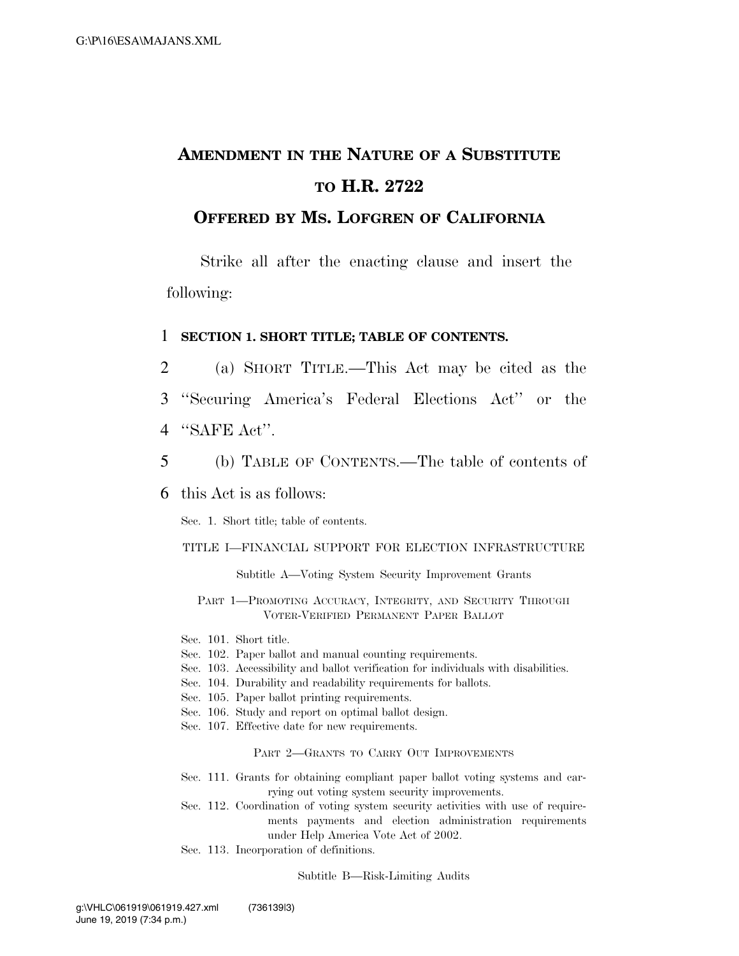# **AMENDMENT IN THE NATURE OF A SUBSTITUTE TO H.R. 2722**

## **OFFERED BY MS. LOFGREN OF CALIFORNIA**

Strike all after the enacting clause and insert the following:

#### 1 **SECTION 1. SHORT TITLE; TABLE OF CONTENTS.**

- 2 (a) SHORT TITLE.—This Act may be cited as the
- 3 ''Securing America's Federal Elections Act'' or the
- 4 ''SAFE Act''.
- 5 (b) TABLE OF CONTENTS.—The table of contents of

## 6 this Act is as follows:

Sec. 1. Short title; table of contents.

#### TITLE I—FINANCIAL SUPPORT FOR ELECTION INFRASTRUCTURE

Subtitle A—Voting System Security Improvement Grants

PART 1-PROMOTING ACCURACY, INTEGRITY, AND SECURITY THROUGH VOTER-VERIFIED PERMANENT PAPER BALLOT

Sec. 101. Short title.

- Sec. 102. Paper ballot and manual counting requirements.
- Sec. 103. Accessibility and ballot verification for individuals with disabilities.
- Sec. 104. Durability and readability requirements for ballots.
- Sec. 105. Paper ballot printing requirements.
- Sec. 106. Study and report on optimal ballot design.
- Sec. 107. Effective date for new requirements.

#### PART 2—GRANTS TO CARRY OUT IMPROVEMENTS

- Sec. 111. Grants for obtaining compliant paper ballot voting systems and carrying out voting system security improvements.
- Sec. 112. Coordination of voting system security activities with use of requirements payments and election administration requirements under Help America Vote Act of 2002.
- Sec. 113. Incorporation of definitions.

Subtitle B—Risk-Limiting Audits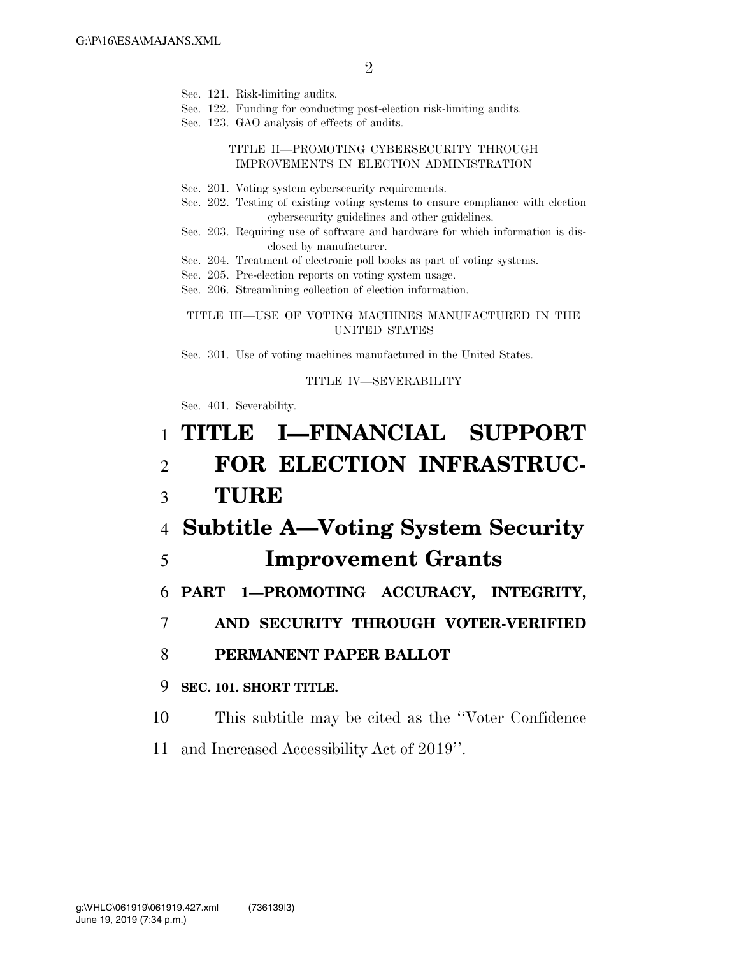- Sec. 121. Risk-limiting audits.
- Sec. 122. Funding for conducting post-election risk-limiting audits.
- Sec. 123. GAO analysis of effects of audits.

#### TITLE II—PROMOTING CYBERSECURITY THROUGH IMPROVEMENTS IN ELECTION ADMINISTRATION

- Sec. 201. Voting system cybersecurity requirements.
- Sec. 202. Testing of existing voting systems to ensure compliance with election cybersecurity guidelines and other guidelines.
- Sec. 203. Requiring use of software and hardware for which information is disclosed by manufacturer.
- Sec. 204. Treatment of electronic poll books as part of voting systems.
- Sec. 205. Pre-election reports on voting system usage.
- Sec. 206. Streamlining collection of election information.

#### TITLE III—USE OF VOTING MACHINES MANUFACTURED IN THE UNITED STATES

Sec. 301. Use of voting machines manufactured in the United States.

#### TITLE IV—SEVERABILITY

Sec. 401. Severability.

# 1 **TITLE I—FINANCIAL SUPPORT**  2 **FOR ELECTION INFRASTRUC-**3 **TURE**  4 **Subtitle A—Voting System Security**  5 **Improvement Grants**  6 **PART 1—PROMOTING ACCURACY, INTEGRITY,**  7 **AND SECURITY THROUGH VOTER-VERIFIED**  8 **PERMANENT PAPER BALLOT**  9 **SEC. 101. SHORT TITLE.**  10 This subtitle may be cited as the ''Voter Confidence

11 and Increased Accessibility Act of 2019''.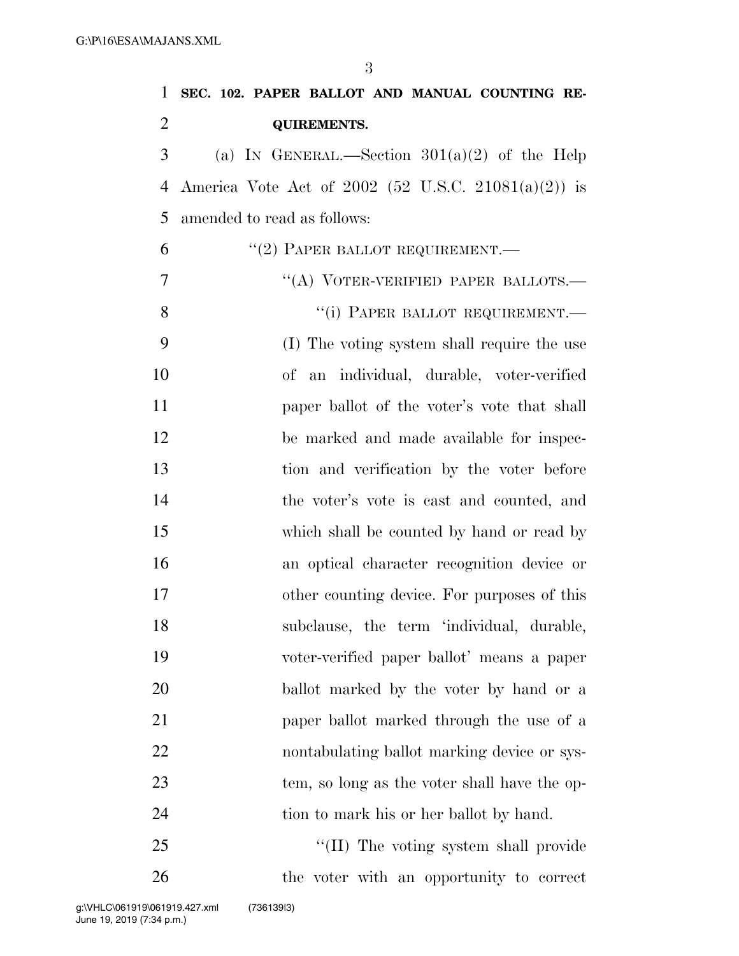| $\mathbf{1}$   | SEC. 102. PAPER BALLOT AND MANUAL COUNTING RE-      |
|----------------|-----------------------------------------------------|
| $\overline{2}$ | <b>QUIREMENTS.</b>                                  |
| 3              | (a) IN GENERAL.—Section $301(a)(2)$ of the Help     |
| $\overline{4}$ | America Vote Act of 2002 (52 U.S.C. 21081(a)(2)) is |
| 5              | amended to read as follows:                         |
| 6              | $``(2)$ PAPER BALLOT REQUIREMENT.—                  |
| 7              | "(A) VOTER-VERIFIED PAPER BALLOTS.—                 |
| 8              | "(i) PAPER BALLOT REQUIREMENT.—                     |
| 9              | (I) The voting system shall require the use         |
| 10             | of an individual, durable, voter-verified           |
| 11             | paper ballot of the voter's vote that shall         |
| 12             | be marked and made available for inspec-            |
| 13             | tion and verification by the voter before           |
| 14             | the voter's vote is cast and counted, and           |
| 15             | which shall be counted by hand or read by           |
| 16             | an optical character recognition device or          |
| 17             | other counting device. For purposes of this         |
| 18             | subclause, the term 'individual, durable,           |
| 19             | voter-verified paper ballot' means a paper          |
| 20             | ballot marked by the voter by hand or a             |
| 21             | paper ballot marked through the use of a            |
| 22             | nontabulating ballot marking device or sys-         |
| 23             | tem, so long as the voter shall have the op-        |
| 24             | tion to mark his or her ballot by hand.             |

25 ''(II) The voting system shall provide the voter with an opportunity to correct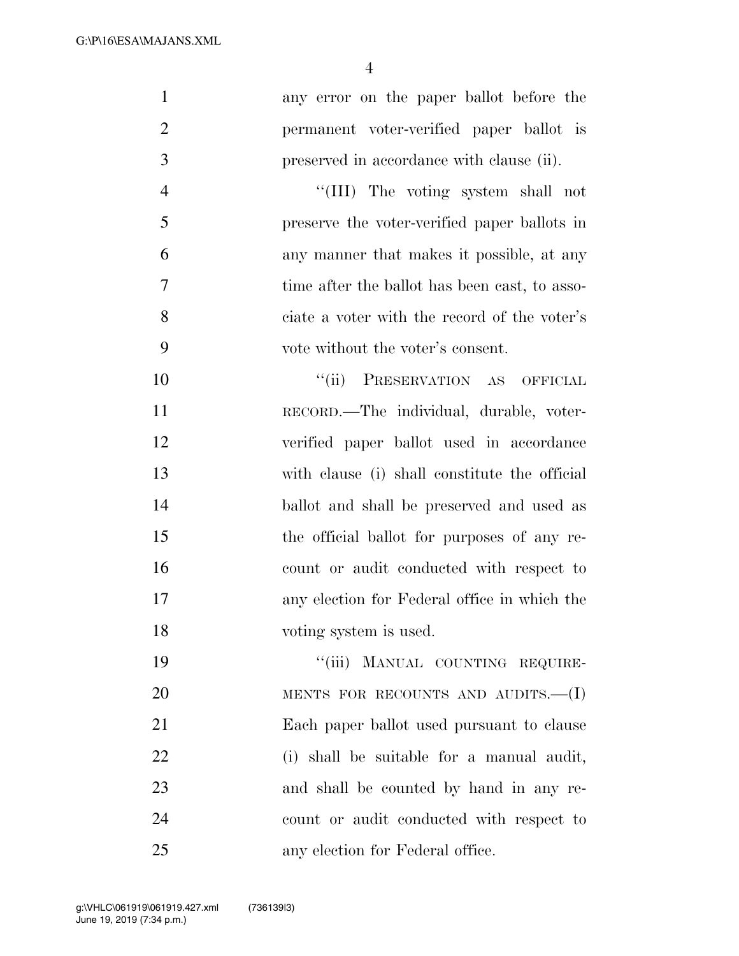| $\mathbf{1}$   | any error on the paper ballot before the      |
|----------------|-----------------------------------------------|
| $\overline{2}$ | permanent voter-verified paper ballot is      |
| 3              | preserved in accordance with clause (ii).     |
| $\overline{4}$ | "(III) The voting system shall not            |
| 5              | preserve the voter-verified paper ballots in  |
| 6              | any manner that makes it possible, at any     |
| 7              | time after the ballot has been cast, to asso- |
| 8              | ciate a voter with the record of the voter's  |
| 9              | vote without the voter's consent.             |
| 10             | PRESERVATION AS OFFICIAL<br>``(ii)            |
| 11             | RECORD.—The individual, durable, voter-       |
| 12             | verified paper ballot used in accordance      |
| 13             | with clause (i) shall constitute the official |
| 14             | ballot and shall be preserved and used as     |
| 15             | the official ballot for purposes of any re-   |
| 16             | count or audit conducted with respect to      |
| 17             | any election for Federal office in which the  |
| 18             | voting system is used.                        |
| 19             | "(iii) MANUAL COUNTING REQUIRE-               |
| 20             | MENTS FOR RECOUNTS AND AUDITS. $-(I)$         |
| 21             | Each paper ballot used pursuant to clause     |
| 22             | (i) shall be suitable for a manual audit,     |
| 23             | and shall be counted by hand in any re-       |
| 24             | count or audit conducted with respect to      |
| 25             | any election for Federal office.              |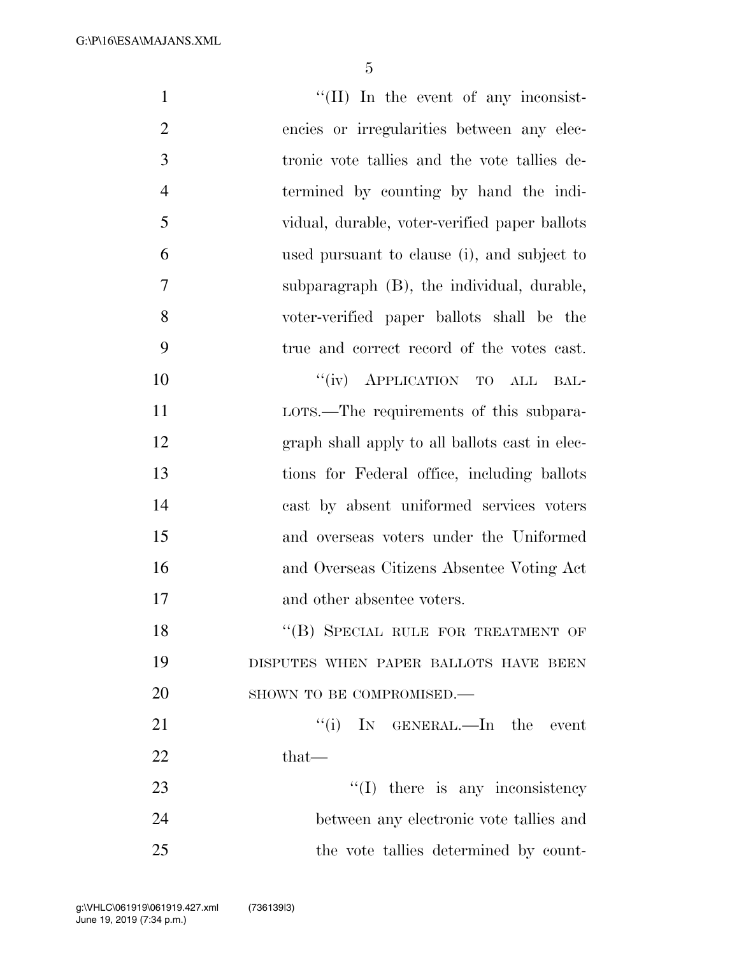G:\P\16\ESA\MAJANS.XML

| $\mathbf{1}$   | $\lq\lq$ (II) In the event of any inconsist-   |
|----------------|------------------------------------------------|
| $\overline{2}$ | encies or irregularities between any elec-     |
| 3              | tronic vote tallies and the vote tallies de-   |
| $\overline{4}$ | termined by counting by hand the indi-         |
| 5              | vidual, durable, voter-verified paper ballots  |
| 6              | used pursuant to clause (i), and subject to    |
| 7              | subparagraph (B), the individual, durable,     |
| 8              | voter-verified paper ballots shall be the      |
| 9              | true and correct record of the votes cast.     |
| 10             | "(iv) APPLICATION TO ALL<br>BAL-               |
| 11             | LOTS.—The requirements of this subpara-        |
| 12             | graph shall apply to all ballots cast in elec- |
| 13             | tions for Federal office, including ballots    |
| 14             | cast by absent uniformed services voters       |
| 15             | and overseas voters under the Uniformed        |
| 16             | and Overseas Citizens Absentee Voting Act      |
| 17             | and other absentee voters.                     |
| 18             | "(B) SPECIAL RULE FOR TREATMENT OF             |
| 19             | DISPUTES WHEN PAPER BALLOTS HAVE BEEN          |
| 20             | SHOWN TO BE COMPROMISED.-                      |
| 21             | "(i) IN GENERAL.—In the event                  |
| 22             | $that-$                                        |
| 23             | $\lq\lq$ (I) there is any inconsistency        |
| 24             | between any electronic vote tallies and        |
| 25             | the vote tallies determined by count-          |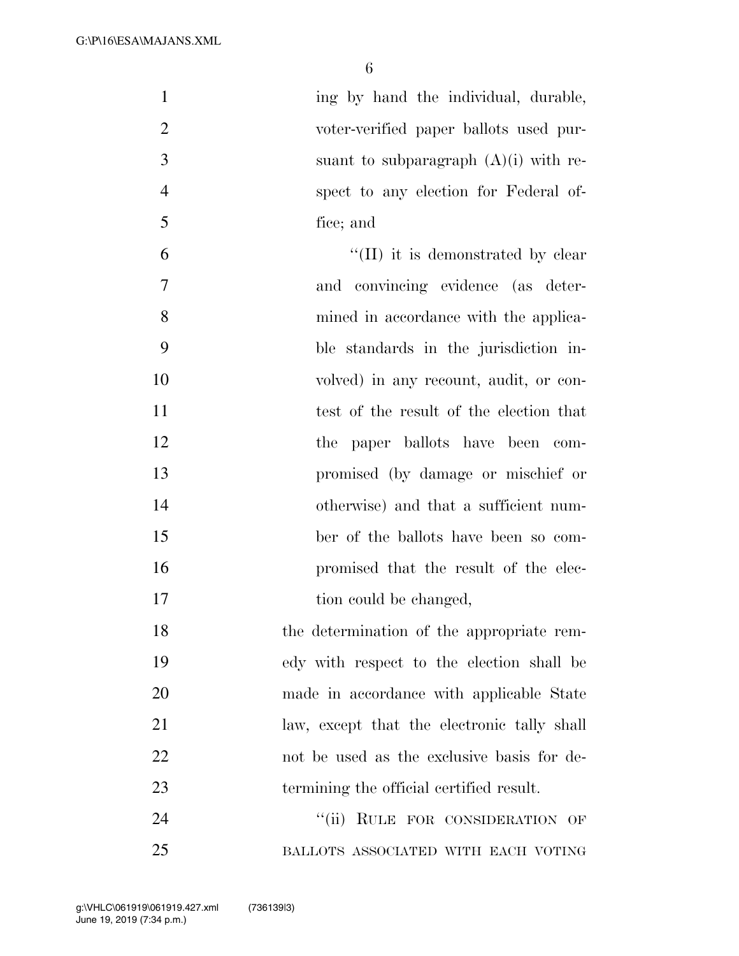| $\mathbf{1}$   | ing by hand the individual, durable,        |
|----------------|---------------------------------------------|
| $\overline{2}$ | voter-verified paper ballots used pur-      |
| 3              | suant to subparagraph $(A)(i)$ with re-     |
| $\overline{4}$ | spect to any election for Federal of-       |
| 5              | fice; and                                   |
| 6              | $\lq\lq$ (II) it is demonstrated by clear   |
| 7              | and convincing evidence (as deter-          |
| 8              | mined in accordance with the applica-       |
| 9              | ble standards in the jurisdiction in-       |
| 10             | volved) in any recount, audit, or con-      |
| 11             | test of the result of the election that     |
| 12             | the paper ballots have been com-            |
| 13             | promised (by damage or mischief or          |
| 14             | otherwise) and that a sufficient num-       |
| 15             | ber of the ballots have been so com-        |
| 16             | promised that the result of the elec-       |
| 17             | tion could be changed,                      |
| 18             | the determination of the appropriate rem-   |
| 19             | edy with respect to the election shall be   |
| 20             | made in accordance with applicable State    |
| 21             | law, except that the electronic tally shall |
| 22             | not be used as the exclusive basis for de-  |

24 ''(ii) RULE FOR CONSIDERATION OF BALLOTS ASSOCIATED WITH EACH VOTING

termining the official certified result.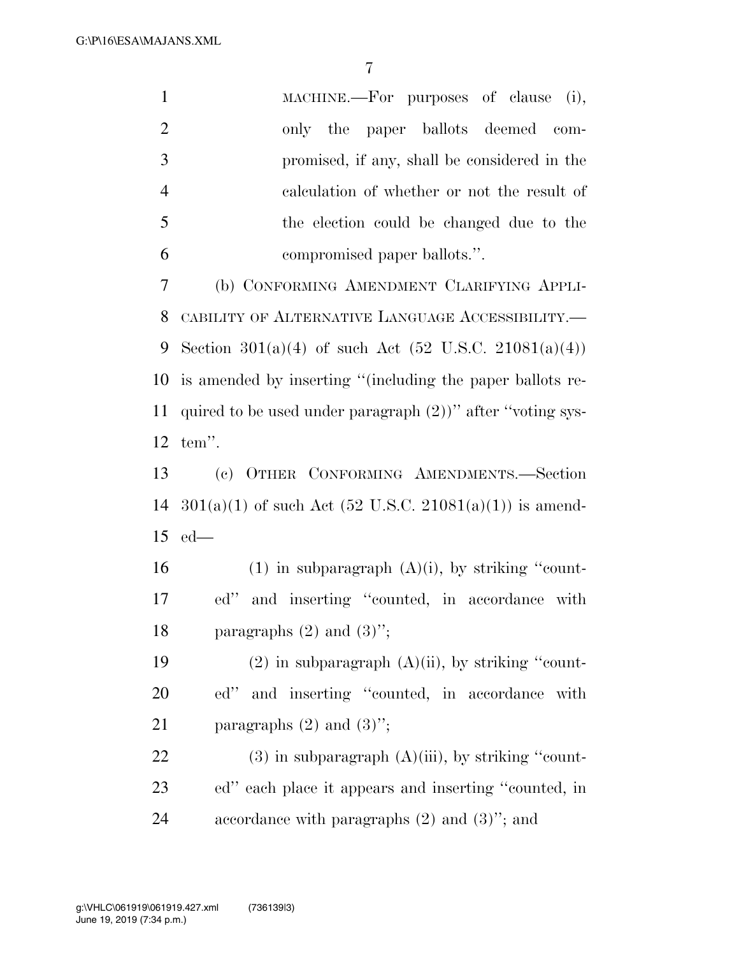G:\P\16\ESA\MAJANS.XML

| $\mathbf{1}$   | MACHINE.—For purposes of clause (i),                          |
|----------------|---------------------------------------------------------------|
| $\overline{2}$ | only the paper ballots deemed<br>com-                         |
| 3              | promised, if any, shall be considered in the                  |
| $\overline{4}$ | calculation of whether or not the result of                   |
| 5              | the election could be changed due to the                      |
| 6              | compromised paper ballots.".                                  |
| 7              | (b) CONFORMING AMENDMENT CLARIFYING APPLI-                    |
| 8              | CABILITY OF ALTERNATIVE LANGUAGE ACCESSIBILITY.-              |
| 9              | Section $301(a)(4)$ of such Act (52 U.S.C. 21081(a)(4))       |
| 10             | is amended by inserting "(including the paper ballots re-     |
| 11             | quired to be used under paragraph $(2)$ )" after "voting sys- |
| 12             | tem".                                                         |
| 13             | (c) OTHER CONFORMING AMENDMENTS.-Section                      |
|                | $301(a)(1)$ of such Act (52 U.S.C. 21081(a)(1)) is amend-     |
| 14             |                                                               |
| 15             | $ed$ —                                                        |
| 16             | $(1)$ in subparagraph $(A)(i)$ , by striking "count-          |
| 17             | and inserting "counted, in accordance with<br>ed"             |
| 18             | paragraphs $(2)$ and $(3)$ ";                                 |
| 19             | $(2)$ in subparagraph $(A)(ii)$ , by striking "count-         |
| 20             | and inserting "counted, in accordance<br>ed"<br>with          |
| 21             | paragraphs $(2)$ and $(3)$ ";                                 |
| 22             | $(3)$ in subparagraph $(A)(iii)$ , by striking "count-        |
| 23             | ed" each place it appears and inserting "counted, in          |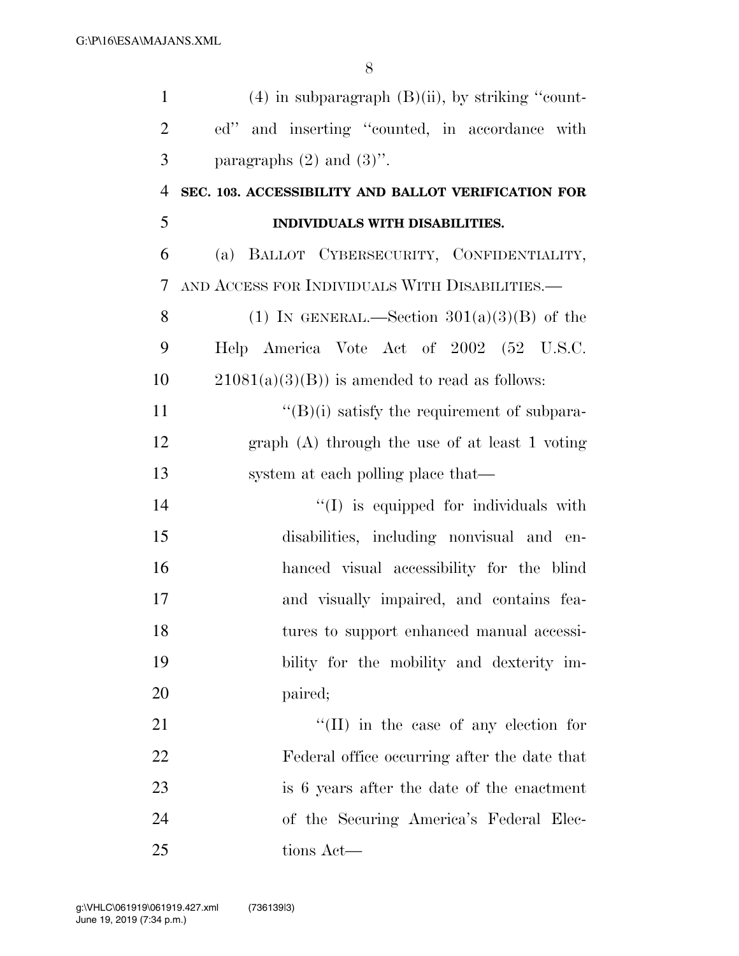| $\mathbf{1}$   | $(4)$ in subparagraph $(B)(ii)$ , by striking "count- |
|----------------|-------------------------------------------------------|
| $\overline{2}$ | ed" and inserting "counted, in accordance with        |
| 3              | paragraphs $(2)$ and $(3)$ ".                         |
| $\overline{4}$ | SEC. 103. ACCESSIBILITY AND BALLOT VERIFICATION FOR   |
| 5              | INDIVIDUALS WITH DISABILITIES.                        |
| 6              | (a) BALLOT CYBERSECURITY, CONFIDENTIALITY,            |
| 7              | AND ACCESS FOR INDIVIDUALS WITH DISABILITIES.—        |
| 8              | (1) IN GENERAL.—Section $301(a)(3)(B)$ of the         |
| 9              | Help America Vote Act of 2002 (52 U.S.C.              |
| 10             | $21081(a)(3)(B)$ is amended to read as follows:       |
| 11             | $\lq\lq(B)(i)$ satisfy the requirement of subpara-    |
| 12             | graph $(A)$ through the use of at least 1 voting      |
| 13             | system at each polling place that—                    |
| 14             | "(I) is equipped for individuals with                 |
| 15             | disabilities, including nonvisual and en-             |
| 16             | hanced visual accessibility for the blind             |
| 17             | and visually impaired, and contains fea-              |
| 18             | tures to support enhanced manual accessi-             |
| 19             | bility for the mobility and dexterity im-             |
| 20             | paired;                                               |
| 21             | $\lq\lq$ (II) in the case of any election for         |
| 22             | Federal office occurring after the date that          |
| 23             | is 6 years after the date of the enactment            |
| 24             | of the Securing America's Federal Elec-               |
| 25             | tions Act—                                            |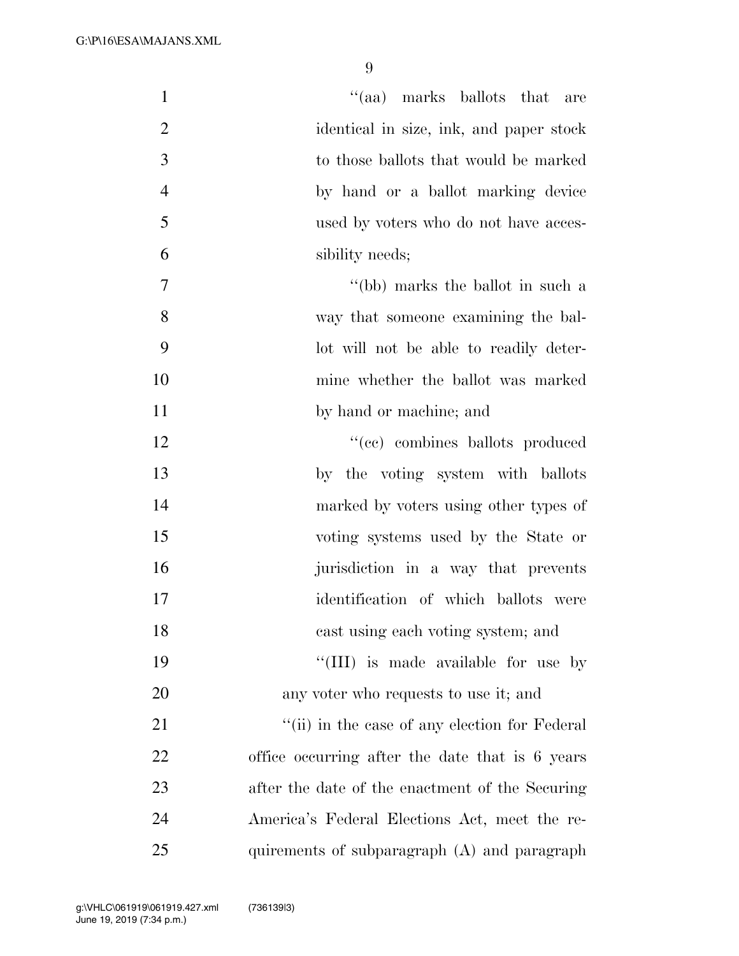| $\mathbf{1}$   | "(aa) marks ballots that are                    |
|----------------|-------------------------------------------------|
| $\overline{2}$ | identical in size, ink, and paper stock         |
| 3              | to those ballots that would be marked           |
| $\overline{4}$ | by hand or a ballot marking device              |
| 5              | used by voters who do not have acces-           |
| 6              | sibility needs;                                 |
| 7              | "(bb) marks the ballot in such a                |
| 8              | way that someone examining the bal-             |
| 9              | lot will not be able to readily deter-          |
| 10             | mine whether the ballot was marked              |
| 11             | by hand or machine; and                         |
| 12             | "(cc) combines ballots produced                 |
| 13             | by the voting system with ballots               |
| 14             | marked by voters using other types of           |
| 15             | voting systems used by the State or             |
| 16             | jurisdiction in a way that prevents             |
| 17             | identification of which ballots were            |
| 18             | cast using each voting system; and              |
| 19             | "(III) is made available for use by             |
| 20             | any voter who requests to use it; and           |
| 21             | "(ii) in the case of any election for Federal   |
| 22             | office occurring after the date that is 6 years |
| 23             | after the date of the enactment of the Securing |
| 24             | America's Federal Elections Act, meet the re-   |
| 25             | quirements of subparagraph $(A)$ and paragraph  |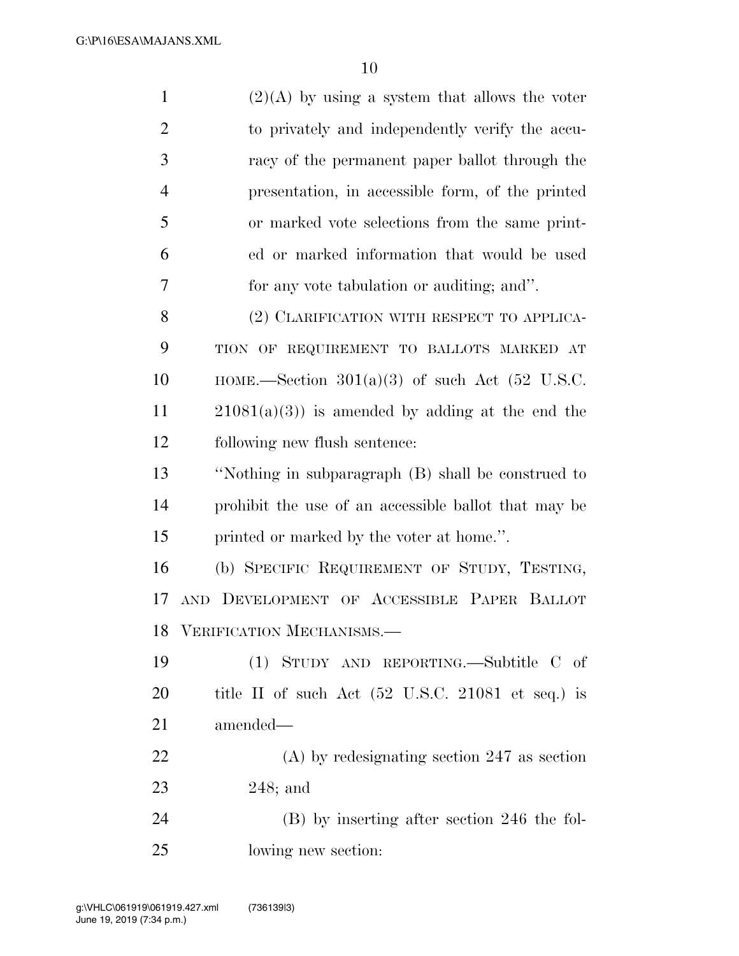| $(2)(A)$ by using a system that allows the voter                     |
|----------------------------------------------------------------------|
| to privately and independently verify the accu-                      |
| racy of the permanent paper ballot through the                       |
| presentation, in accessible form, of the printed                     |
| or marked vote selections from the same print-                       |
| ed or marked information that would be used                          |
| for any vote tabulation or auditing; and".                           |
| (2) CLARIFICATION WITH RESPECT TO APPLICA-                           |
| TION OF REQUIREMENT TO BALLOTS MARKED AT                             |
| HOME.—Section $301(a)(3)$ of such Act (52 U.S.C.                     |
| $21081(a)(3)$ is amended by adding at the end the                    |
| following new flush sentence:                                        |
| "Nothing in subparagraph (B) shall be construed to                   |
| prohibit the use of an accessible ballot that may be                 |
| printed or marked by the voter at home.".                            |
| (b) SPECIFIC REQUIREMENT OF STUDY, TESTING,                          |
| AND DEVELOPMENT OF ACCESSIBLE PAPER BALLOT                           |
| VERIFICATION MECHANISMS.—                                            |
| (1) STUDY AND REPORTING.—Subtitle C of                               |
| title II of such Act $(52 \text{ U.S.C. } 21081 \text{ et seq.})$ is |
| amended-                                                             |
| $(A)$ by redesignating section 247 as section                        |
|                                                                      |

248; and

 (B) by inserting after section 246 the fol-lowing new section: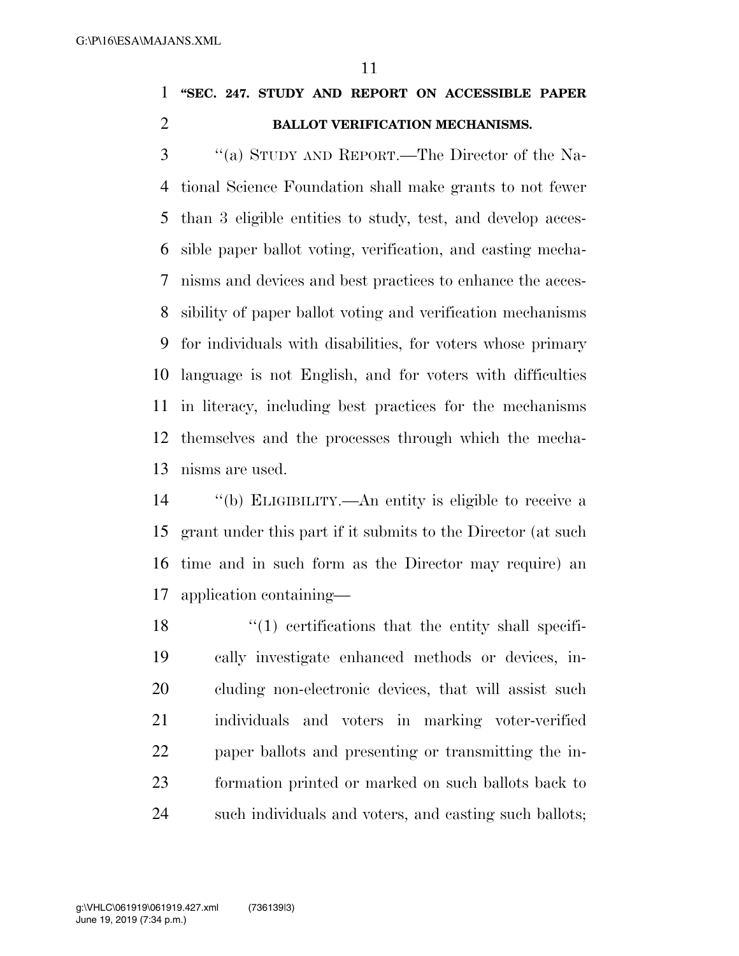**''SEC. 247. STUDY AND REPORT ON ACCESSIBLE PAPER BALLOT VERIFICATION MECHANISMS.** 

 ''(a) STUDY AND REPORT.—The Director of the Na- tional Science Foundation shall make grants to not fewer than 3 eligible entities to study, test, and develop acces- sible paper ballot voting, verification, and casting mecha- nisms and devices and best practices to enhance the acces- sibility of paper ballot voting and verification mechanisms for individuals with disabilities, for voters whose primary language is not English, and for voters with difficulties in literacy, including best practices for the mechanisms themselves and the processes through which the mecha-nisms are used.

 ''(b) ELIGIBILITY.—An entity is eligible to receive a grant under this part if it submits to the Director (at such time and in such form as the Director may require) an application containing—

 $\frac{18}{18}$  ''(1) certifications that the entity shall specifi- cally investigate enhanced methods or devices, in- cluding non-electronic devices, that will assist such individuals and voters in marking voter-verified paper ballots and presenting or transmitting the in- formation printed or marked on such ballots back to such individuals and voters, and casting such ballots;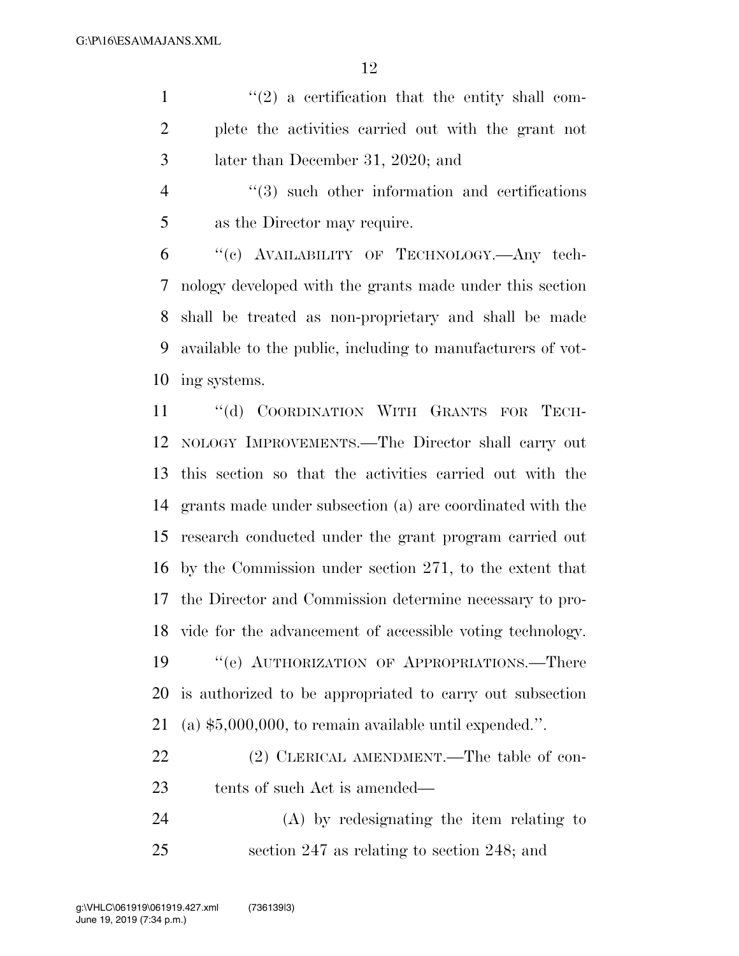$\binom{1}{2}$  a certification that the entity shall com- plete the activities carried out with the grant not later than December 31, 2020; and

4 ''(3) such other information and certifications as the Director may require.

 ''(c) AVAILABILITY OF TECHNOLOGY.—Any tech- nology developed with the grants made under this section shall be treated as non-proprietary and shall be made available to the public, including to manufacturers of vot-ing systems.

 ''(d) COORDINATION WITH GRANTS FOR TECH- NOLOGY IMPROVEMENTS.—The Director shall carry out this section so that the activities carried out with the grants made under subsection (a) are coordinated with the research conducted under the grant program carried out by the Commission under section 271, to the extent that the Director and Commission determine necessary to pro- vide for the advancement of accessible voting technology. 19 "'(e) AUTHORIZATION OF APPROPRIATIONS.—There is authorized to be appropriated to carry out subsection (a) \$5,000,000, to remain available until expended.''.

22 (2) CLERICAL AMENDMENT.—The table of con-tents of such Act is amended—

 (A) by redesignating the item relating to section 247 as relating to section 248; and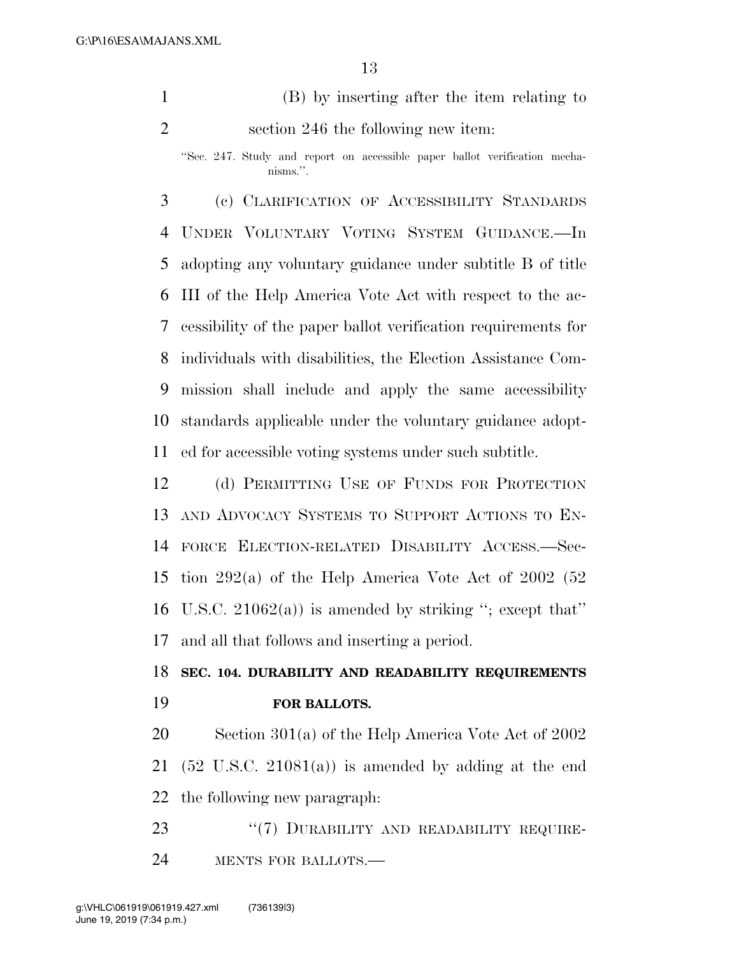(B) by inserting after the item relating to section 246 the following new item:

 (c) CLARIFICATION OF ACCESSIBILITY STANDARDS UNDER VOLUNTARY VOTING SYSTEM GUIDANCE.—In adopting any voluntary guidance under subtitle B of title III of the Help America Vote Act with respect to the ac- cessibility of the paper ballot verification requirements for individuals with disabilities, the Election Assistance Com- mission shall include and apply the same accessibility standards applicable under the voluntary guidance adopt-ed for accessible voting systems under such subtitle.

 (d) PERMITTING USE OF FUNDS FOR PROTECTION AND ADVOCACY SYSTEMS TO SUPPORT ACTIONS TO EN- FORCE ELECTION-RELATED DISABILITY ACCESS.—Sec- tion 292(a) of the Help America Vote Act of 2002 (52 U.S.C. 21062(a)) is amended by striking ''; except that'' and all that follows and inserting a period.

# **SEC. 104. DURABILITY AND READABILITY REQUIREMENTS FOR BALLOTS.**

 Section 301(a) of the Help America Vote Act of 2002 21 (52 U.S.C. 21081(a)) is amended by adding at the end the following new paragraph:

23 "(7) DURABILITY AND READABILITY REQUIRE-MENTS FOR BALLOTS.—

<sup>&#</sup>x27;'Sec. 247. Study and report on accessible paper ballot verification mechanisms.''.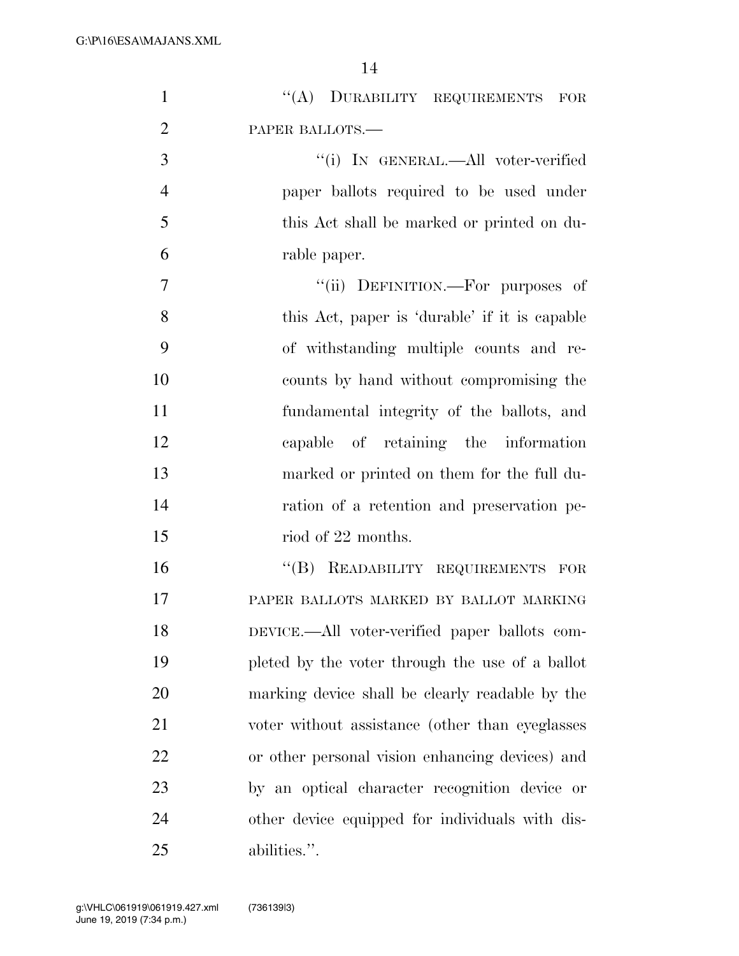| $\mathbf{1}$   | "(A) DURABILITY REQUIREMENTS FOR                |
|----------------|-------------------------------------------------|
| $\overline{2}$ | PAPER BALLOTS.-                                 |
| 3              | "(i) IN GENERAL.—All voter-verified             |
| $\overline{4}$ | paper ballots required to be used under         |
| 5              | this Act shall be marked or printed on du-      |
| 6              | rable paper.                                    |
| 7              | "(ii) DEFINITION.—For purposes of               |
| 8              | this Act, paper is 'durable' if it is capable   |
| 9              | of withstanding multiple counts and re-         |
| 10             | counts by hand without compromising the         |
| 11             | fundamental integrity of the ballots, and       |
| 12             | capable of retaining the information            |
| 13             | marked or printed on them for the full du-      |
| 14             | ration of a retention and preservation pe-      |
| 15             | riod of 22 months.                              |
| 16             | "(B) READABILITY REQUIREMENTS FOR               |
| 17             | PAPER BALLOTS MARKED BY BALLOT MARKING          |
| 18             | DEVICE.—All voter-verified paper ballots com-   |
| 19             | pleted by the voter through the use of a ballot |
| 20             | marking device shall be clearly readable by the |
| 21             | voter without assistance (other than eyeglasses |
| 22             | or other personal vision enhancing devices) and |
| 23             | by an optical character recognition device or   |
| 24             | other device equipped for individuals with dis- |
| 25             | abilities.".                                    |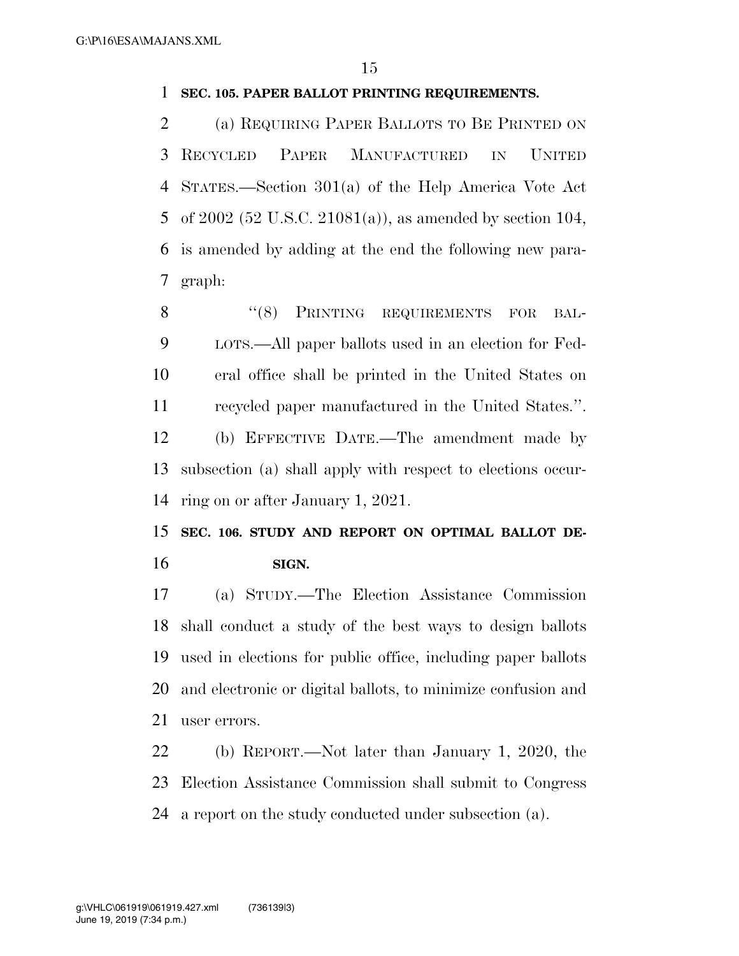### **SEC. 105. PAPER BALLOT PRINTING REQUIREMENTS.**

 (a) REQUIRING PAPER BALLOTS TO BE PRINTED ON RECYCLED PAPER MANUFACTURED IN UNITED STATES.—Section 301(a) of the Help America Vote Act of 2002 (52 U.S.C. 21081(a)), as amended by section 104, is amended by adding at the end the following new para-graph:

8 "(8) PRINTING REQUIREMENTS FOR BAL- LOTS.—All paper ballots used in an election for Fed- eral office shall be printed in the United States on recycled paper manufactured in the United States.''. (b) EFFECTIVE DATE.—The amendment made by subsection (a) shall apply with respect to elections occur-ring on or after January 1, 2021.

 **SEC. 106. STUDY AND REPORT ON OPTIMAL BALLOT DE-SIGN.** 

 (a) STUDY.—The Election Assistance Commission shall conduct a study of the best ways to design ballots used in elections for public office, including paper ballots and electronic or digital ballots, to minimize confusion and user errors.

 (b) REPORT.—Not later than January 1, 2020, the Election Assistance Commission shall submit to Congress a report on the study conducted under subsection (a).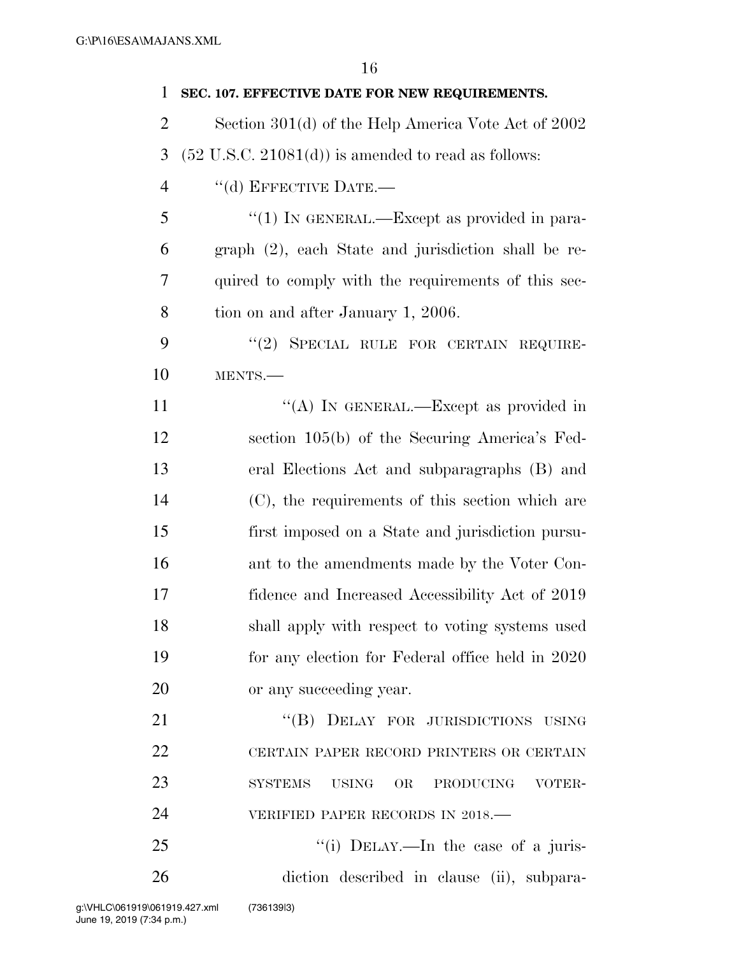**SEC. 107. EFFECTIVE DATE FOR NEW REQUIREMENTS.**  Section 301(d) of the Help America Vote Act of 2002  $3\quad$  (52 U.S.C. 21081(d)) is amended to read as follows: 4 "(d) EFFECTIVE DATE.— 5 "(1) IN GENERAL.—Except as provided in para- graph (2), each State and jurisdiction shall be re- quired to comply with the requirements of this sec- tion on and after January 1, 2006. 9 "(2) SPECIAL RULE FOR CERTAIN REQUIRE- MENTS.—  $((A)$  In GENERAL.—Except as provided in section 105(b) of the Securing America's Fed- eral Elections Act and subparagraphs (B) and (C), the requirements of this section which are first imposed on a State and jurisdiction pursu- ant to the amendments made by the Voter Con- fidence and Increased Accessibility Act of 2019 shall apply with respect to voting systems used for any election for Federal office held in 2020 or any succeeding year. 21 "(B) DELAY FOR JURISDICTIONS USING CERTAIN PAPER RECORD PRINTERS OR CERTAIN SYSTEMS USING OR PRODUCING VOTER-24 VERIFIED PAPER RECORDS IN 2018.

25 "(i) DELAY.—In the case of a juris-diction described in clause (ii), subpara-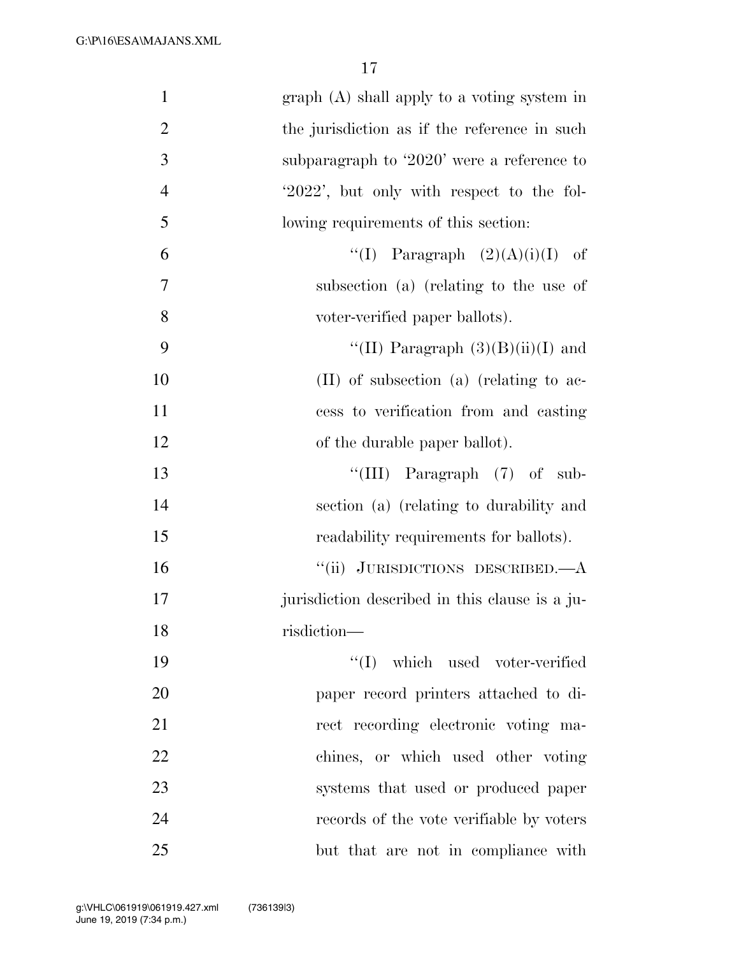| $\mathbf{1}$<br>$graph(A)$ shall apply to a voting system in   |  |
|----------------------------------------------------------------|--|
| $\overline{2}$<br>the jurisdiction as if the reference in such |  |
| 3<br>subparagraph to '2020' were a reference to                |  |
| $\overline{4}$<br>'2022', but only with respect to the fol-    |  |
| 5<br>lowing requirements of this section:                      |  |
| 6<br>"(I) Paragraph $(2)(A)(i)(I)$ of                          |  |
| 7<br>subsection (a) (relating to the use of                    |  |
| 8<br>voter-verified paper ballots).                            |  |
| 9<br>"(II) Paragraph $(3)(B)(ii)(I)$ and                       |  |
| 10<br>$(II)$ of subsection $(a)$ (relating to ac-              |  |
| 11<br>cess to verification from and casting                    |  |
| 12<br>of the durable paper ballot).                            |  |
| "(III) Paragraph $(7)$ of sub-<br>13                           |  |
| 14<br>section (a) (relating to durability and                  |  |
| 15<br>readability requirements for ballots).                   |  |
| "(ii) JURISDICTIONS DESCRIBED.—A<br>16                         |  |
| 17<br>jurisdiction described in this clause is a ju-           |  |
| 18<br>risdiction-                                              |  |
| $\lq\lq$ which used voter-verified<br>19                       |  |
| 20<br>paper record printers attached to di-                    |  |
| 21<br>rect recording electronic voting ma-                     |  |
| 22<br>chines, or which used other voting                       |  |
| 23<br>systems that used or produced paper                      |  |
| 24<br>records of the vote verifiable by voters                 |  |
| 25<br>but that are not in compliance with                      |  |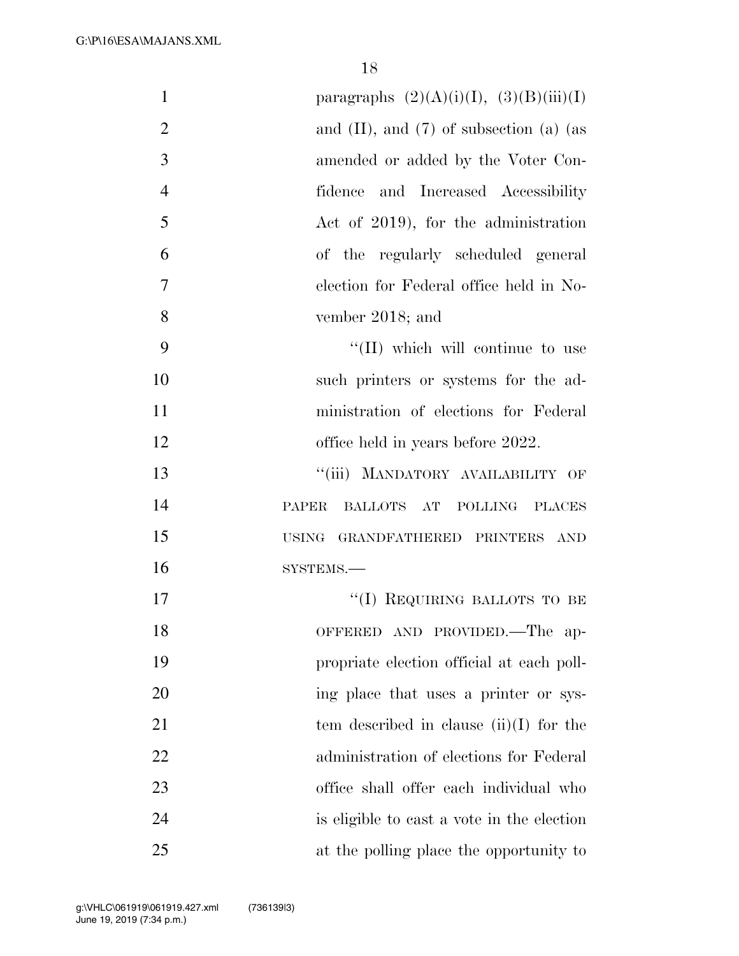| $\mathbf{1}$   | paragraphs $(2)(A)(i)(I), (3)(B)(iii)(I)$      |
|----------------|------------------------------------------------|
| $\overline{2}$ | and $(II)$ , and $(7)$ of subsection $(a)$ (as |
| 3              | amended or added by the Voter Con-             |
| $\overline{4}$ | fidence and Increased Accessibility            |
| 5              | Act of 2019), for the administration           |
| 6              | of the regularly scheduled general             |
| 7              | election for Federal office held in No-        |
| 8              | vember 2018; and                               |
| 9              | $\lq\lq$ (II) which will continue to use       |
| 10             | such printers or systems for the ad-           |
| 11             | ministration of elections for Federal          |
| 12             | office held in years before 2022.              |
| 13             | MANDATORY AVAILABILITY OF<br>``(iii)           |
| 14             | PAPER<br>BALLOTS AT POLLING PLACES             |
| 15             | <b>USING</b><br>GRANDFATHERED PRINTERS AND     |
| 16             | SYSTEMS.-                                      |
| 17             | "(I) REQUIRING BALLOTS TO BE                   |
| 18             | OFFERED AND PROVIDED.—The ap-                  |
| 19             | propriate election official at each poll-      |
| 20             | ing place that uses a printer or sys-          |
| 21             | tem described in clause $(ii)(I)$ for the      |
| 22             | administration of elections for Federal        |
| 23             | office shall offer each individual who         |
| 24             | is eligible to cast a vote in the election     |
| 25             | at the polling place the opportunity to        |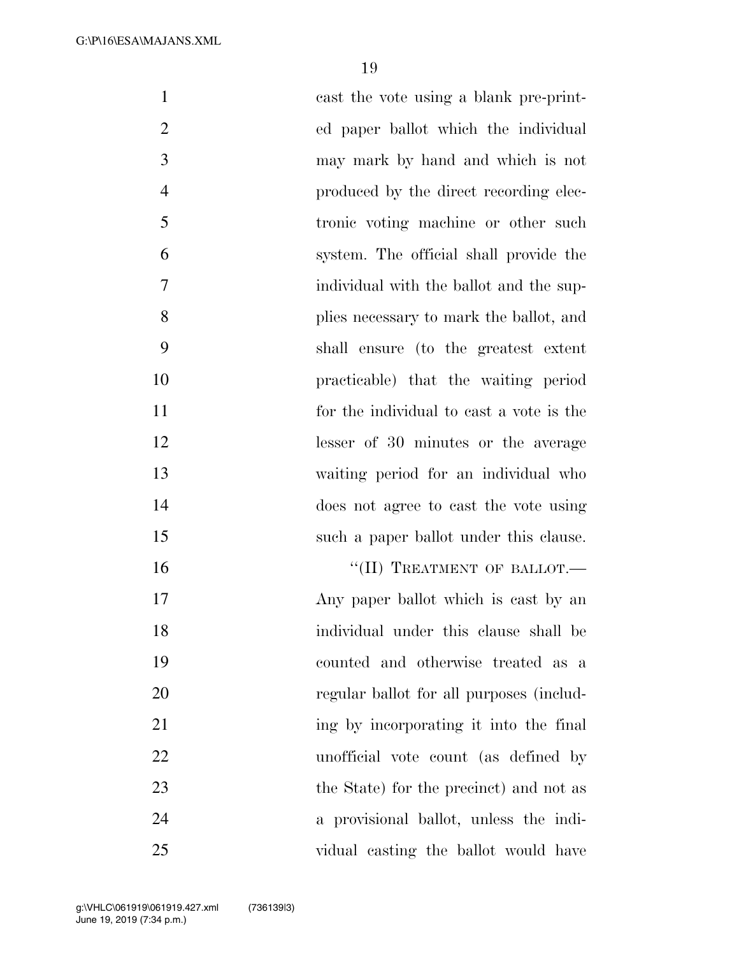| $\mathbf{1}$   | east the vote using a blank pre-print-   |
|----------------|------------------------------------------|
| $\overline{2}$ | ed paper ballot which the individual     |
| 3              | may mark by hand and which is not        |
| $\overline{4}$ | produced by the direct recording elec-   |
| 5              | tronic voting machine or other such      |
| 6              | system. The official shall provide the   |
| 7              | individual with the ballot and the sup-  |
| 8              | plies necessary to mark the ballot, and  |
| 9              | shall ensure (to the greatest extent     |
| 10             | practicable) that the waiting period     |
| 11             | for the individual to cast a vote is the |
| 12             | lesser of 30 minutes or the average      |
| 13             | waiting period for an individual who     |
| 14             | does not agree to cast the vote using    |
| 15             | such a paper ballot under this clause.   |
| 16             | "(II) TREATMENT OF BALLOT.-              |
| 17             | Any paper ballot which is east by an     |
| 18             | individual under this clause shall be    |
| 19             | counted and otherwise treated as a       |
| 20             | regular ballot for all purposes (includ- |
| 21             | ing by incorporating it into the final   |
| 22             | unofficial vote count (as defined by     |
| 23             | the State) for the precinct) and not as  |
| 24             | a provisional ballot, unless the indi-   |
| 25             | vidual casting the ballot would have     |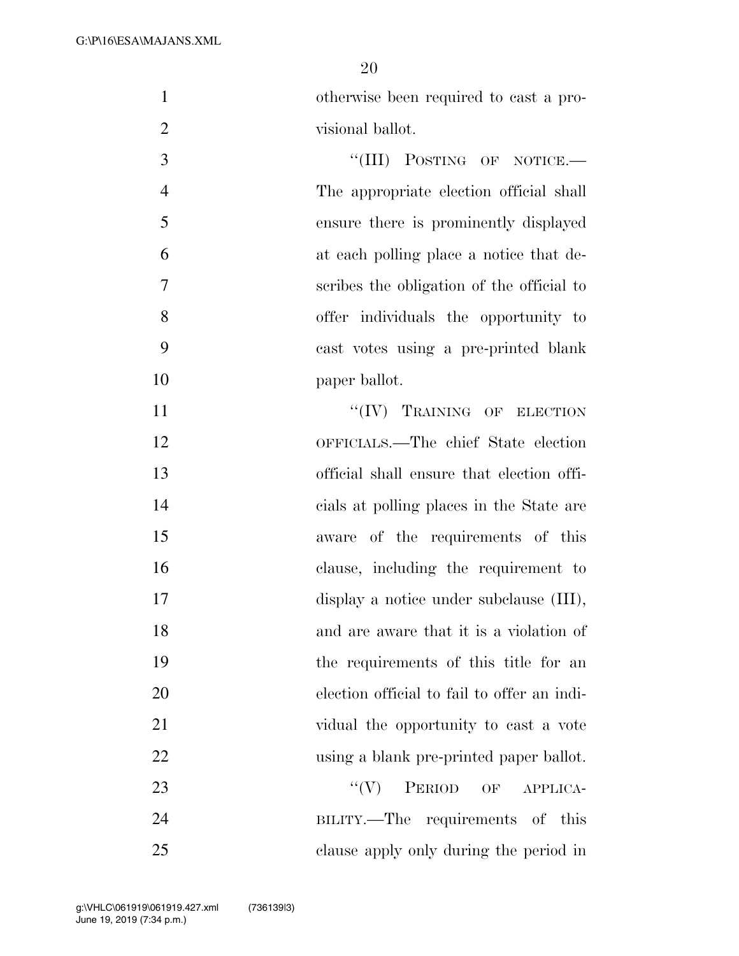otherwise been required to cast a pro-2 visional ballot.

3 "(III) POSTING OF NOTICE.— The appropriate election official shall ensure there is prominently displayed at each polling place a notice that de- scribes the obligation of the official to offer individuals the opportunity to cast votes using a pre-printed blank 10 paper ballot.

 $``(IV)$  TRAINING OF ELECTION OFFICIALS.—The chief State election official shall ensure that election offi- cials at polling places in the State are aware of the requirements of this clause, including the requirement to display a notice under subclause (III), and are aware that it is a violation of the requirements of this title for an election official to fail to offer an indi- vidual the opportunity to cast a vote using a blank pre-printed paper ballot. 23 "'(V) PERIOD OF APPLICA- BILITY.—The requirements of this clause apply only during the period in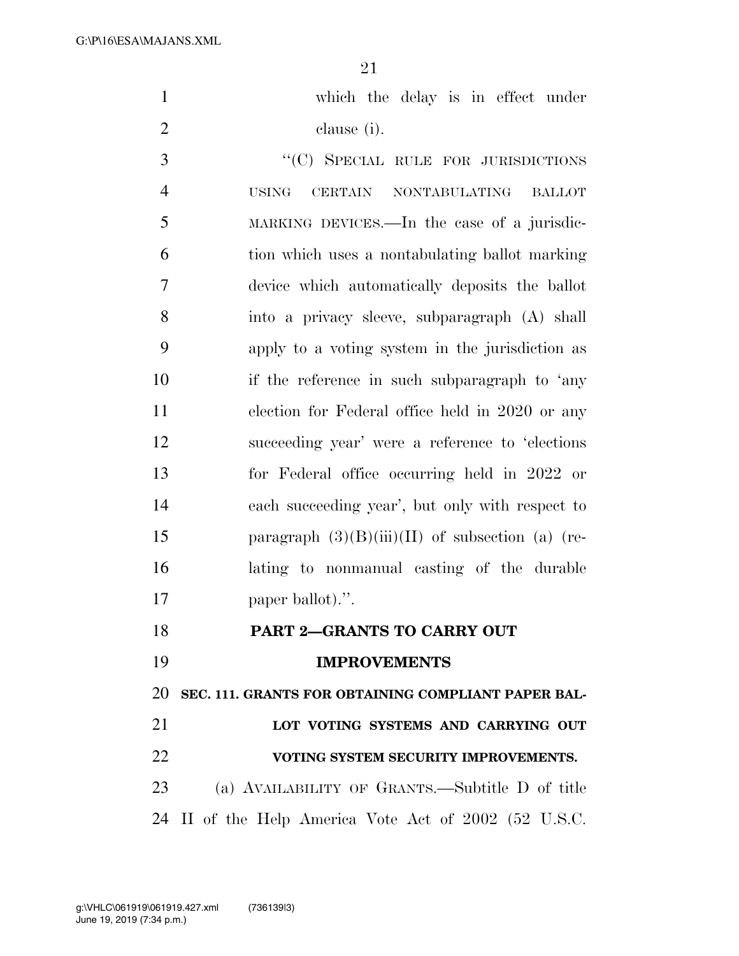G:\P\16\ESA\MAJANS.XML

| $\mathbf{1}$   | which the delay is in effect under                    |
|----------------|-------------------------------------------------------|
| $\overline{2}$ | clause (i).                                           |
| 3              | "(C) SPECIAL RULE FOR JURISDICTIONS                   |
| $\overline{4}$ | CERTAIN NONTABULATING BALLOT<br><b>USING</b>          |
| 5              | MARKING DEVICES.—In the case of a jurisdic-           |
| 6              | tion which uses a nontabulating ballot marking        |
| $\overline{7}$ | device which automatically deposits the ballot        |
| 8              | into a privacy sleeve, subparagraph (A) shall         |
| 9              | apply to a voting system in the jurisdiction as       |
| 10             | if the reference in such subparagraph to 'any         |
| 11             | election for Federal office held in 2020 or any       |
| 12             | succeeding year' were a reference to 'elections       |
| 13             | for Federal office occurring held in 2022 or          |
| 14             | each succeeding year', but only with respect to       |
| 15             | paragraph $(3)(B)(iii)(II)$ of subsection (a) (re-    |
| 16             | lating to nonmanual casting of the durable            |
| 17             | paper ballot).".                                      |
| 18             | PART 2-GRANTS TO CARRY OUT                            |
| 19             | <b>IMPROVEMENTS</b>                                   |
| 20             | SEC. 111. GRANTS FOR OBTAINING COMPLIANT PAPER BAL-   |
| 21             | LOT VOTING SYSTEMS AND CARRYING OUT                   |
| 22             | VOTING SYSTEM SECURITY IMPROVEMENTS.                  |
| 23             | (a) AVAILABILITY OF GRANTS.—Subtitle D of title       |
|                | 24 II of the Help America Vote Act of 2002 (52 U.S.C. |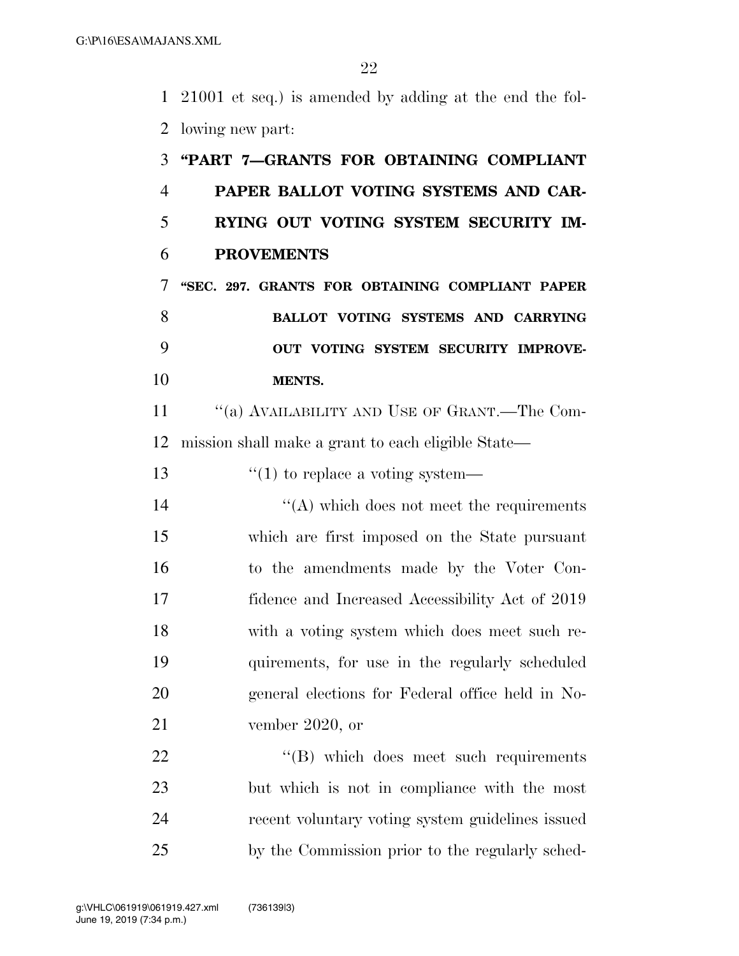21001 et seq.) is amended by adding at the end the fol-lowing new part:

# **''PART 7—GRANTS FOR OBTAINING COMPLIANT PAPER BALLOT VOTING SYSTEMS AND CAR- RYING OUT VOTING SYSTEM SECURITY IM- PROVEMENTS ''SEC. 297. GRANTS FOR OBTAINING COMPLIANT PAPER BALLOT VOTING SYSTEMS AND CARRYING OUT VOTING SYSTEM SECURITY IMPROVE- MENTS.**  11 "(a) AVAILABILITY AND USE OF GRANT.—The Com- mission shall make a grant to each eligible State— 13  $\frac{13}{10}$  to replace a voting system— 14 ''(A) which does not meet the requirements which are first imposed on the State pursuant to the amendments made by the Voter Con- fidence and Increased Accessibility Act of 2019 with a voting system which does meet such re- quirements, for use in the regularly scheduled general elections for Federal office held in No- vember 2020, or 22 "'(B) which does meet such requirements but which is not in compliance with the most recent voluntary voting system guidelines issued by the Commission prior to the regularly sched-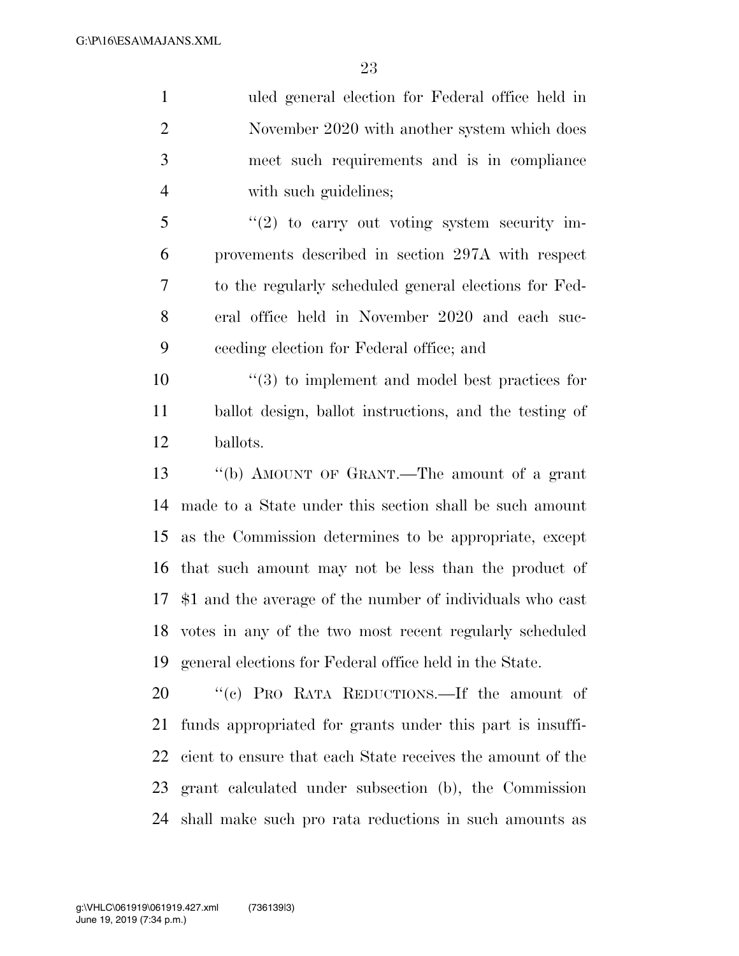uled general election for Federal office held in November 2020 with another system which does meet such requirements and is in compliance 4 with such guidelines; ''(2) to carry out voting system security im- provements described in section 297A with respect to the regularly scheduled general elections for Fed- eral office held in November 2020 and each suc- ceeding election for Federal office; and  $\frac{10}{20}$  to implement and model best practices for ballot design, ballot instructions, and the testing of ballots. ''(b) AMOUNT OF GRANT.—The amount of a grant made to a State under this section shall be such amount as the Commission determines to be appropriate, except that such amount may not be less than the product of \$1 and the average of the number of individuals who cast votes in any of the two most recent regularly scheduled general elections for Federal office held in the State.

 ''(c) PRO RATA REDUCTIONS.—If the amount of funds appropriated for grants under this part is insuffi- cient to ensure that each State receives the amount of the grant calculated under subsection (b), the Commission shall make such pro rata reductions in such amounts as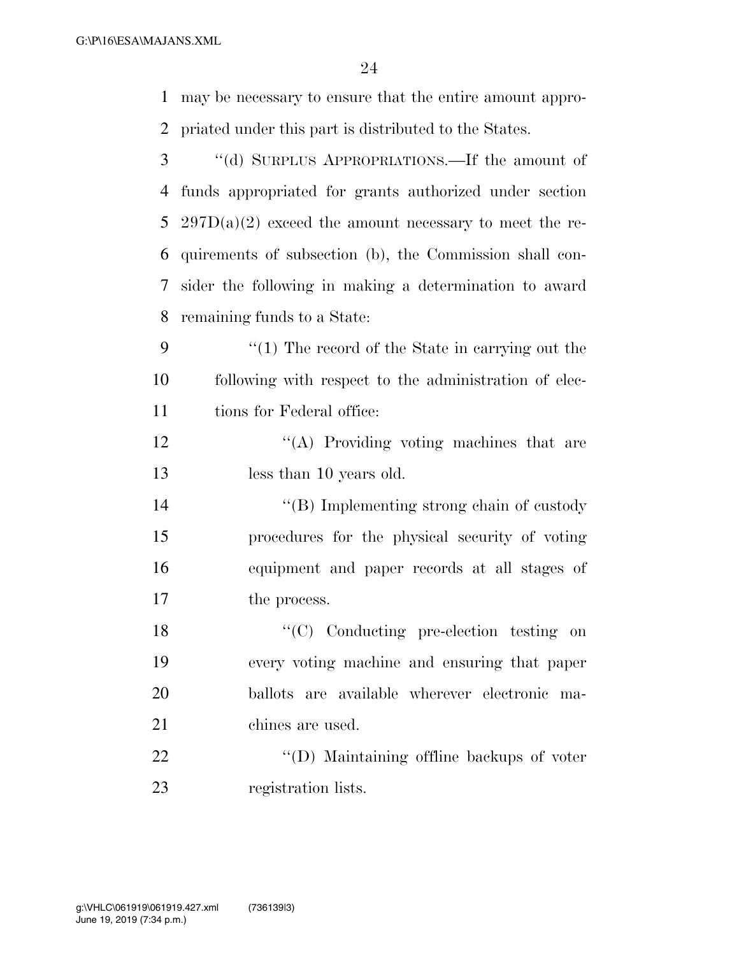G:\P\16\ESA\MAJANS.XML

| 1              | may be necessary to ensure that the entire amount appro- |
|----------------|----------------------------------------------------------|
| $\overline{2}$ | priated under this part is distributed to the States.    |
| 3              | "(d) SURPLUS APPROPRIATIONS.—If the amount of            |
| 4              | funds appropriated for grants authorized under section   |
| 5              | $297D(a)(2)$ exceed the amount necessary to meet the re- |
| 6              | quirements of subsection (b), the Commission shall con-  |
| 7              | sider the following in making a determination to award   |
| 8              | remaining funds to a State:                              |
| 9              | $\lq(1)$ The record of the State in carrying out the     |
| 10             | following with respect to the administration of elec-    |
| 11             | tions for Federal office:                                |
| 12             | "(A) Providing voting machines that are                  |
| 13             | less than 10 years old.                                  |
| 14             | $\lq\lq$ (B) Implementing strong chain of custody        |
| 15             | procedures for the physical security of voting           |
| 16             | equipment and paper records at all stages of             |
| 17             | the process.                                             |
| 18             | "(C) Conducting pre-election testing on                  |
| 19             | every voting machine and ensuring that paper             |
| 20             | ballots are available wherever electronic ma-            |
| 21             | chines are used.                                         |
| 22             | "(D) Maintaining offline backups of voter                |
| 23             | registration lists.                                      |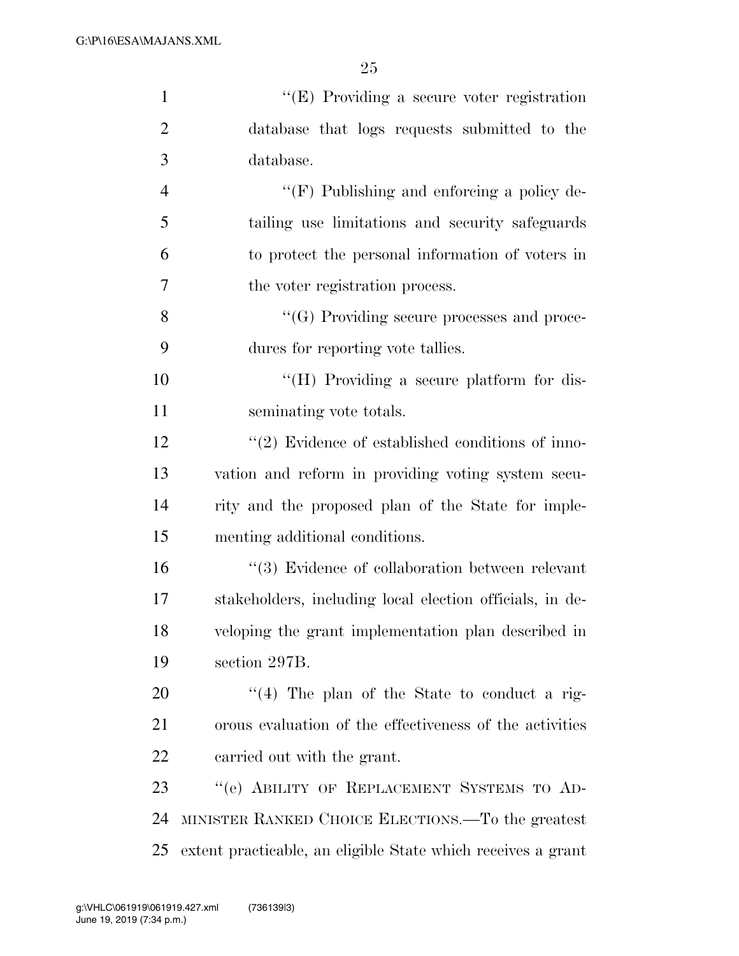| $\mathbf{1}$   | "(E) Providing a secure voter registration                   |
|----------------|--------------------------------------------------------------|
| $\overline{2}$ | database that logs requests submitted to the                 |
| 3              | database.                                                    |
| $\overline{4}$ | "(F) Publishing and enforcing a policy de-                   |
| 5              | tailing use limitations and security safeguards              |
| 6              | to protect the personal information of voters in             |
| 7              | the voter registration process.                              |
| 8              | "(G) Providing secure processes and proce-                   |
| 9              | dures for reporting vote tallies.                            |
| 10             | "(H) Providing a secure platform for dis-                    |
| 11             | seminating vote totals.                                      |
| 12             | $\lq(2)$ Evidence of established conditions of inno-         |
| 13             | vation and reform in providing voting system secu-           |
| 14             | rity and the proposed plan of the State for imple-           |
| 15             | menting additional conditions.                               |
| 16             | "(3) Evidence of collaboration between relevant              |
| 17             | stakeholders, including local election officials, in de-     |
| 18             | veloping the grant implementation plan described in          |
| 19             | section 297B.                                                |
| 20             | $\cdot$ (4) The plan of the State to conduct a rig-          |
| 21             | orous evaluation of the effectiveness of the activities      |
| 22             | carried out with the grant.                                  |
| 23             | "(e) ABILITY OF REPLACEMENT SYSTEMS TO AD-                   |
| 24             | MINISTER RANKED CHOICE ELECTIONS.—To the greatest            |
| 25             | extent practicable, an eligible State which receives a grant |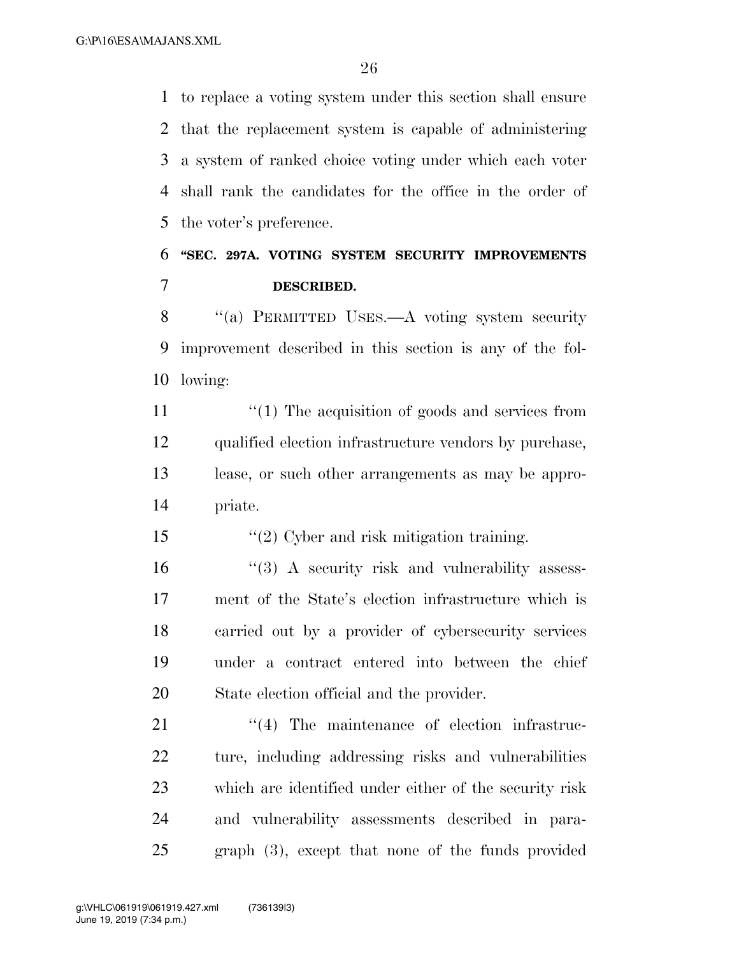to replace a voting system under this section shall ensure that the replacement system is capable of administering a system of ranked choice voting under which each voter shall rank the candidates for the office in the order of the voter's preference.

# **''SEC. 297A. VOTING SYSTEM SECURITY IMPROVEMENTS DESCRIBED.**

8 "(a) PERMITTED USES.—A voting system security improvement described in this section is any of the fol-lowing:

 $\frac{1}{2}$  (1) The acquisition of goods and services from qualified election infrastructure vendors by purchase, lease, or such other arrangements as may be appro-priate.

''(2) Cyber and risk mitigation training.

16 ''(3) A security risk and vulnerability assess- ment of the State's election infrastructure which is carried out by a provider of cybersecurity services under a contract entered into between the chief State election official and the provider.

 $\frac{1}{2}$  The maintenance of election infrastruc- ture, including addressing risks and vulnerabilities which are identified under either of the security risk and vulnerability assessments described in para-graph (3), except that none of the funds provided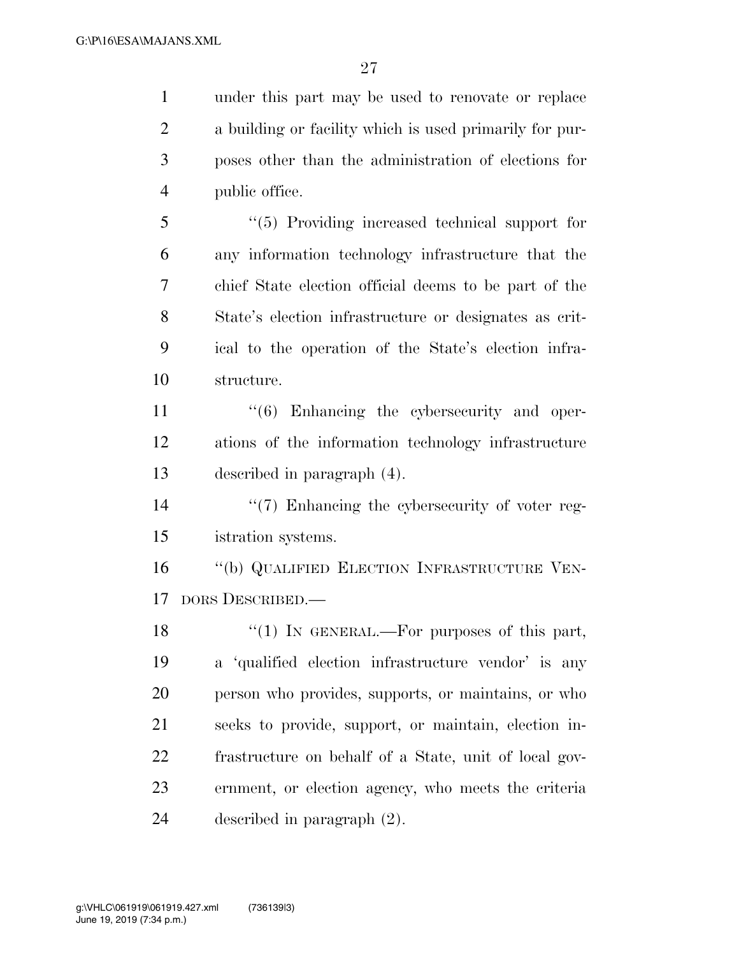under this part may be used to renovate or replace a building or facility which is used primarily for pur- poses other than the administration of elections for public office.

 ''(5) Providing increased technical support for any information technology infrastructure that the chief State election official deems to be part of the State's election infrastructure or designates as crit- ical to the operation of the State's election infra-structure.

11  $\frac{1}{6}$  Enhancing the cybersecurity and oper- ations of the information technology infrastructure described in paragraph (4).

14  $\frac{1}{2}$  Enhancing the cybersecurity of voter reg-istration systems.

 ''(b) QUALIFIED ELECTION INFRASTRUCTURE VEN-DORS DESCRIBED.—

18 "(1) IN GENERAL.—For purposes of this part, a 'qualified election infrastructure vendor' is any person who provides, supports, or maintains, or who seeks to provide, support, or maintain, election in- frastructure on behalf of a State, unit of local gov- ernment, or election agency, who meets the criteria described in paragraph (2).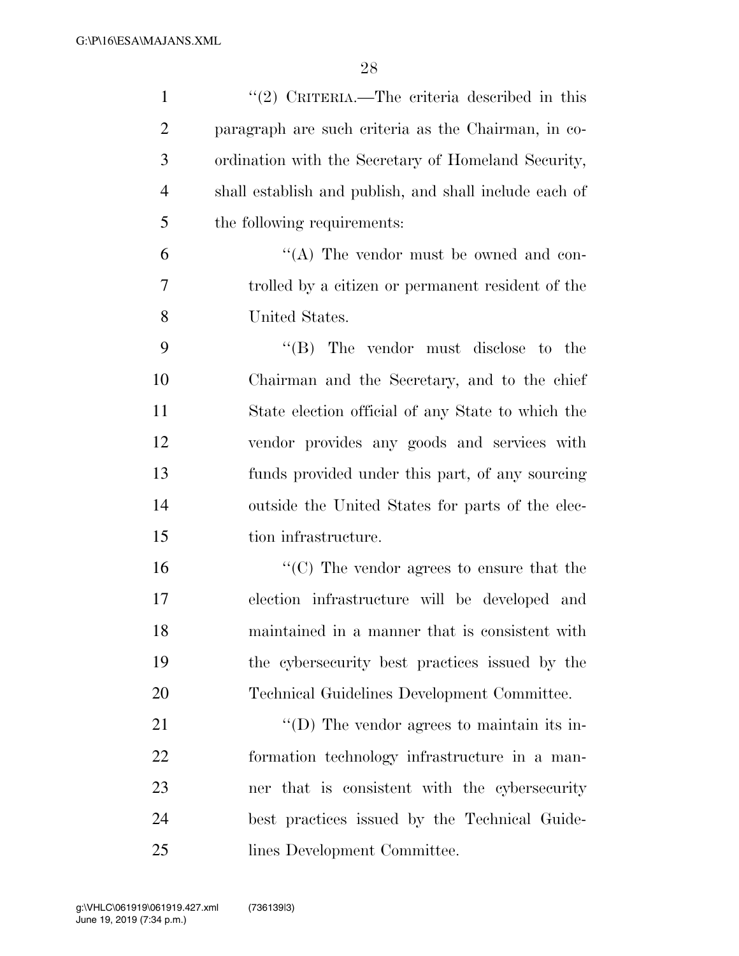| $\mathbf{1}$   | $\lq(2)$ CRITERIA.—The criteria described in this      |
|----------------|--------------------------------------------------------|
| $\overline{2}$ | paragraph are such criteria as the Chairman, in co-    |
| 3              | ordination with the Secretary of Homeland Security,    |
| $\overline{4}$ | shall establish and publish, and shall include each of |
| 5              | the following requirements:                            |
| 6              | "(A) The vendor must be owned and con-                 |
| 7              | trolled by a citizen or permanent resident of the      |
| 8              | United States.                                         |
| 9              | $\lq\lq$ . The vendor must disclose to the             |
| 10             | Chairman and the Secretary, and to the chief           |
| 11             | State election official of any State to which the      |
| 12             | vendor provides any goods and services with            |
| 13             | funds provided under this part, of any sourcing        |
| 14             | outside the United States for parts of the elec-       |
| 15             | tion infrastructure.                                   |
| 16             | "(C) The vendor agrees to ensure that the              |
| 17             | election infrastructure will be developed and          |
| 18             | maintained in a manner that is consistent with         |
| 19             | the cybers ecurity best practices issued by the        |
| 20             | Technical Guidelines Development Committee.            |
| 21             | "(D) The vendor agrees to maintain its in-             |
| 22             | formation technology infrastructure in a man-          |
| 23             | ner that is consistent with the cybersecurity          |
| 24             | best practices issued by the Technical Guide-          |
| 25             | lines Development Committee.                           |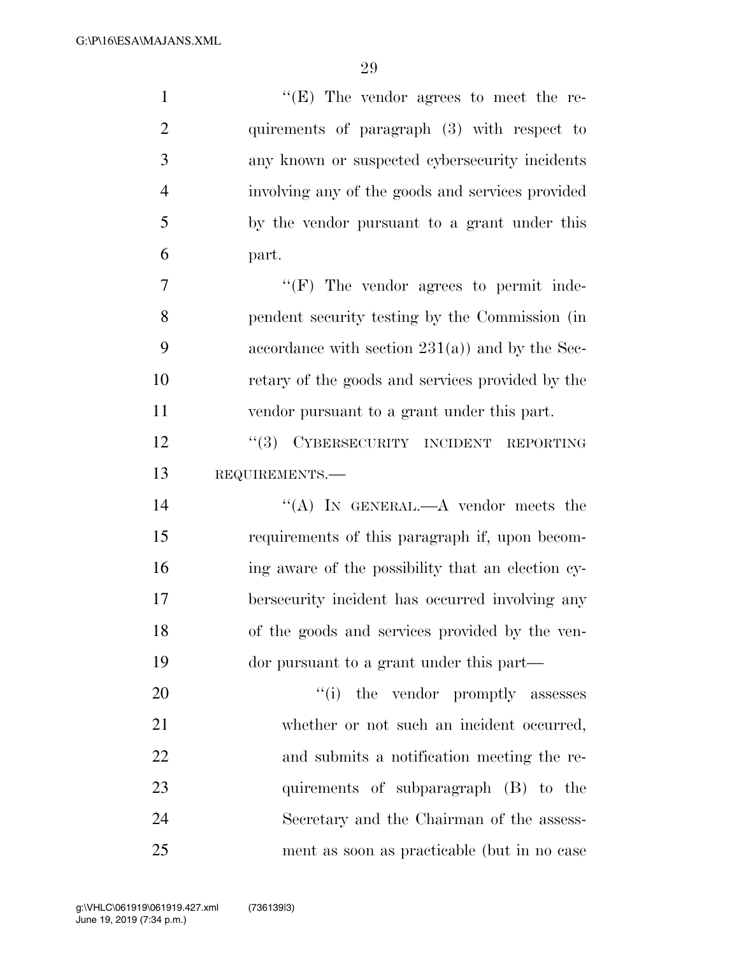G:\P\16\ESA\MAJANS.XML

| $\mathbf{1}$   | " $(E)$ The vendor agrees to meet the re-         |
|----------------|---------------------------------------------------|
| $\overline{2}$ | quirements of paragraph (3) with respect to       |
| 3              | any known or suspected cybersecurity incidents    |
| $\overline{4}$ | involving any of the goods and services provided  |
| 5              | by the vendor pursuant to a grant under this      |
| 6              | part.                                             |
| 7              | $\lq\lq(F)$ The vendor agrees to permit inde-     |
| 8              | pendent security testing by the Commission (in    |
| 9              | accordance with section $231(a)$ and by the Sec-  |
| 10             | retary of the goods and services provided by the  |
| 11             | vendor pursuant to a grant under this part.       |
| 12             | CYBERSECURITY INCIDENT<br>(3)<br><b>REPORTING</b> |
| 13             | REQUIREMENTS.                                     |
| 14             | "(A) IN GENERAL.—A vendor meets the               |
| 15             | requirements of this paragraph if, upon becom-    |
| 16             | ing aware of the possibility that an election cy- |
| 17             | bersecurity incident has occurred involving any   |
| 18             | of the goods and services provided by the ven-    |
| 19             | dor pursuant to a grant under this part—          |
| 20             | "(i) the vendor promptly assesses                 |
| 21             | whether or not such an incident occurred,         |
| 22             | and submits a notification meeting the re-        |
| 23             | quirements of subparagraph (B) to the             |
| 24             | Secretary and the Chairman of the assess-         |
| 25             | ment as soon as practicable (but in no case       |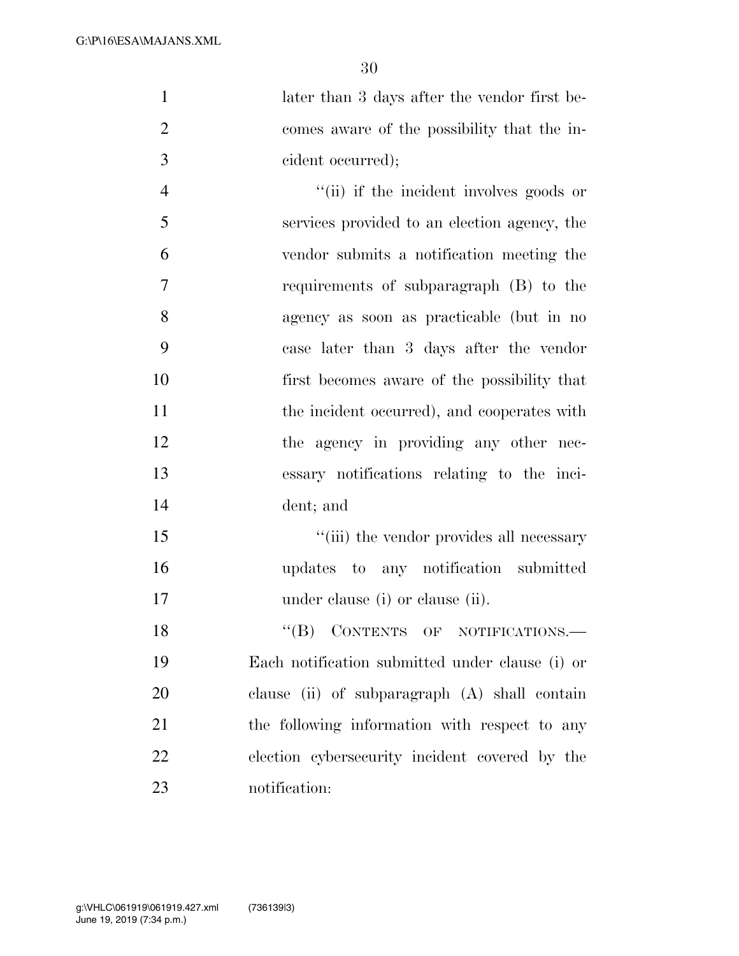1 later than 3 days after the vendor first be- comes aware of the possibility that the in-cident occurred);

 $''(ii)$  if the incident involves goods or services provided to an election agency, the vendor submits a notification meeting the requirements of subparagraph (B) to the agency as soon as practicable (but in no case later than 3 days after the vendor first becomes aware of the possibility that 11 the incident occurred), and cooperates with the agency in providing any other nec- essary notifications relating to the inci-dent; and

15  $\frac{1}{10}$  the vendor provides all necessary updates to any notification submitted 17 under clause (i) or clause (ii).

18 "(B) CONTENTS OF NOTIFICATIONS.— Each notification submitted under clause (i) or clause (ii) of subparagraph (A) shall contain 21 the following information with respect to any election cybersecurity incident covered by the notification: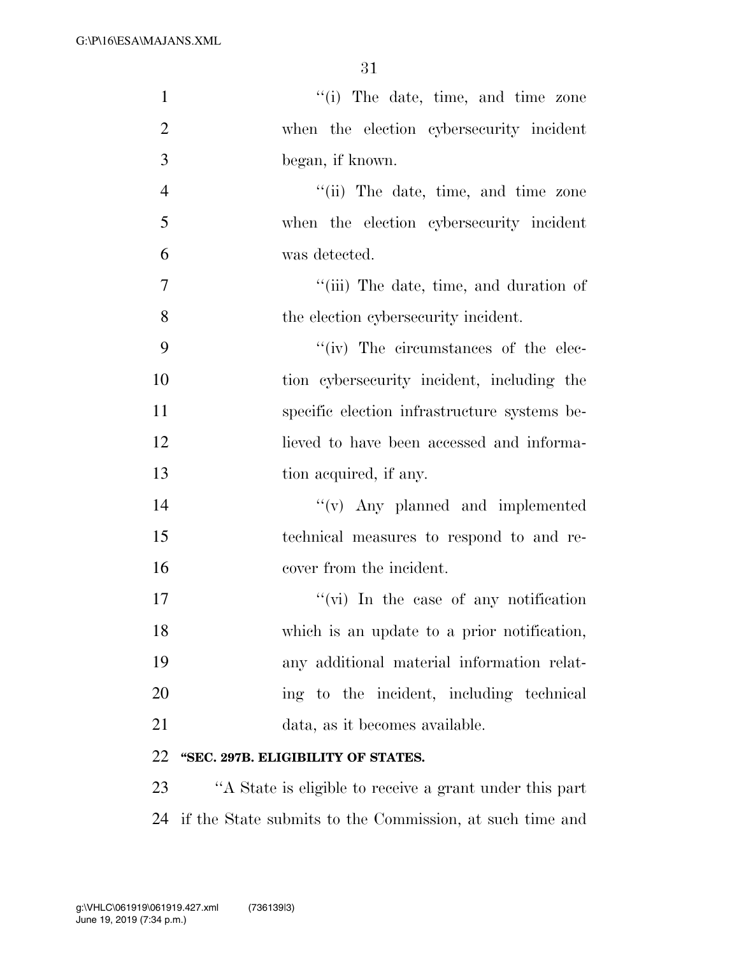| $\mathbf{1}$   | "(i) The date, time, and time zone           |
|----------------|----------------------------------------------|
| $\overline{2}$ | when the election cybersecurity incident     |
| 3              | began, if known.                             |
| $\overline{4}$ | "(ii) The date, time, and time zone          |
| 5              | when the election cybersecurity incident     |
| 6              | was detected.                                |
| $\overline{7}$ | "(iii) The date, time, and duration of       |
| 8              | the election cybers ecurity incident.        |
| 9              | "(iv) The circumstances of the elec-         |
| 10             | tion cybersecurity incident, including the   |
| 11             | specific election infrastructure systems be- |
| 12             | lieved to have been accessed and informa-    |
| 13             | tion acquired, if any.                       |
| 14             | $f'(v)$ Any planned and implemented          |
| 15             | technical measures to respond to and re-     |
| 16             | cover from the incident.                     |
| 17             | "(vi) In the case of any notification        |
| 18             | which is an update to a prior notification,  |
| 19             | any additional material information relat-   |
| 20             | ing to the incident, including technical     |
| 21             | data, as it becomes available.               |
| 22             | "SEC. 297B. ELIGIBILITY OF STATES.           |

23 ''A State is eligible to receive a grant under this part 24 if the State submits to the Commission, at such time and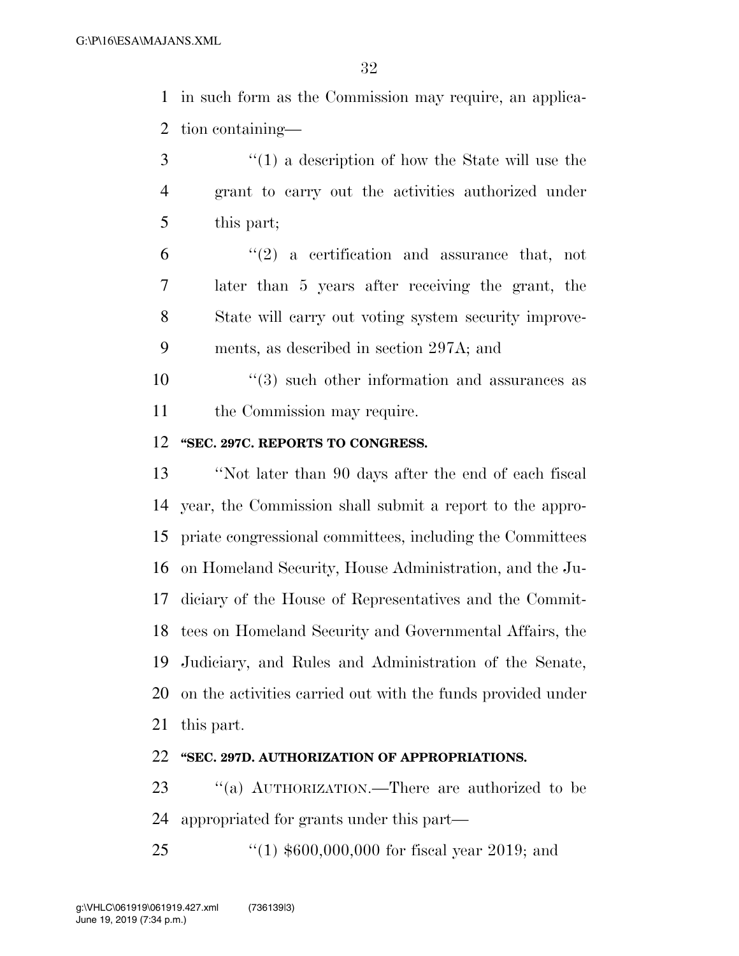in such form as the Commission may require, an applica-tion containing—

- ''(1) a description of how the State will use the grant to carry out the activities authorized under this part;
- $(6)$  ''(2) a certification and assurance that, not later than 5 years after receiving the grant, the State will carry out voting system security improve-ments, as described in section 297A; and
- 10  $(3)$  such other information and assurances as 11 the Commission may require.

### **''SEC. 297C. REPORTS TO CONGRESS.**

 ''Not later than 90 days after the end of each fiscal year, the Commission shall submit a report to the appro- priate congressional committees, including the Committees on Homeland Security, House Administration, and the Ju- diciary of the House of Representatives and the Commit- tees on Homeland Security and Governmental Affairs, the Judiciary, and Rules and Administration of the Senate, on the activities carried out with the funds provided under this part.

### **''SEC. 297D. AUTHORIZATION OF APPROPRIATIONS.**

 ''(a) AUTHORIZATION.—There are authorized to be appropriated for grants under this part—

''(1) \$600,000,000 for fiscal year 2019; and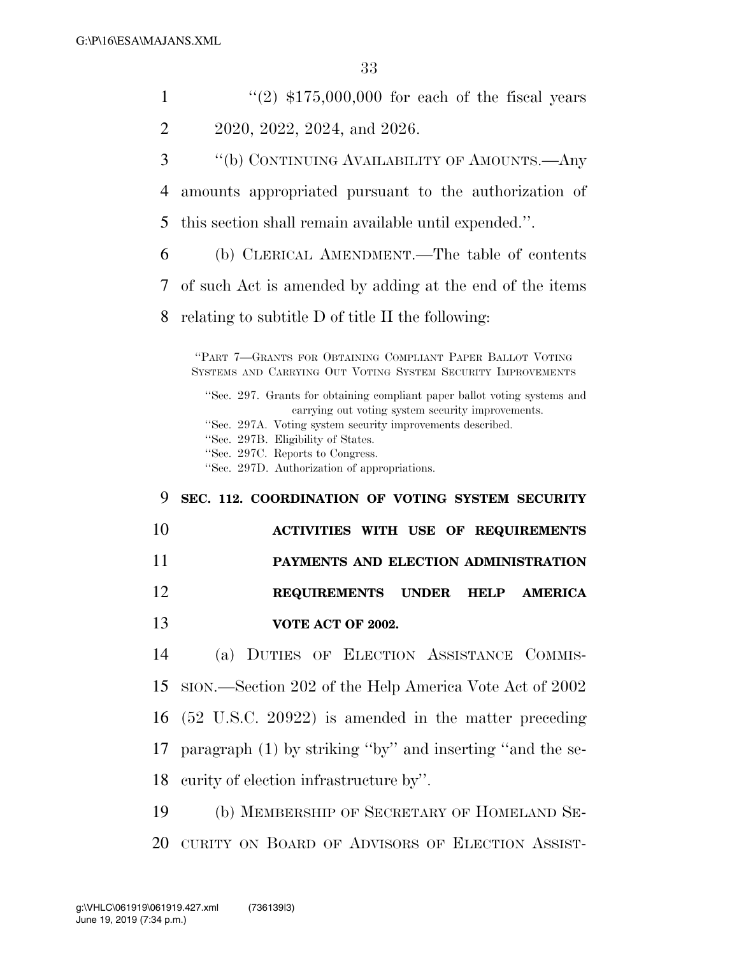| 1  | $\cdot\cdot\cdot(2)$ \$175,000,000 for each of the fiscal years                                                                                                                                                                                                                                                        |
|----|------------------------------------------------------------------------------------------------------------------------------------------------------------------------------------------------------------------------------------------------------------------------------------------------------------------------|
| 2  | 2020, 2022, 2024, and 2026.                                                                                                                                                                                                                                                                                            |
| 3  | "(b) CONTINUING AVAILABILITY OF AMOUNTS.—Any                                                                                                                                                                                                                                                                           |
|    |                                                                                                                                                                                                                                                                                                                        |
| 4  | amounts appropriated pursuant to the authorization of                                                                                                                                                                                                                                                                  |
| 5  | this section shall remain available until expended.".                                                                                                                                                                                                                                                                  |
| 6  | (b) CLERICAL AMENDMENT.—The table of contents                                                                                                                                                                                                                                                                          |
| 7  | of such Act is amended by adding at the end of the items                                                                                                                                                                                                                                                               |
| 8  | relating to subtitle D of title II the following:                                                                                                                                                                                                                                                                      |
|    | "PART 7—GRANTS FOR OBTAINING COMPLIANT PAPER BALLOT VOTING<br>SYSTEMS AND CARRYING OUT VOTING SYSTEM SECURITY IMPROVEMENTS                                                                                                                                                                                             |
|    | "Sec. 297. Grants for obtaining compliant paper ballot voting systems and<br>carrying out voting system security improvements.<br>"Sec. 297A. Voting system security improvements described.<br>"Sec. 297B. Eligibility of States.<br>"Sec. 297C. Reports to Congress.<br>"Sec. 297D. Authorization of appropriations. |
|    |                                                                                                                                                                                                                                                                                                                        |
| 9  | SEC. 112. COORDINATION OF VOTING SYSTEM SECURITY                                                                                                                                                                                                                                                                       |
| 10 | <b>ACTIVITIES WITH USE OF REQUIREMENTS</b>                                                                                                                                                                                                                                                                             |
| 11 | PAYMENTS AND ELECTION ADMINISTRATION                                                                                                                                                                                                                                                                                   |
| 12 | <b>REQUIREMENTS</b><br><b>UNDER</b><br><b>AMERICA</b><br><b>HELP</b>                                                                                                                                                                                                                                                   |
| 13 | VOTE ACT OF 2002.                                                                                                                                                                                                                                                                                                      |
| 14 | (a) DUTIES OF ELECTION ASSISTANCE COMMIS-                                                                                                                                                                                                                                                                              |
| 15 | SION.—Section 202 of the Help America Vote Act of 2002                                                                                                                                                                                                                                                                 |
| 16 | $(52 \text{ U.S.C. } 20922)$ is amended in the matter preceding                                                                                                                                                                                                                                                        |
| 17 | paragraph (1) by striking "by" and inserting "and the se-                                                                                                                                                                                                                                                              |
| 18 | curity of election infrastructure by".                                                                                                                                                                                                                                                                                 |

CURITY ON BOARD OF ADVISORS OF ELECTION ASSIST-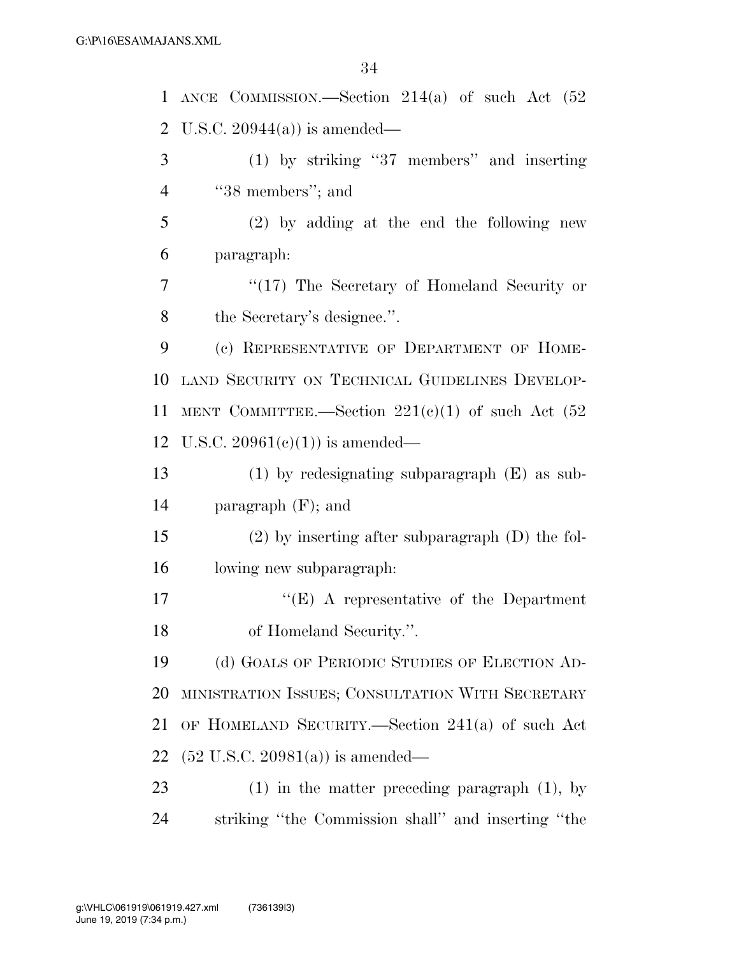| 1              | ANCE COMMISSION.—Section $214(a)$ of such Act $(52)$ |
|----------------|------------------------------------------------------|
| $\overline{2}$ | U.S.C. $20944(a)$ is amended—                        |
| 3              | $(1)$ by striking "37 members" and inserting         |
| $\overline{4}$ | "38 members"; and                                    |
| 5              | $(2)$ by adding at the end the following new         |
| 6              | paragraph:                                           |
| 7              | "(17) The Secretary of Homeland Security or          |
| 8              | the Secretary's designee.".                          |
| 9              | (c) REPRESENTATIVE OF DEPARTMENT OF HOME-            |
| 10             | LAND SECURITY ON TECHNICAL GUIDELINES DEVELOP-       |
| 11             | MENT COMMITTEE.—Section $221(e)(1)$ of such Act (52) |
| 12             | U.S.C. $20961(e)(1)$ is amended—                     |
| 13             | $(1)$ by redesignating subparagraph $(E)$ as sub-    |
| 14             | paragraph $(F)$ ; and                                |
| 15             | $(2)$ by inserting after subparagraph $(D)$ the fol- |
| 16             | lowing new subparagraph:                             |
| 17             | $\lq\lq(E)$ A representative of the Department       |
| 18             | of Homeland Security.".                              |
| 19             | (d) GOALS OF PERIODIC STUDIES OF ELECTION AD-        |
| 20             | MINISTRATION ISSUES; CONSULTATION WITH SECRETARY     |
| 21             | OF HOMELAND SECURITY.—Section $241(a)$ of such Act   |
| 22             | $(52 \text{ U.S.C. } 20981(a))$ is amended—          |
| 23             | $(1)$ in the matter preceding paragraph $(1)$ , by   |
| 24             | striking "the Commission shall" and inserting "the   |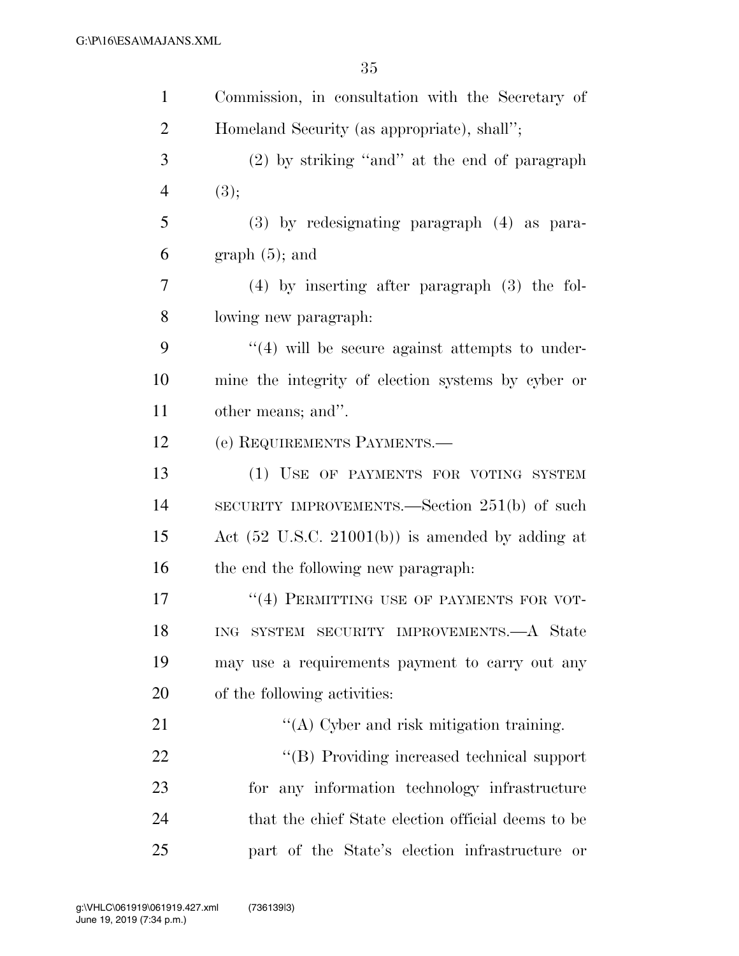| $\mathbf{1}$   | Commission, in consultation with the Secretary of           |
|----------------|-------------------------------------------------------------|
| $\overline{2}$ | Homeland Security (as appropriate), shall";                 |
| 3              | $(2)$ by striking "and" at the end of paragraph             |
| $\overline{4}$ | (3);                                                        |
| 5              | $(3)$ by redesignating paragraph $(4)$ as para-             |
| 6              | $graph(5)$ ; and                                            |
| $\overline{7}$ | $(4)$ by inserting after paragraph $(3)$ the fol-           |
| 8              | lowing new paragraph:                                       |
| 9              | $\lq(4)$ will be secure against attempts to under-          |
| 10             | mine the integrity of election systems by cyber or          |
| 11             | other means; and".                                          |
| 12             | (e) REQUIREMENTS PAYMENTS.—                                 |
| 13             | (1) USE OF PAYMENTS FOR VOTING SYSTEM                       |
| 14             | SECURITY IMPROVEMENTS.—Section 251(b) of such               |
| 15             | Act $(52 \text{ U.S.C. } 21001(b))$ is amended by adding at |
| 16             | the end the following new paragraph.                        |
| 17             | "(4) PERMITTING USE OF PAYMENTS FOR VOT-                    |
| 18             | ING SYSTEM SECURITY IMPROVEMENTS.—A State                   |
| 19             | may use a requirements payment to carry out any             |
| 20             | of the following activities:                                |
| 21             | $\lq\lq$ Cyber and risk mitigation training.                |
| 22             | "(B) Providing increased technical support                  |
| 23             | for any information technology infrastructure               |
| 24             | that the chief State election official deems to be          |
| 25             | part of the State's election infrastructure or              |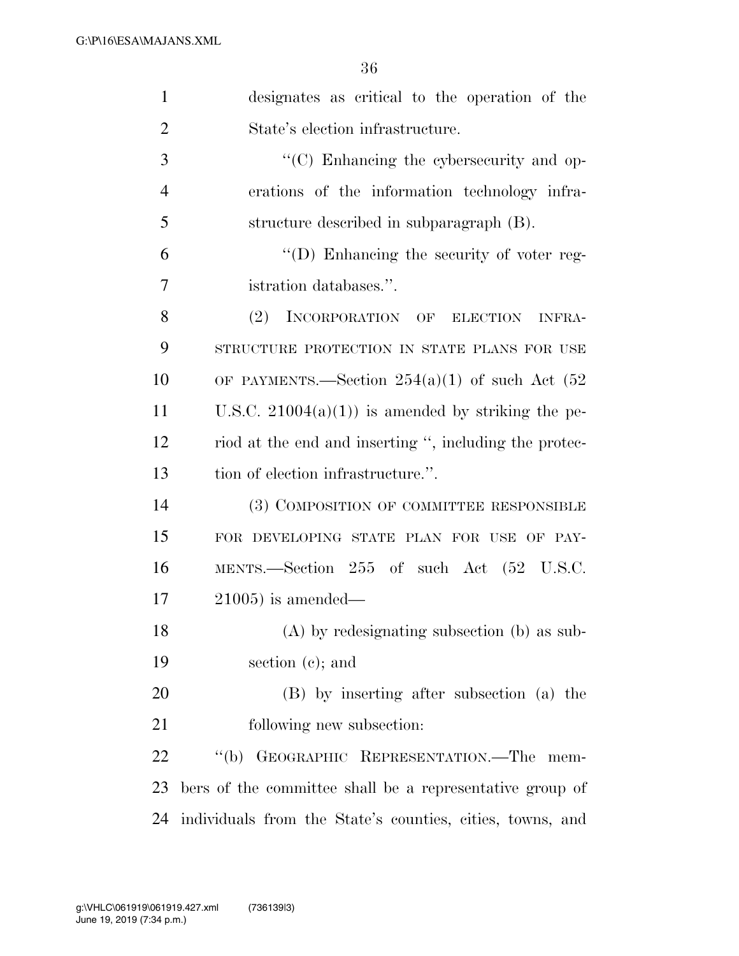| $\mathbf{1}$   | designates as critical to the operation of the           |
|----------------|----------------------------------------------------------|
| $\overline{2}$ | State's election infrastructure.                         |
| 3              | "(C) Enhancing the cybersecurity and op-                 |
| $\overline{4}$ | erations of the information technology infra-            |
| 5              | structure described in subparagraph (B).                 |
| 6              | "(D) Enhancing the security of voter reg-                |
| 7              | istration databases.".                                   |
| 8              | (2)<br>INCORPORATION OF ELECTION<br><b>INFRA-</b>        |
| 9              | STRUCTURE PROTECTION IN STATE PLANS FOR USE              |
| 10             | OF PAYMENTS.—Section $254(a)(1)$ of such Act (52)        |
| 11             | U.S.C. $21004(a)(1)$ is amended by striking the pe-      |
| 12             | riod at the end and inserting ", including the protec-   |
| 13             | tion of election infrastructure.".                       |
| 14             | (3) COMPOSITION OF COMMITTEE RESPONSIBLE                 |
| 15             | FOR DEVELOPING STATE PLAN FOR USE OF PAY-                |
| 16             | MENTS.—Section 255 of such Act (52 U.S.C.                |
| 17             | $21005$ ) is amended—                                    |
| 18             | $(A)$ by redesignating subsection $(b)$ as sub-          |
| 19             | section $(c)$ ; and                                      |
| 20             | (B) by inserting after subsection (a) the                |
| 21             | following new subsection:                                |
| 22             | $\lq (b)$<br>GEOGRAPHIC REPRESENTATION.—The<br>mem-      |
| 23             | bers of the committee shall be a representative group of |
|                |                                                          |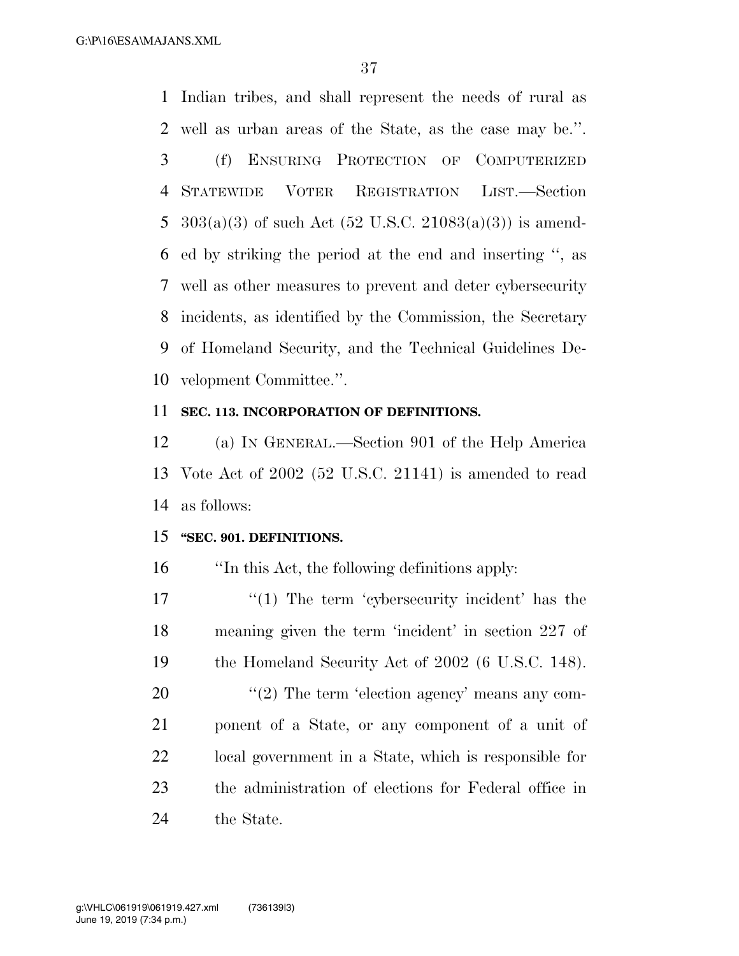Indian tribes, and shall represent the needs of rural as well as urban areas of the State, as the case may be.''. (f) ENSURING PROTECTION OF COMPUTERIZED STATEWIDE VOTER REGISTRATION LIST.—Section  $303(a)(3)$  of such Act  $(52 \text{ U.S.C. } 21083(a)(3))$  is amend- ed by striking the period at the end and inserting '', as well as other measures to prevent and deter cybersecurity incidents, as identified by the Commission, the Secretary of Homeland Security, and the Technical Guidelines De-velopment Committee.''.

#### **SEC. 113. INCORPORATION OF DEFINITIONS.**

 (a) IN GENERAL.—Section 901 of the Help America Vote Act of 2002 (52 U.S.C. 21141) is amended to read as follows:

#### **''SEC. 901. DEFINITIONS.**

''In this Act, the following definitions apply:

17 ''(1) The term 'cybersecurity incident' has the meaning given the term 'incident' in section 227 of the Homeland Security Act of 2002 (6 U.S.C. 148).

 ''(2) The term 'election agency' means any com- ponent of a State, or any component of a unit of local government in a State, which is responsible for the administration of elections for Federal office in the State.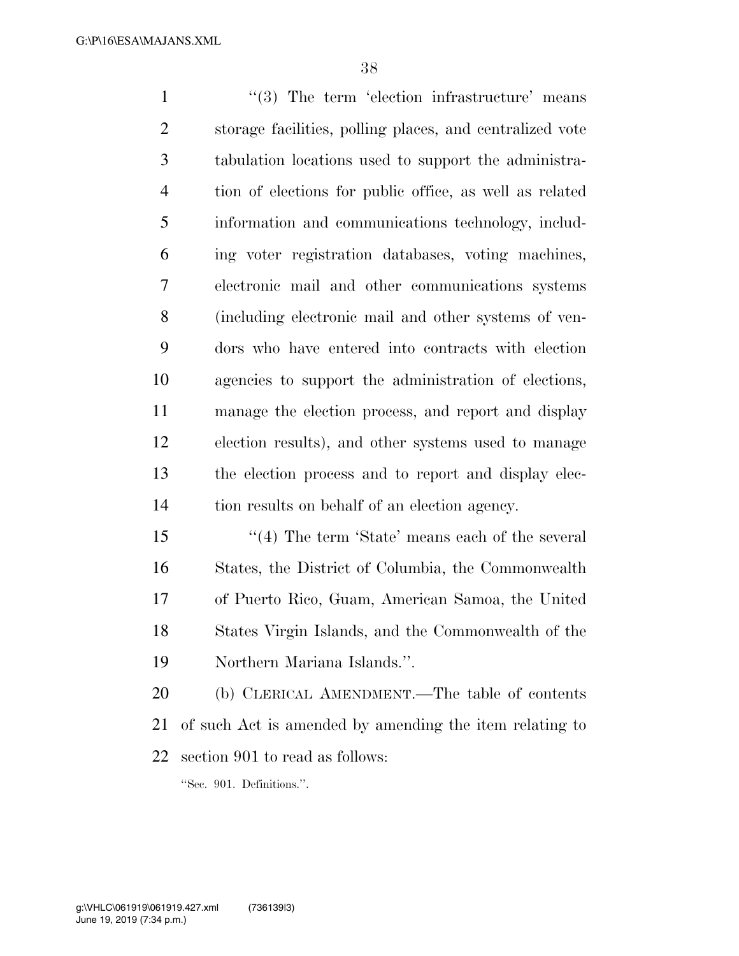1 ''(3) The term 'election infrastructure' means storage facilities, polling places, and centralized vote tabulation locations used to support the administra- tion of elections for public office, as well as related information and communications technology, includ- ing voter registration databases, voting machines, electronic mail and other communications systems (including electronic mail and other systems of ven- dors who have entered into contracts with election agencies to support the administration of elections, manage the election process, and report and display election results), and other systems used to manage the election process and to report and display elec-tion results on behalf of an election agency.

15 ''(4) The term 'State' means each of the several States, the District of Columbia, the Commonwealth of Puerto Rico, Guam, American Samoa, the United States Virgin Islands, and the Commonwealth of the Northern Mariana Islands.''.

 (b) CLERICAL AMENDMENT.—The table of contents of such Act is amended by amending the item relating to section 901 to read as follows:

''Sec. 901. Definitions.''.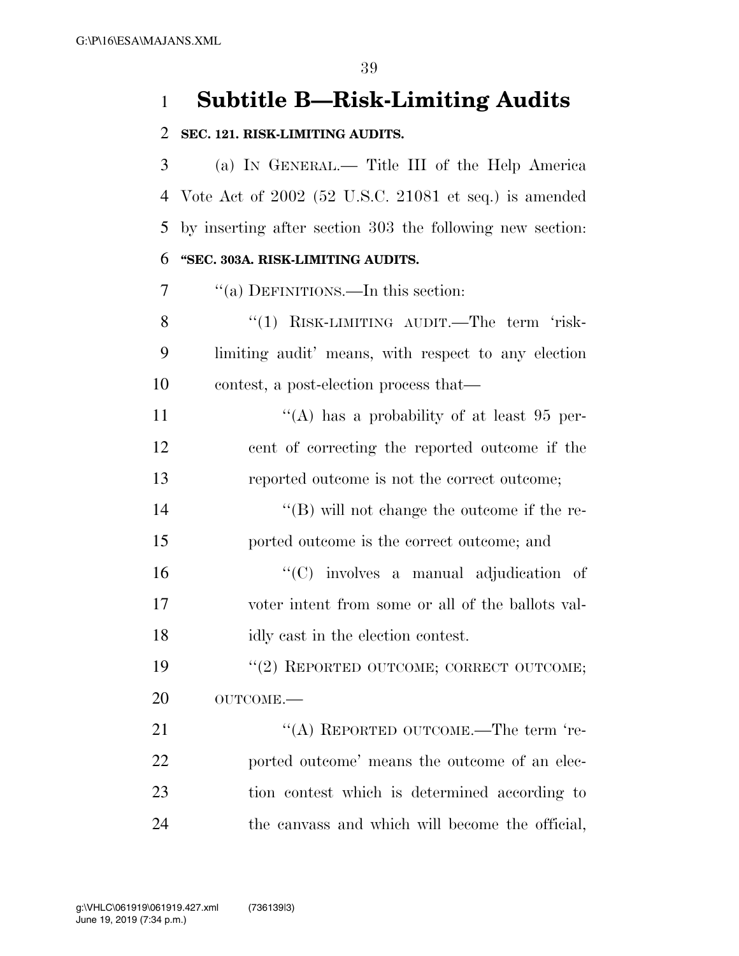## **Subtitle B—Risk-Limiting Audits**

#### **SEC. 121. RISK-LIMITING AUDITS.**

 (a) IN GENERAL.— Title III of the Help America Vote Act of 2002 (52 U.S.C. 21081 et seq.) is amended by inserting after section 303 the following new section: **''SEC. 303A. RISK-LIMITING AUDITS.** 

''(a) DEFINITIONS.—In this section:

8 "(1) RISK-LIMITING AUDIT.—The term 'risk- limiting audit' means, with respect to any election contest, a post-election process that—

11  $\langle (A)$  has a probability of at least 95 per- cent of correcting the reported outcome if the reported outcome is not the correct outcome;

 ''(B) will not change the outcome if the re-ported outcome is the correct outcome; and

 ''(C) involves a manual adjudication of voter intent from some or all of the ballots val-idly cast in the election contest.

19 "(2) REPORTED OUTCOME; CORRECT OUTCOME; 20 OUTCOME.—

21 "(A) REPORTED OUTCOME.—The term 're- ported outcome' means the outcome of an elec- tion contest which is determined according to the canvass and which will become the official,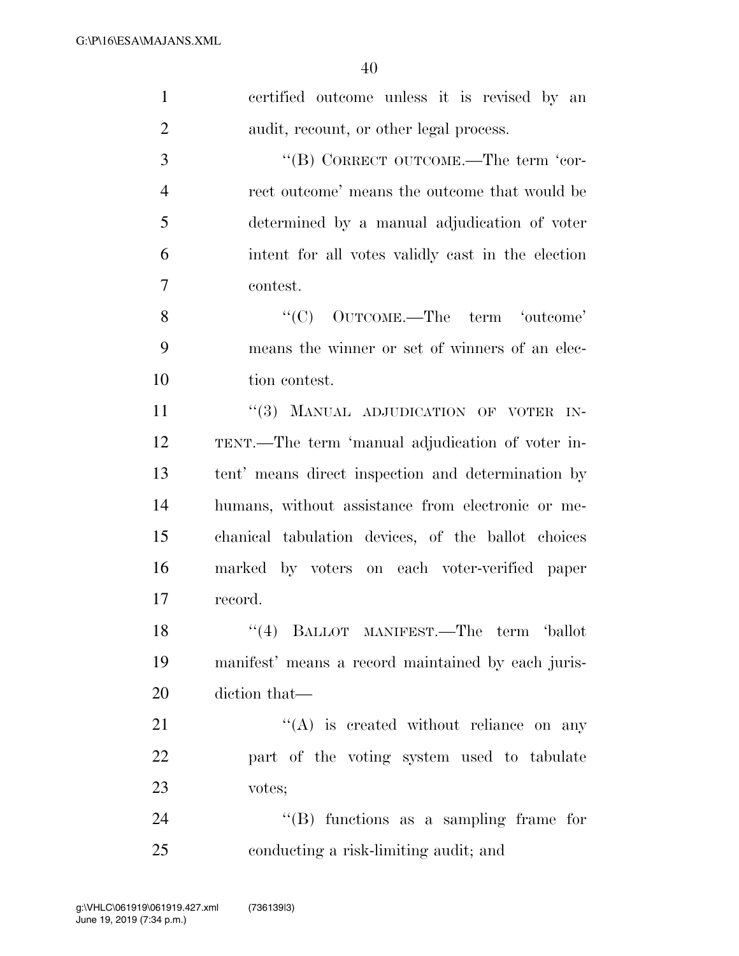| $\mathbf{1}$   | certified outcome unless it is revised by an       |
|----------------|----------------------------------------------------|
| $\overline{2}$ | audit, recount, or other legal process.            |
| $\mathfrak{Z}$ | "(B) CORRECT OUTCOME.—The term 'cor-               |
| $\overline{4}$ | rect outcome' means the outcome that would be      |
| 5              | determined by a manual adjudication of voter       |
| 6              | intent for all votes validly cast in the election  |
| 7              | contest.                                           |
| 8              | "(C) OUTCOME.—The term 'outcome'                   |
| 9              | means the winner or set of winners of an elec-     |
| 10             | tion contest.                                      |
| 11             | "(3) MANUAL ADJUDICATION OF VOTER IN-              |
| 12             | TENT.—The term 'manual adjudication of voter in-   |
| 13             | tent' means direct inspection and determination by |
| 14             | humans, without assistance from electronic or me-  |
| 15             | chanical tabulation devices, of the ballot choices |
| 16             | marked by voters on each voter-verified paper      |
| 17             | record.                                            |
| 18             | "(4) BALLOT MANIFEST.—The term 'ballot             |
| 19             | manifest' means a record maintained by each juris- |
| 20             | diction that—                                      |
| 21             | $\lq\lq$ is created without reliance on any        |
| 22             | part of the voting system used to tabulate         |
| 23             | votes;                                             |
| 24             | $\lq\lq$ functions as a sampling frame for         |
| 25             | conducting a risk-limiting audit; and              |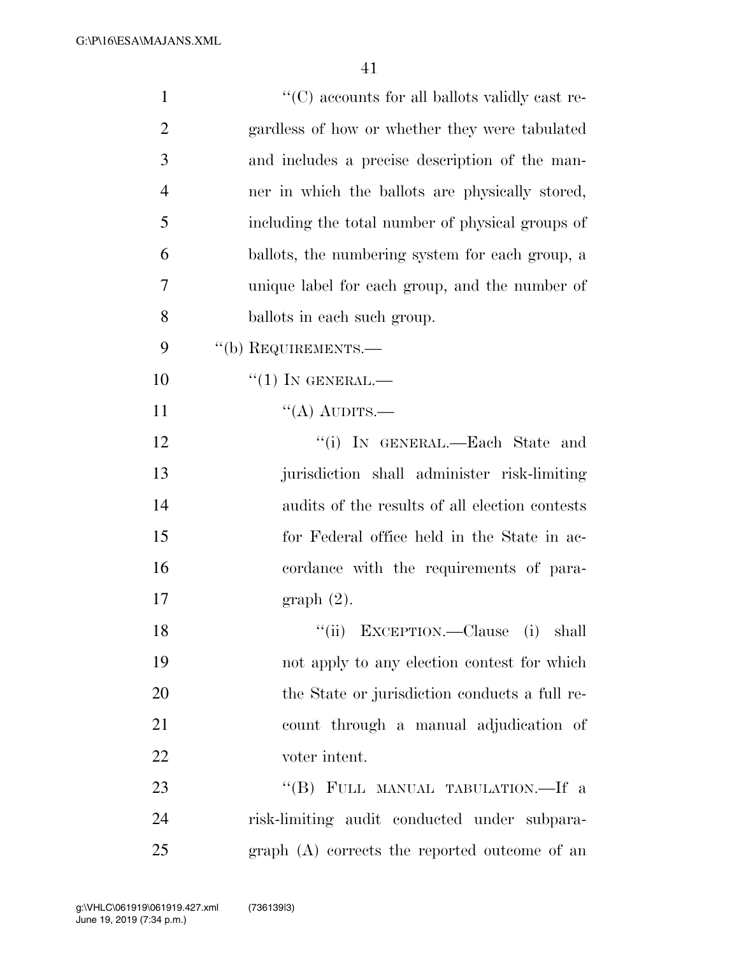| $\mathbf{1}$   | "(C) accounts for all ballots validly cast re-   |
|----------------|--------------------------------------------------|
| $\overline{2}$ | gardless of how or whether they were tabulated   |
| 3              | and includes a precise description of the man-   |
| $\overline{4}$ | ner in which the ballots are physically stored,  |
| 5              | including the total number of physical groups of |
| 6              | ballots, the numbering system for each group, a  |
| 7              | unique label for each group, and the number of   |
| 8              | ballots in each such group.                      |
| 9              | "(b) REQUIREMENTS.—                              |
| 10             | $``(1)$ In GENERAL.—                             |
| 11             | "(A) AUDITS.—                                    |
| 12             | "(i) IN GENERAL.—Each State and                  |
| 13             | jurisdiction shall administer risk-limiting      |
| 14             | audits of the results of all election contests   |
| 15             | for Federal office held in the State in ac-      |
| 16             | cordance with the requirements of para-          |
| 17             | $graph(2)$ .                                     |
| 18             | "(ii) EXCEPTION.—Clause (i) shall                |
| 19             | not apply to any election contest for which      |
| 20             | the State or jurisdiction conducts a full re-    |
| 21             | count through a manual adjudication of           |
| 22             | voter intent.                                    |
| 23             | "(B) FULL MANUAL TABULATION.—If a                |
| 24             | risk-limiting audit conducted under subpara-     |
| 25             | graph (A) corrects the reported outcome of an    |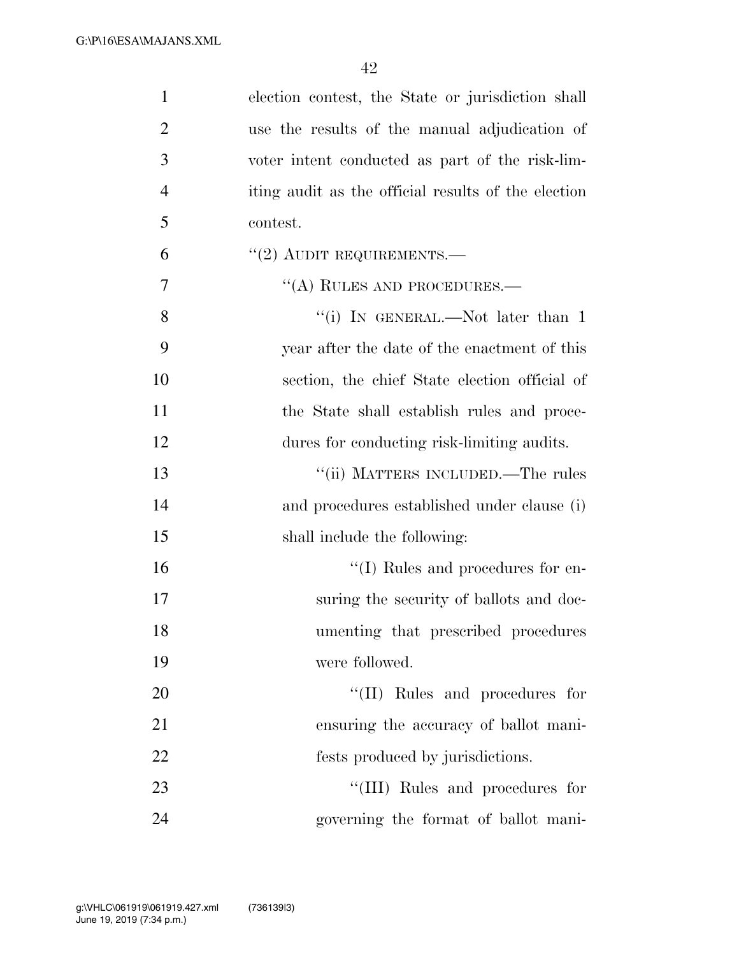| $\mathbf{1}$   | election contest, the State or jurisdiction shall   |
|----------------|-----------------------------------------------------|
| $\overline{2}$ | use the results of the manual adjudication of       |
| 3              | voter intent conducted as part of the risk-lim-     |
| $\overline{4}$ | iting audit as the official results of the election |
| 5              | contest.                                            |
| 6              | $"(2)$ AUDIT REQUIREMENTS.—                         |
| 7              | $\cdot$ (A) RULES AND PROCEDURES.—                  |
| 8              | "(i) IN GENERAL.—Not later than 1                   |
| 9              | year after the date of the enactment of this        |
| 10             | section, the chief State election official of       |
| 11             | the State shall establish rules and proce-          |
| 12             | dures for conducting risk-limiting audits.          |
| 13             | "(ii) MATTERS INCLUDED.—The rules                   |
| 14             | and procedures established under clause (i)         |
| 15             | shall include the following:                        |
| 16             | $\lq\lq$ (I) Rules and procedures for en-           |
| 17             | suring the security of ballots and doc-             |
| 18             | umenting that prescribed procedures                 |
| 19             | were followed.                                      |
| 20             | "(II) Rules and procedures for                      |
| 21             | ensuring the accuracy of ballot mani-               |
| 22             | fests produced by jurisdictions.                    |
| 23             | "(III) Rules and procedures for                     |
| 24             | governing the format of ballot mani-                |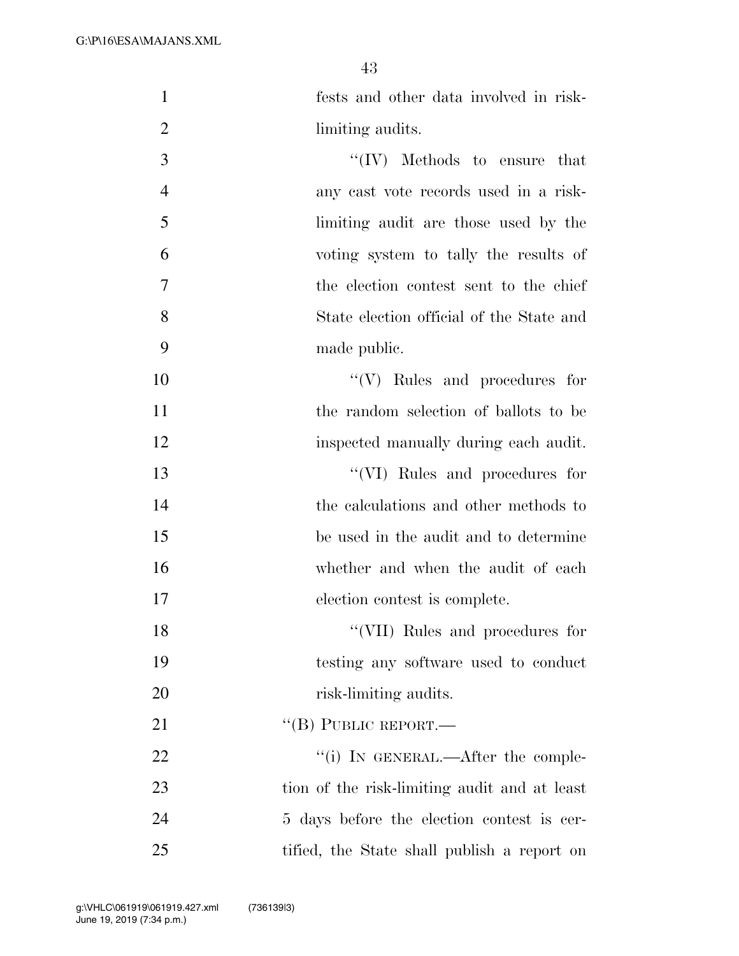fests and other data involved in risk-

| $\overline{2}$ | limiting audits.                             |
|----------------|----------------------------------------------|
| 3              | $\lq\lq (IV)$ Methods to ensure that         |
| $\overline{4}$ | any cast vote records used in a risk-        |
| 5              | limiting audit are those used by the         |
| 6              | voting system to tally the results of        |
| 7              | the election contest sent to the chief       |
| 8              | State election official of the State and     |
| 9              | made public.                                 |
| 10             | $\lq\lq(V)$ Rules and procedures for         |
| 11             | the random selection of ballots to be        |
| 12             | inspected manually during each audit.        |
| 13             | "(VI) Rules and procedures for               |
| 14             | the calculations and other methods to        |
| 15             | be used in the audit and to determine        |
| 16             | whether and when the audit of each           |
| 17             | election contest is complete.                |
| 18             | "(VII) Rules and procedures for              |
| 19             | testing any software used to conduct         |
| 20             | risk-limiting audits.                        |
| 21             | $``$ (B) PUBLIC REPORT.—                     |
| 22             | "(i) IN GENERAL.—After the comple-           |
| 23             | tion of the risk-limiting audit and at least |
| 24             | 5 days before the election contest is cer-   |
| 25             | tified, the State shall publish a report on  |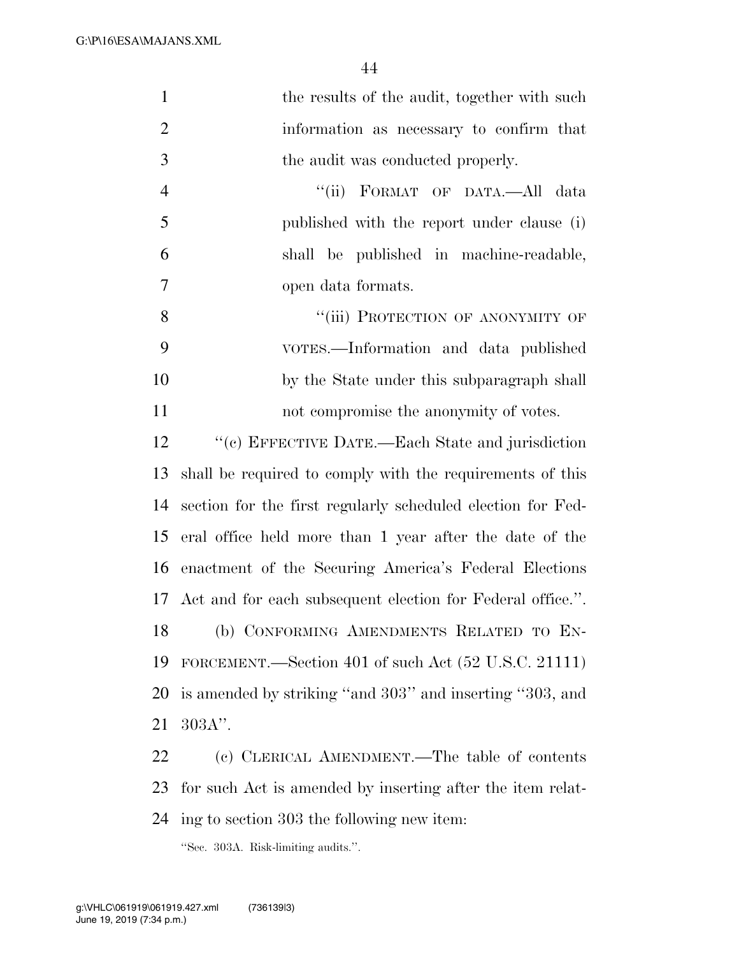G:\P\16\ESA\MAJANS.XML

| $\mathbf{1}$   | the results of the audit, together with such                  |
|----------------|---------------------------------------------------------------|
| $\overline{2}$ | information as necessary to confirm that                      |
| 3              | the audit was conducted properly.                             |
| $\overline{4}$ | "(ii) FORMAT OF DATA.—All data                                |
| 5              | published with the report under clause (i)                    |
| 6              | shall be published in machine-readable,                       |
| $\overline{7}$ | open data formats.                                            |
| 8              | "(iii) PROTECTION OF ANONYMITY OF                             |
| 9              | VOTES.—Information and data published                         |
| 10             | by the State under this subparagraph shall                    |
| 11             | not compromise the anonymity of votes.                        |
| 12             | "(c) EFFECTIVE DATE.—Each State and jurisdiction              |
| 13             | shall be required to comply with the requirements of this     |
| 14             | section for the first regularly scheduled election for Fed-   |
| 15             | eral office held more than 1 year after the date of the       |
| 16             | enactment of the Securing America's Federal Elections         |
|                | 17 Act and for each subsequent election for Federal office.". |
| 18             | (b) CONFORMING AMENDMENTS RELATED TO EN-                      |
| 19             | FORCEMENT.—Section 401 of such Act (52 U.S.C. 21111)          |
| 20             | is amended by striking "and 303" and inserting "303, and      |
| 21             | $303A$ ".                                                     |
| 22             | (c) CLERICAL AMENDMENT.—The table of contents                 |
| 23             | for such Act is amended by inserting after the item relat-    |
| 24             | ing to section 303 the following new item:                    |
|                |                                                               |

''Sec. 303A. Risk-limiting audits.''.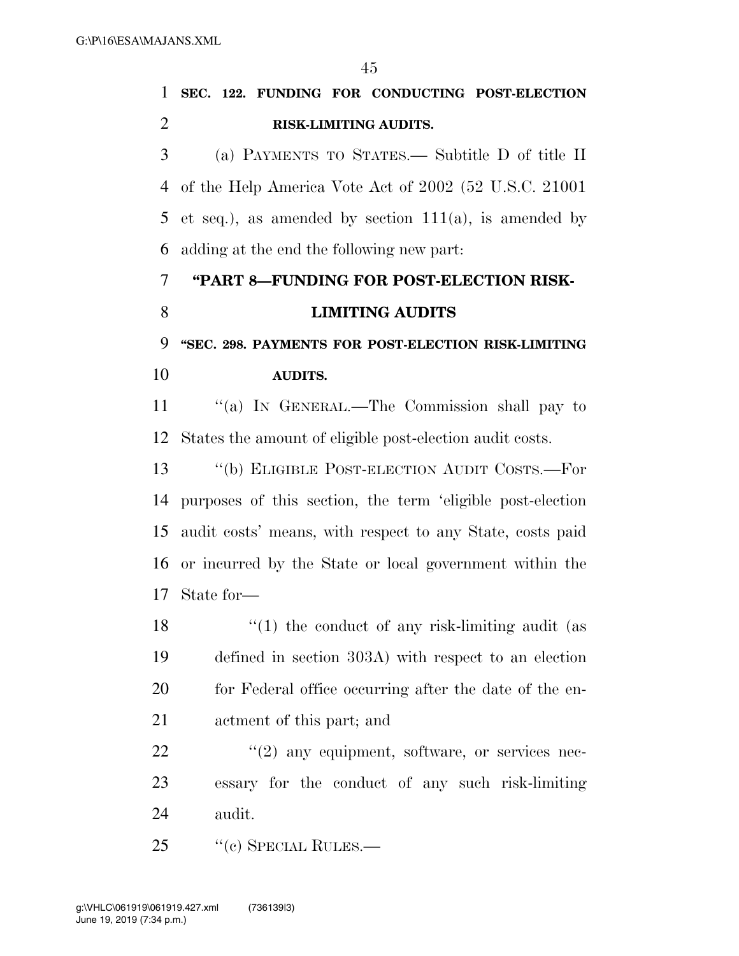|                          | 1 SEC. 122. FUNDING FOR CONDUCTING POST-ELECTION |
|--------------------------|--------------------------------------------------|
| $\overline{\phantom{a}}$ | <b>RISK-LIMITING AUDITS.</b>                     |
| $\mathcal{R}$            | (a) PAYMENTS TO STATES.— Subtitle D of title II  |

 of the Help America Vote Act of 2002 (52 U.S.C. 21001 5 et seq.), as amended by section  $111(a)$ , is amended by adding at the end the following new part:

# **''PART 8—FUNDING FOR POST-ELECTION RISK-LIMITING AUDITS**

 **''SEC. 298. PAYMENTS FOR POST-ELECTION RISK-LIMITING AUDITS.** 

11 "(a) IN GENERAL.—The Commission shall pay to States the amount of eligible post-election audit costs.

13 "(b) ELIGIBLE POST-ELECTION AUDIT COSTS.—For purposes of this section, the term 'eligible post-election audit costs' means, with respect to any State, costs paid or incurred by the State or local government within the State for—

 $\frac{1}{2}$  (1) the conduct of any risk-limiting audit (as defined in section 303A) with respect to an election 20 for Federal office occurring after the date of the en-actment of this part; and

  $\qquad$   $\qquad$   $\qquad$   $\qquad$   $\qquad$   $\qquad$   $\qquad$   $\qquad$   $\qquad$   $\qquad$   $\qquad$   $\qquad$   $\qquad$   $\qquad$   $\qquad$   $\qquad$   $\qquad$   $\qquad$   $\qquad$   $\qquad$   $\qquad$   $\qquad$   $\qquad$   $\qquad$   $\qquad$   $\qquad$   $\qquad$   $\qquad$   $\qquad$   $\qquad$   $\qquad$   $\qquad$   $\qquad$   $\qquad$   $\qquad$   $\qquad$  essary for the conduct of any such risk-limiting audit.

25 "(c) SPECIAL RULES.—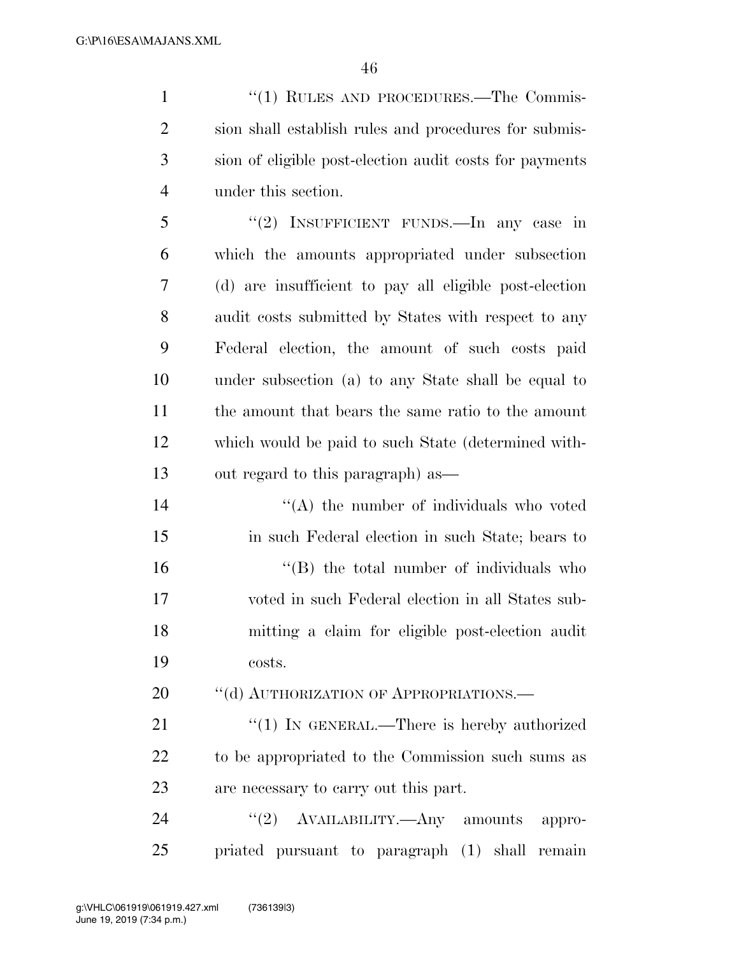1 "(1) RULES AND PROCEDURES.—The Commis- sion shall establish rules and procedures for submis- sion of eligible post-election audit costs for payments under this section.

 ''(2) INSUFFICIENT FUNDS.—In any case in which the amounts appropriated under subsection (d) are insufficient to pay all eligible post-election audit costs submitted by States with respect to any Federal election, the amount of such costs paid under subsection (a) to any State shall be equal to the amount that bears the same ratio to the amount which would be paid to such State (determined with-out regard to this paragraph) as—

14 ''(A) the number of individuals who voted in such Federal election in such State; bears to 16 "(B) the total number of individuals who voted in such Federal election in all States sub- mitting a claim for eligible post-election audit costs.

20 "(d) AUTHORIZATION OF APPROPRIATIONS.—

21 "(1) IN GENERAL.—There is hereby authorized to be appropriated to the Commission such sums as are necessary to carry out this part.

24 "(2) AVAILABILITY.—Any amounts appro-priated pursuant to paragraph (1) shall remain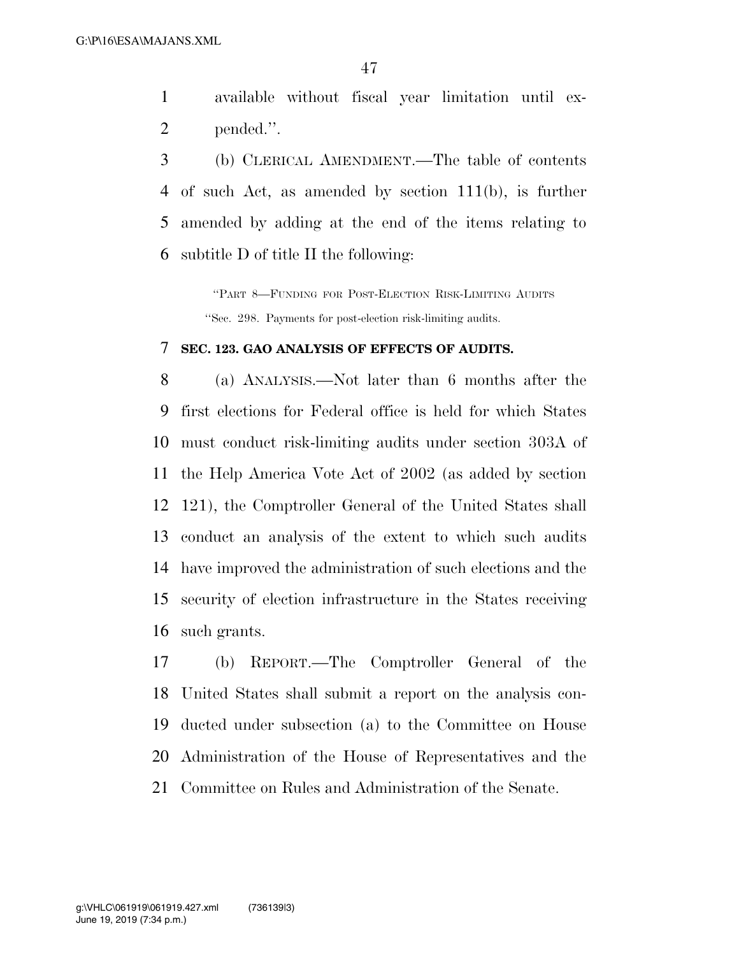available without fiscal year limitation until ex-pended.''.

 (b) CLERICAL AMENDMENT.—The table of contents of such Act, as amended by section 111(b), is further amended by adding at the end of the items relating to subtitle D of title II the following:

> ''PART 8—FUNDING FOR POST-ELECTION RISK-LIMITING AUDITS ''Sec. 298. Payments for post-election risk-limiting audits.

#### **SEC. 123. GAO ANALYSIS OF EFFECTS OF AUDITS.**

 (a) ANALYSIS.—Not later than 6 months after the first elections for Federal office is held for which States must conduct risk-limiting audits under section 303A of the Help America Vote Act of 2002 (as added by section 121), the Comptroller General of the United States shall conduct an analysis of the extent to which such audits have improved the administration of such elections and the security of election infrastructure in the States receiving such grants.

 (b) REPORT.—The Comptroller General of the United States shall submit a report on the analysis con- ducted under subsection (a) to the Committee on House Administration of the House of Representatives and the Committee on Rules and Administration of the Senate.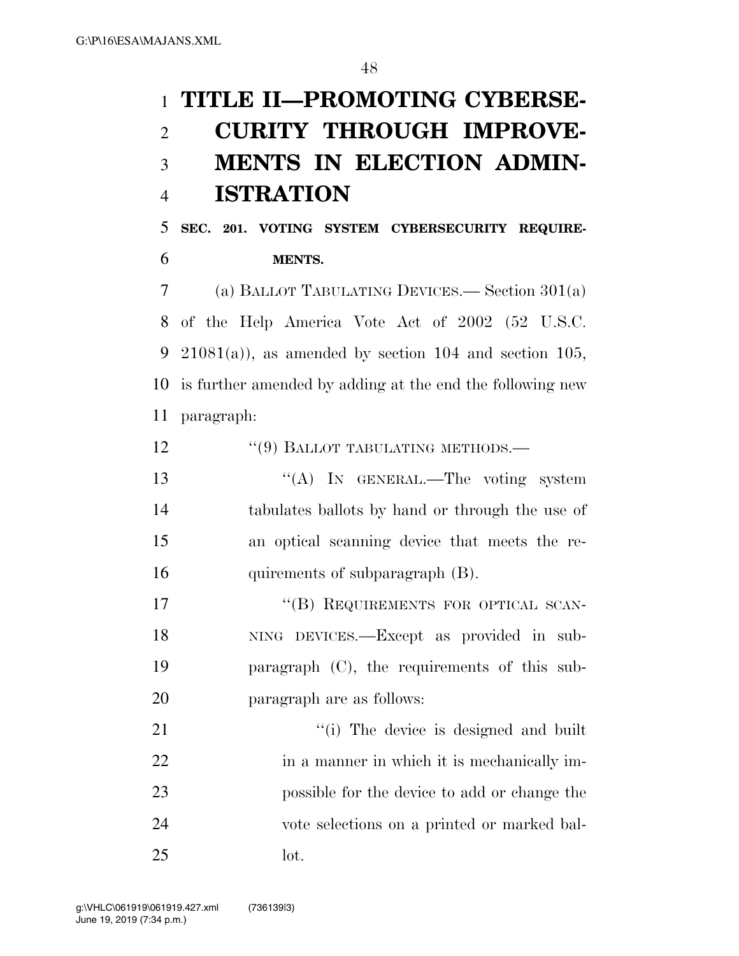# **TITLE II—PROMOTING CYBERSE- CURITY THROUGH IMPROVE- MENTS IN ELECTION ADMIN-ISTRATION**

 **SEC. 201. VOTING SYSTEM CYBERSECURITY REQUIRE-MENTS.** 

 (a) BALLOT TABULATING DEVICES.— Section 301(a) of the Help America Vote Act of 2002 (52 U.S.C. 9 21081(a)), as amended by section 104 and section 105, is further amended by adding at the end the following new paragraph:

- 12 "(9) BALLOT TABULATING METHODS.—
- 13 "(A) In GENERAL.—The voting system tabulates ballots by hand or through the use of an optical scanning device that meets the re-16 quirements of subparagraph (B).

17 "(B) REQUIREMENTS FOR OPTICAL SCAN- NING DEVICES.—Except as provided in sub- paragraph (C), the requirements of this sub-paragraph are as follows:

21  $\frac{1}{2}$  The device is designed and built 22 in a manner in which it is mechanically im- possible for the device to add or change the vote selections on a printed or marked bal-lot.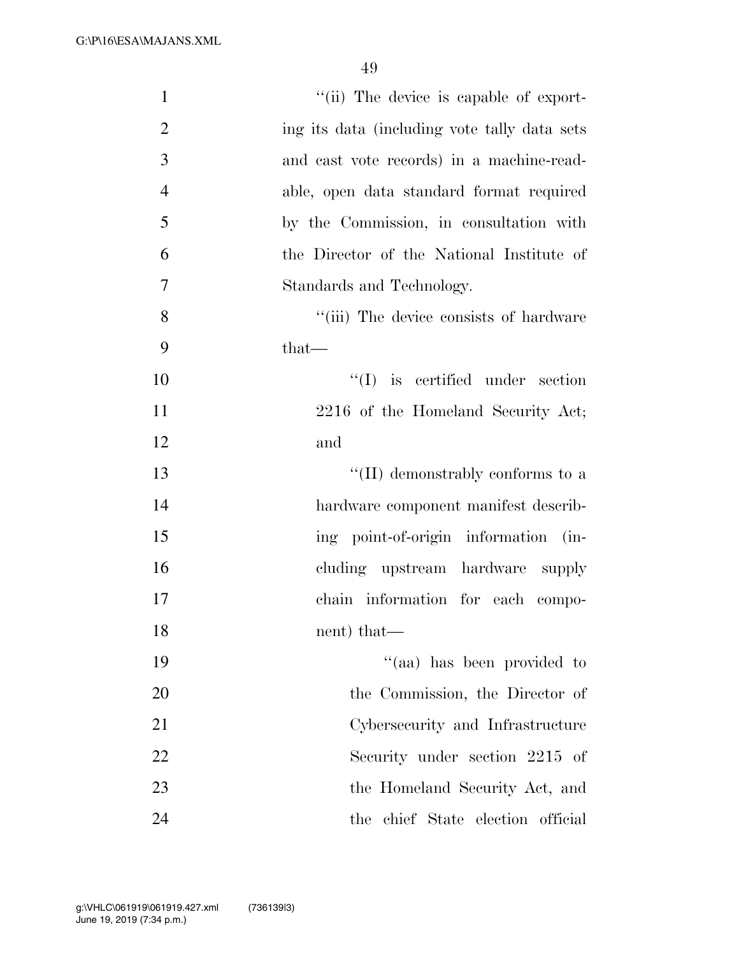G:\P\16\ESA\MAJANS.XML

| "(ii) The device is capable of export-<br>$\mathbf{1}$          |  |
|-----------------------------------------------------------------|--|
| $\overline{2}$<br>ing its data (including vote tally data sets) |  |
| 3<br>and cast vote records) in a machine-read-                  |  |
| $\overline{4}$<br>able, open data standard format required      |  |
| 5<br>by the Commission, in consultation with                    |  |
| 6<br>the Director of the National Institute of                  |  |
| 7<br>Standards and Technology.                                  |  |
| 8<br>"(iii) The device consists of hardware                     |  |
| 9<br>that—                                                      |  |
| 10<br>$\lq\lq$ is certified under section                       |  |
| 11<br>2216 of the Homeland Security Act;                        |  |
| 12<br>and                                                       |  |
| $\lq\lq$ (II) demonstrably conforms to a<br>13                  |  |
| 14<br>hardware component manifest describ-                      |  |
| ing point-of-origin information (in-<br>15                      |  |
| 16<br>cluding upstream hardware supply                          |  |
| 17<br>chain information for each compo-                         |  |
| 18<br>nent) that—                                               |  |
| "(aa) has been provided to<br>19                                |  |
| 20<br>the Commission, the Director of                           |  |
| 21<br>Cybersecurity and Infrastructure                          |  |
| 22<br>Security under section 2215 of                            |  |
| 23<br>the Homeland Security Act, and                            |  |
| 24<br>the chief State election official                         |  |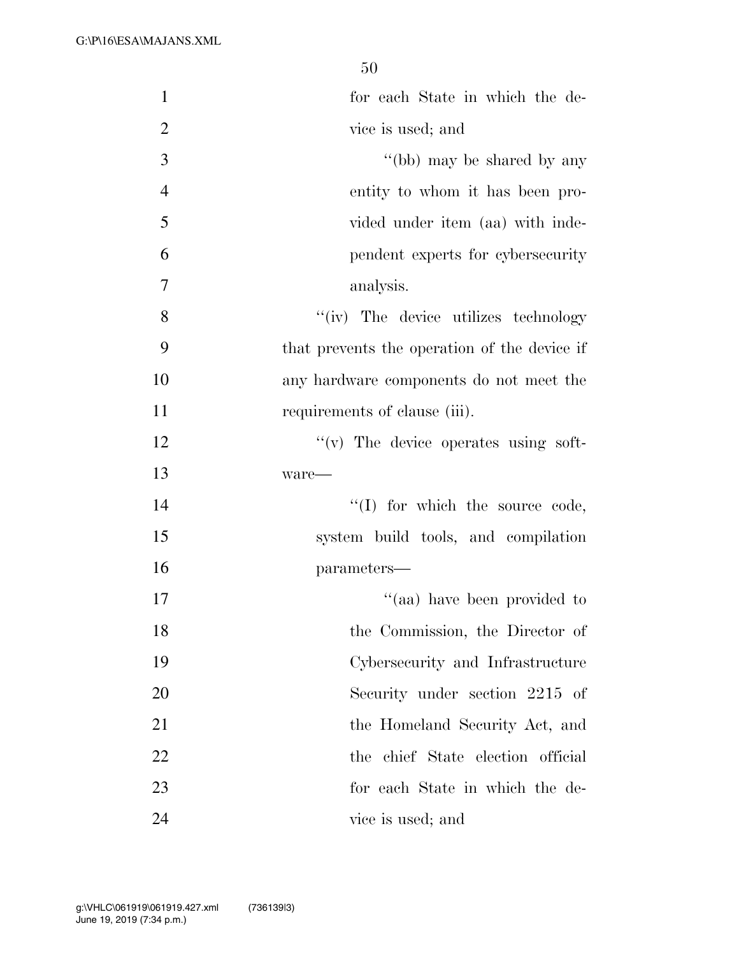| $\mathbf{1}$   | for each State in which the de-              |
|----------------|----------------------------------------------|
| $\overline{2}$ | vice is used; and                            |
| 3              | "(bb) may be shared by any                   |
| $\overline{4}$ | entity to whom it has been pro-              |
| 5              | vided under item (aa) with inde-             |
| 6              | pendent experts for cybersecurity            |
| 7              | analysis.                                    |
| 8              | "(iv) The device utilizes technology         |
| 9              | that prevents the operation of the device if |
| 10             | any hardware components do not meet the      |
| 11             | requirements of clause (iii).                |
| 12             | $f'(v)$ The device operates using soft-      |
| 13             | ware—                                        |
| 14             | $\lq\lq$ (I) for which the source code,      |
| 15             | system build tools, and compilation          |
| 16             | parameters-                                  |
| 17             | "(aa) have been provided to                  |
| 18             | the Commission, the Director of              |
| 19             | Cybersecurity and Infrastructure             |
| 20             | Security under section 2215 of               |
| 21             | the Homeland Security Act, and               |
| 22             | the chief State election official            |
| 23             | for each State in which the de-              |
| 24             | vice is used; and                            |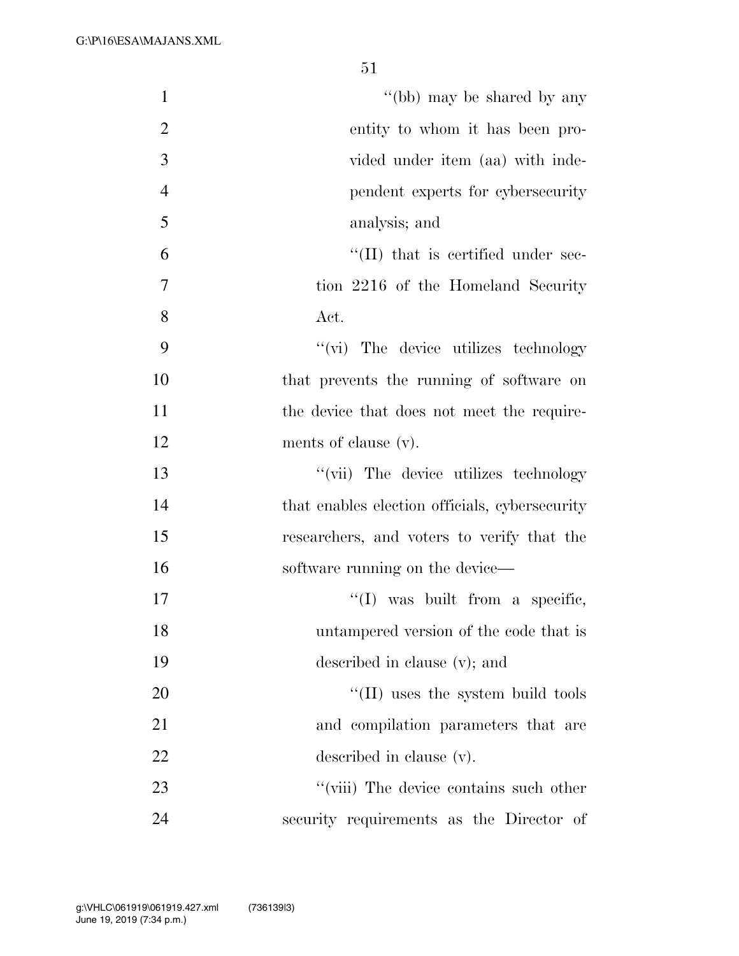| $\mathbf{1}$   | "(bb) may be shared by any                     |
|----------------|------------------------------------------------|
| $\overline{2}$ | entity to whom it has been pro-                |
| $\mathfrak{Z}$ | vided under item (aa) with inde-               |
| $\overline{4}$ | pendent experts for cybersecurity              |
| 5              | analysis; and                                  |
| 6              | $\lq\lq$ (II) that is certified under sec-     |
| $\tau$         | tion 2216 of the Homeland Security             |
| 8              | Act.                                           |
| 9              | "(vi) The device utilizes technology           |
| 10             | that prevents the running of software on       |
| 11             | the device that does not meet the require-     |
| 12             | ments of clause (v).                           |
| 13             | "(vii) The device utilizes technology          |
| 14             | that enables election officials, cybersecurity |
| 15             | researchers, and voters to verify that the     |
| 16             | software running on the device-                |
| 17             | $\lq\lq$ was built from a specific,            |
| 18             | untampered version of the code that is         |
| 19             | described in clause (v); and                   |
| 20             | $\lq\lq$ (II) uses the system build tools      |
| 21             | and compilation parameters that are            |
| 22             | described in clause (v).                       |
| 23             | "(viii) The device contains such other         |
| 24             | security requirements as the Director of       |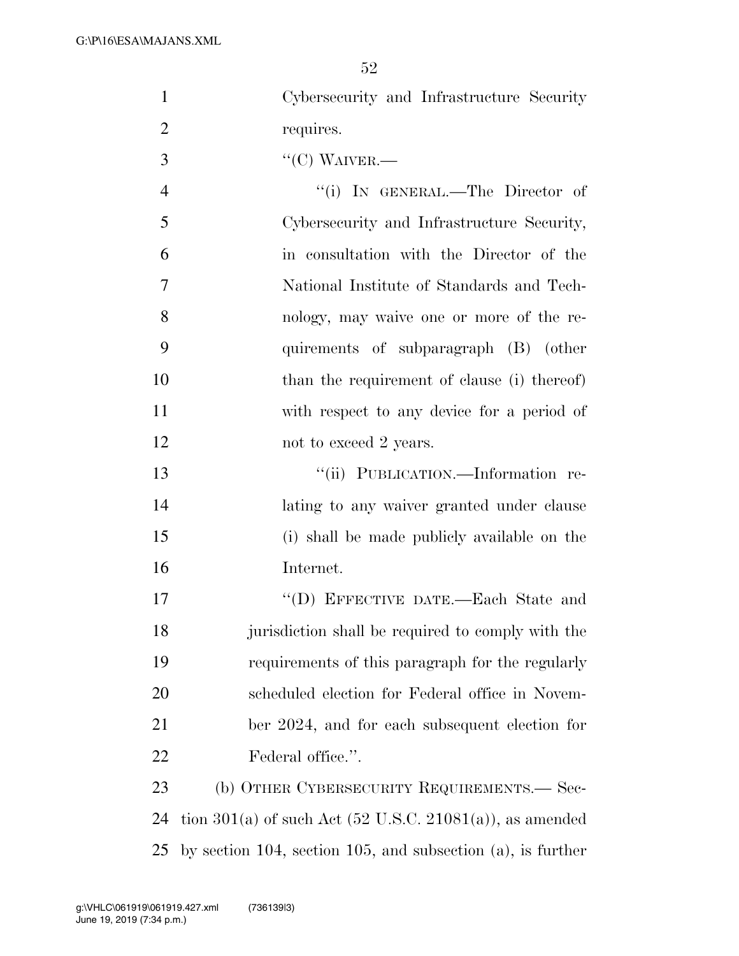- 1 Cybersecurity and Infrastructure Security 2 requires.
- $3 \qquad \qquad \text{``(C) WAVER.}$
- 4 "(i) IN GENERAL.—The Director of 5 Cybersecurity and Infrastructure Security, 6 in consultation with the Director of the 7 National Institute of Standards and Tech-8 nology, may waive one or more of the re-9 quirements of subparagraph (B) (other 10 than the requirement of clause (i) thereof) 11 with respect to any device for a period of 12 not to exceed 2 years.

 ''(ii) PUBLICATION.—Information re-14 lating to any waiver granted under clause (i) shall be made publicly available on the Internet.

17 "'(D) EFFECTIVE DATE.—Each State and jurisdiction shall be required to comply with the requirements of this paragraph for the regularly scheduled election for Federal office in Novem- ber 2024, and for each subsequent election for 22 Federal office.".

23 (b) OTHER CYBERSECURITY REQUIREMENTS.— Sec-24 tion  $301(a)$  of such Act (52 U.S.C. 21081(a)), as amended 25 by section 104, section 105, and subsection (a), is further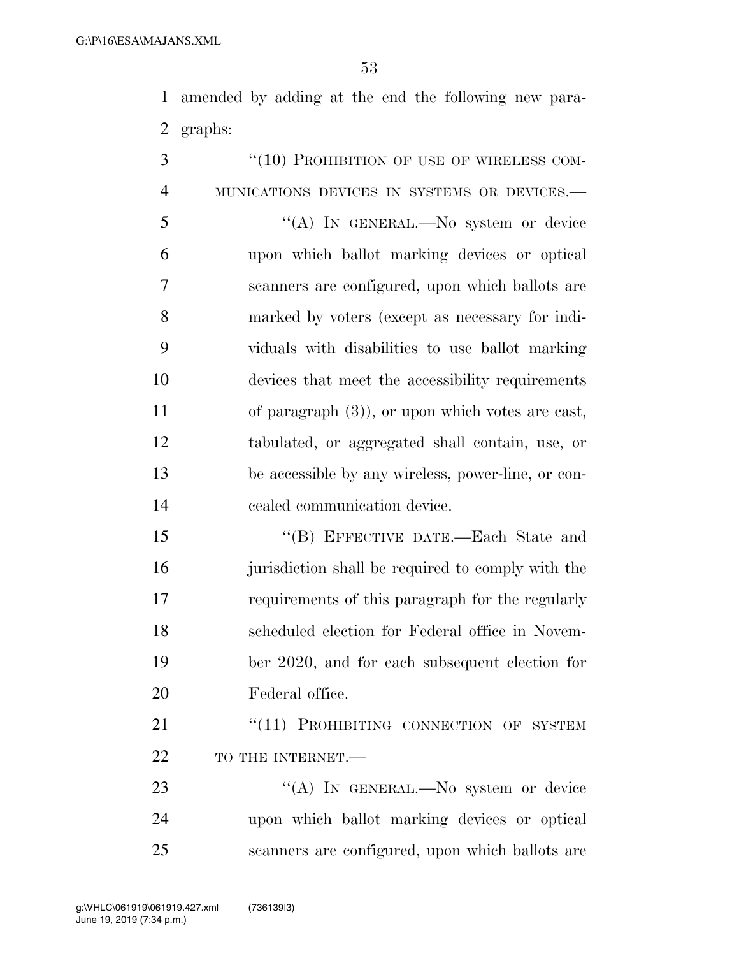amended by adding at the end the following new para-graphs:

3 "(10) PROHIBITION OF USE OF WIRELESS COM- MUNICATIONS DEVICES IN SYSTEMS OR DEVICES.— ''(A) IN GENERAL.—No system or device upon which ballot marking devices or optical scanners are configured, upon which ballots are marked by voters (except as necessary for indi- viduals with disabilities to use ballot marking devices that meet the accessibility requirements of paragraph (3)), or upon which votes are cast, tabulated, or aggregated shall contain, use, or be accessible by any wireless, power-line, or con- cealed communication device. ''(B) EFFECTIVE DATE.—Each State and

 jurisdiction shall be required to comply with the requirements of this paragraph for the regularly scheduled election for Federal office in Novem- ber 2020, and for each subsequent election for Federal office.

21 "(11) PROHIBITING CONNECTION OF SYSTEM 22 TO THE INTERNET.

23 "(A) IN GENERAL.—No system or device upon which ballot marking devices or optical scanners are configured, upon which ballots are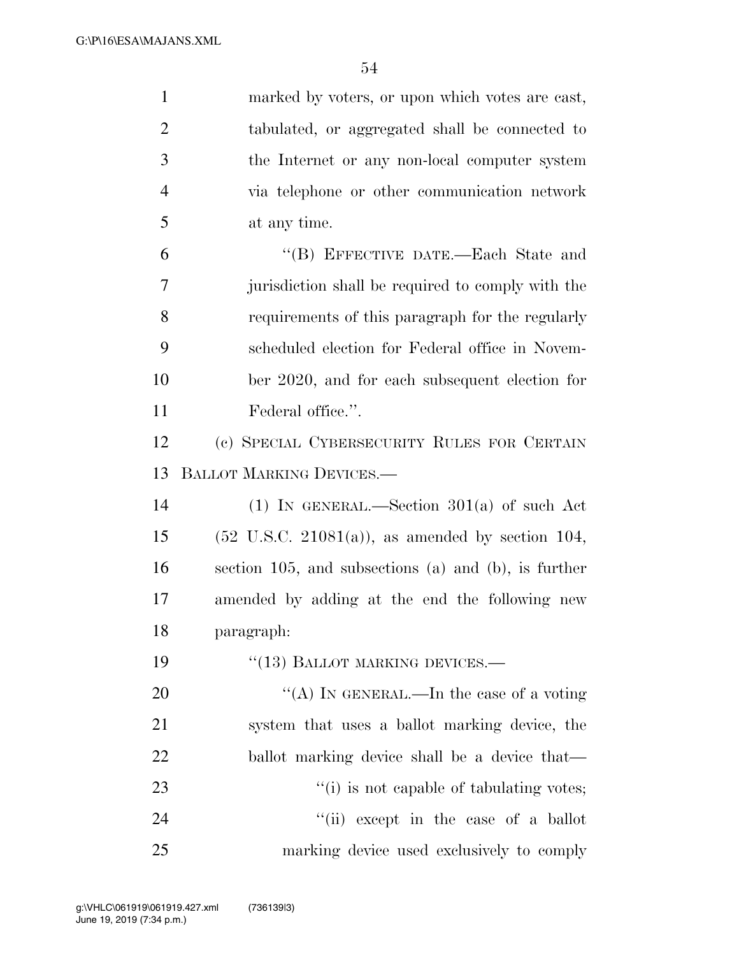| $\mathbf{1}$   | marked by voters, or upon which votes are east,              |
|----------------|--------------------------------------------------------------|
| $\overline{2}$ | tabulated, or aggregated shall be connected to               |
| 3              | the Internet or any non-local computer system                |
| $\overline{4}$ | via telephone or other communication network                 |
| 5              | at any time.                                                 |
| 6              | "(B) EFFECTIVE DATE.—Each State and                          |
| 7              | jurisdiction shall be required to comply with the            |
| 8              | requirements of this paragraph for the regularly             |
| 9              | scheduled election for Federal office in Novem-              |
| 10             | ber 2020, and for each subsequent election for               |
| 11             | Federal office.".                                            |
| 12             | (c) SPECIAL CYBERSECURITY RULES FOR CERTAIN                  |
| 13             | <b>BALLOT MARKING DEVICES.—</b>                              |
| 14             | (1) IN GENERAL.—Section $301(a)$ of such Act                 |
| 15             | $(52 \text{ U.S.C. } 21081(a))$ , as amended by section 104, |
| 16             | section 105, and subsections (a) and (b), is further         |
| 17             | amended by adding at the end the following new               |
| 18             | paragraph:                                                   |
| 19             | $``(13)$ BALLOT MARKING DEVICES.—                            |
| 20             | "(A) IN GENERAL.—In the case of a voting                     |
| 21             | system that uses a ballot marking device, the                |
| 22             | ballot marking device shall be a device that-                |
| 23             | "(i) is not capable of tabulating votes;                     |
| 24             | "(ii) except in the case of a ballot                         |
| 25             | marking device used exclusively to comply                    |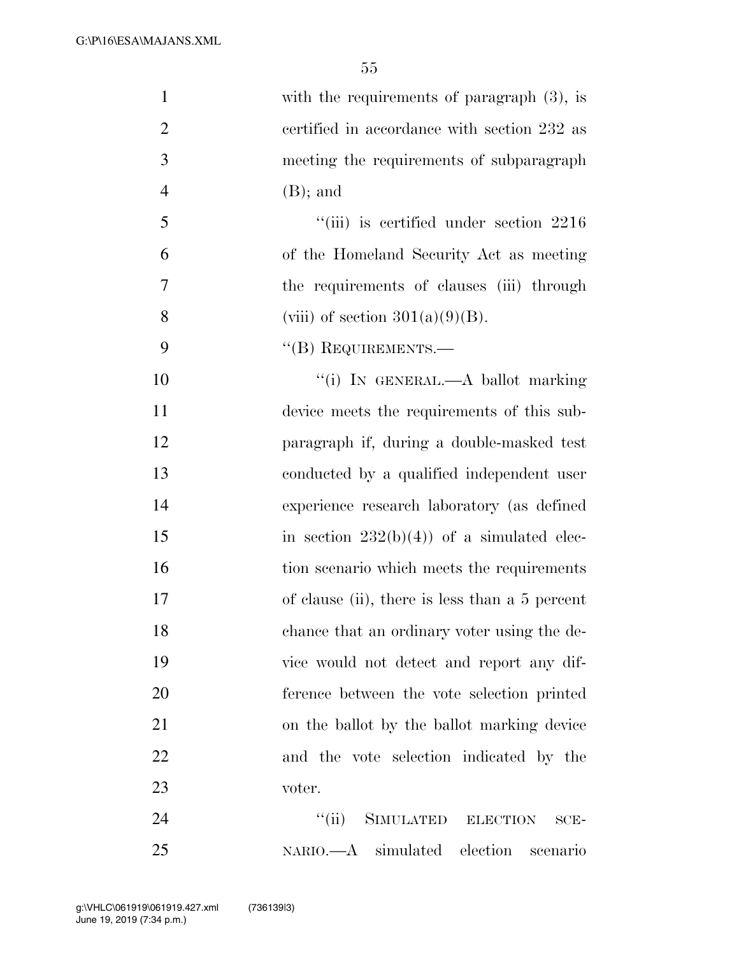| $\mathbf{1}$   | with the requirements of paragraph $(3)$ , is  |
|----------------|------------------------------------------------|
| $\overline{2}$ | certified in accordance with section 232 as    |
| $\mathfrak{Z}$ | meeting the requirements of subparagraph       |
| $\overline{4}$ | $(B)$ ; and                                    |
| 5              | $``(iii)$ is certified under section 2216      |
| 6              | of the Homeland Security Act as meeting        |
| $\overline{7}$ | the requirements of clauses (iii) through      |
| 8              | (viii) of section $301(a)(9)(B)$ .             |
| 9              | $\lq\lq$ (B) REQUIREMENTS.—                    |
| 10             | "(i) IN GENERAL.—A ballot marking              |
| 11             | device meets the requirements of this sub-     |
| 12             | paragraph if, during a double-masked test      |
| 13             | conducted by a qualified independent user      |
| 14             | experience research laboratory (as defined     |
| 15             | in section $232(b)(4)$ of a simulated elec-    |
| 16             | tion scenario which meets the requirements     |
| 17             | of clause (ii), there is less than a 5 percent |
| 18             | chance that an ordinary voter using the de-    |
| 19             | vice would not detect and report any dif-      |
| 20             | ference between the vote selection printed     |
| 21             | on the ballot by the ballot marking device     |
| 22             | and the vote selection indicated by the        |
| 23             | voter.                                         |
| 24             | SIMULATED ELECTION<br>``(ii)<br>$SCE-$         |
| 25             | NARIO.—A simulated election scenario           |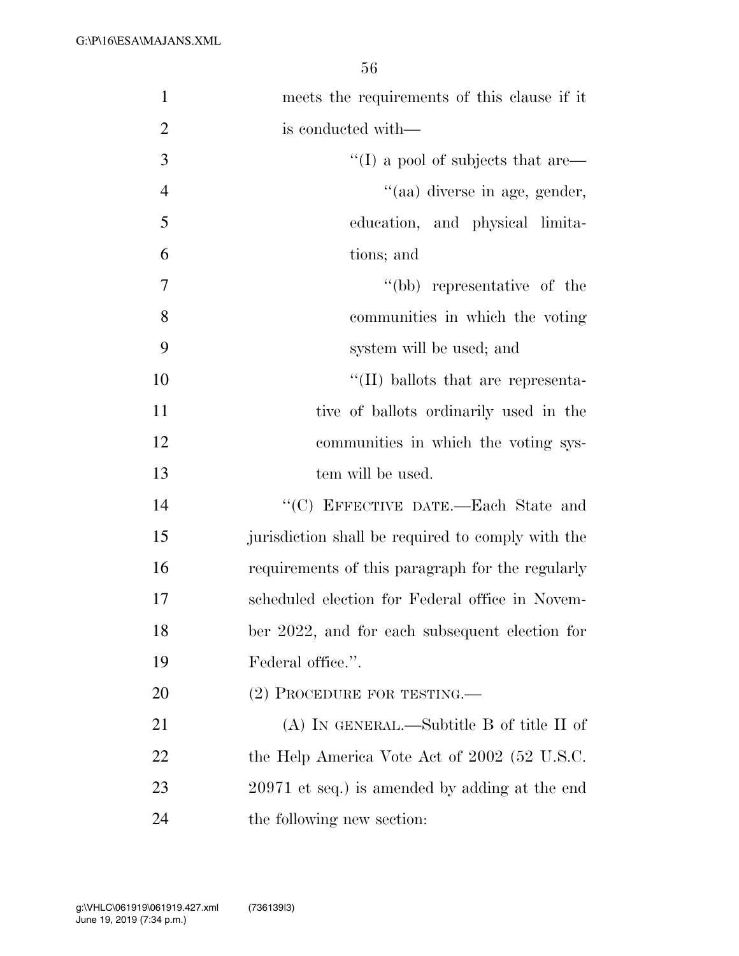| $\mathbf{1}$   | meets the requirements of this clause if it       |
|----------------|---------------------------------------------------|
| $\overline{2}$ | is conducted with—                                |
| 3              | $\lq\lq$ (I) a pool of subjects that are $\lq$    |
| $\overline{4}$ | "(aa) diverse in age, gender,                     |
| 5              | education, and physical limita-                   |
| 6              | tions; and                                        |
| $\tau$         | "(bb) representative of the                       |
| 8              | communities in which the voting                   |
| 9              | system will be used; and                          |
| 10             | $\lq\lq$ (II) ballots that are representa-        |
| 11             | tive of ballots ordinarily used in the            |
| 12             | communities in which the voting sys-              |
| 13             | tem will be used.                                 |
| 14             | "(C) EFFECTIVE DATE.—Each State and               |
| 15             | jurisdiction shall be required to comply with the |
| 16             | requirements of this paragraph for the regularly  |
| 17             | scheduled election for Federal office in Novem-   |
| 18             | ber 2022, and for each subsequent election for    |
| 19             | Federal office.".                                 |
| 20             | (2) PROCEDURE FOR TESTING.—                       |
| 21             | $(A)$ In GENERAL.—Subtitle B of title II of       |
| 22             | the Help America Vote Act of 2002 (52 U.S.C.      |
| 23             | 20971 et seq.) is amended by adding at the end    |
| 24             | the following new section:                        |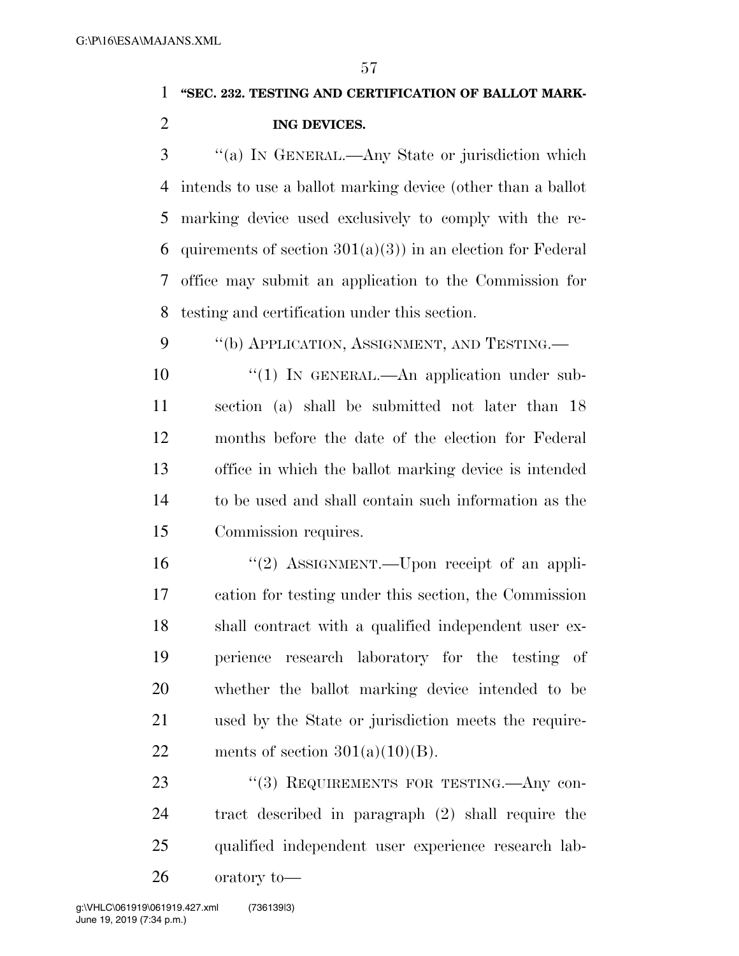#### **''SEC. 232. TESTING AND CERTIFICATION OF BALLOT MARK-**

#### **ING DEVICES.**

 ''(a) IN GENERAL.—Any State or jurisdiction which intends to use a ballot marking device (other than a ballot marking device used exclusively to comply with the re-6 quirements of section  $301(a)(3)$  in an election for Federal office may submit an application to the Commission for testing and certification under this section.

9 "(b) APPLICATION, ASSIGNMENT, AND TESTING.—

10 <sup>"</sup>(1) In GENERAL.—An application under sub- section (a) shall be submitted not later than 18 months before the date of the election for Federal office in which the ballot marking device is intended to be used and shall contain such information as the Commission requires.

16 "(2) ASSIGNMENT.—Upon receipt of an appli- cation for testing under this section, the Commission shall contract with a qualified independent user ex- perience research laboratory for the testing of whether the ballot marking device intended to be used by the State or jurisdiction meets the require-22 ments of section  $301(a)(10)(B)$ .

23 "(3) REQUIREMENTS FOR TESTING.—Any con- tract described in paragraph (2) shall require the qualified independent user experience research lab-

oratory to—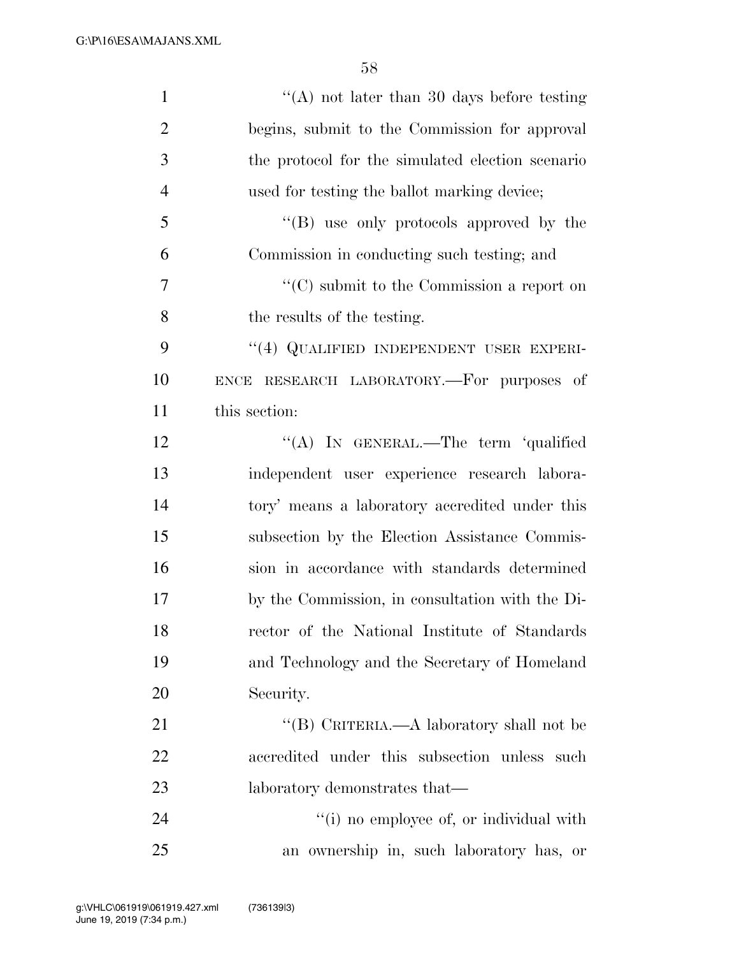G:\P\16\ESA\MAJANS.XML

| $\mathbf{1}$   | "(A) not later than 30 days before testing       |
|----------------|--------------------------------------------------|
| $\overline{2}$ | begins, submit to the Commission for approval    |
| 3              | the protocol for the simulated election scenario |
| $\overline{4}$ | used for testing the ballot marking device;      |
| 5              | "(B) use only protocols approved by the          |
| 6              | Commission in conducting such testing; and       |
| 7              | $\lq\lq$ submit to the Commission a report on    |
| 8              | the results of the testing.                      |
| 9              | "(4) QUALIFIED INDEPENDENT USER EXPERI-          |
| 10             | ENCE RESEARCH LABORATORY.—For purposes of        |
| 11             | this section:                                    |
| 12             | "(A) IN GENERAL.—The term 'qualified             |
| 13             | independent user experience research labora-     |
| 14             | tory' means a laboratory accredited under this   |
| 15             | subsection by the Election Assistance Commis-    |
| 16             | sion in accordance with standards determined     |
| 17             | by the Commission, in consultation with the Di-  |
| 18             | rector of the National Institute of Standards    |
| 19             | and Technology and the Secretary of Homeland     |
| 20             | Security.                                        |
| 21             | "(B) CRITERIA.—A laboratory shall not be         |
| 22             | accredited under this subsection unless such     |
| 23             | laboratory demonstrates that—                    |
| 24             | "(i) no employee of, or individual with          |
| 25             | an ownership in, such laboratory has, or         |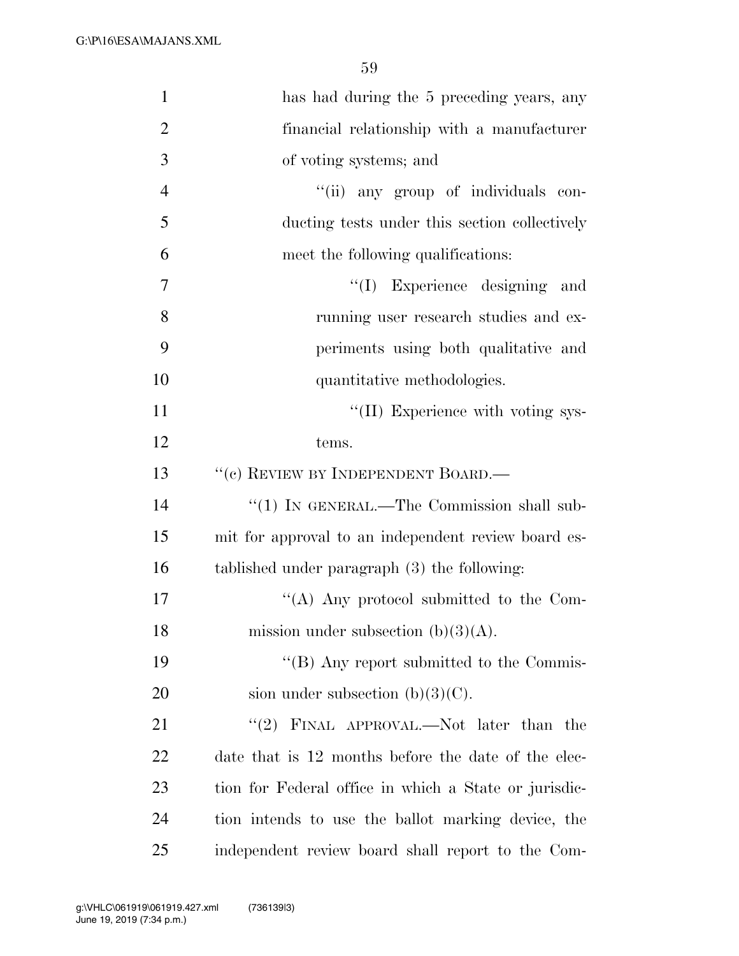| $\mathbf{1}$   | has had during the 5 preceding years, any             |
|----------------|-------------------------------------------------------|
| $\overline{2}$ | financial relationship with a manufacturer            |
| 3              | of voting systems; and                                |
| $\overline{4}$ | "(ii) any group of individuals con-                   |
| 5              | ducting tests under this section collectively         |
| 6              | meet the following qualifications:                    |
| 7              | "(I) Experience designing and                         |
| 8              | running user research studies and ex-                 |
| 9              | periments using both qualitative and                  |
| 10             | quantitative methodologies.                           |
| 11             | "(II) Experience with voting sys-                     |
| 12             | tems.                                                 |
| 13             | "(c) REVIEW BY INDEPENDENT BOARD.—                    |
| 14             | "(1) IN GENERAL.—The Commission shall sub-            |
| 15             | mit for approval to an independent review board es-   |
| 16             | tablished under paragraph (3) the following:          |
| 17             | "(A) Any protocol submitted to the Com-               |
| 18             | mission under subsection $(b)(3)(A)$ .                |
| 19             | "(B) Any report submitted to the Commis-              |
| 20             | sion under subsection $(b)(3)(C)$ .                   |
| 21             | "(2) FINAL APPROVAL.—Not later than the               |
| 22             | date that is 12 months before the date of the elec-   |
| 23             | tion for Federal office in which a State or jurisdic- |
| 24             | tion intends to use the ballot marking device, the    |
| 25             | independent review board shall report to the Com-     |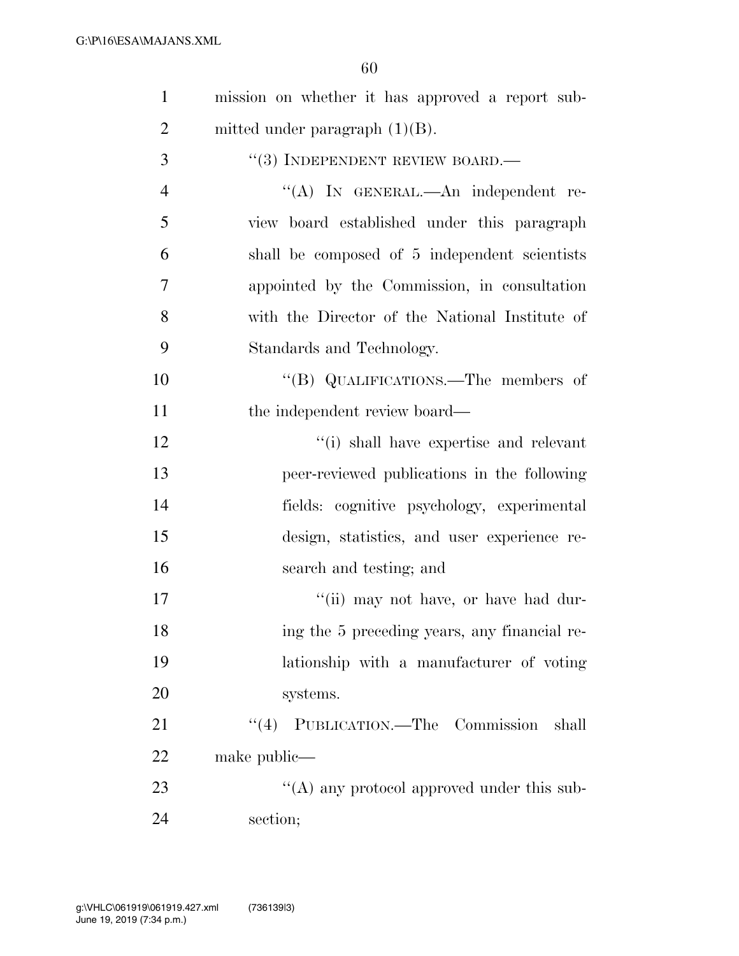| $\mathbf{1}$   | mission on whether it has approved a report sub- |
|----------------|--------------------------------------------------|
| $\overline{2}$ | mitted under paragraph $(1)(B)$ .                |
| 3              | $``(3)$ INDEPENDENT REVIEW BOARD.—               |
| $\overline{4}$ | "(A) IN GENERAL.—An independent re-              |
| 5              | view board established under this paragraph      |
| 6              | shall be composed of 5 independent scientists    |
| 7              | appointed by the Commission, in consultation     |
| 8              | with the Director of the National Institute of   |
| 9              | Standards and Technology.                        |
| 10             | "(B) QUALIFICATIONS.—The members of              |
| 11             | the independent review board—                    |
| 12             | "(i) shall have expertise and relevant           |
| 13             | peer-reviewed publications in the following      |
| 14             | fields: cognitive psychology, experimental       |
| 15             | design, statistics, and user experience re-      |
| 16             | search and testing; and                          |
| 17             | "(ii) may not have, or have had dur-             |
| 18             | ing the 5 preceding years, any financial re-     |
| 19             | lationship with a manufacturer of voting         |
| 20             | systems.                                         |
| 21             | "(4) PUBLICATION.—The Commission<br>shall        |
| 22             | make public—                                     |
| 23             | "(A) any protocol approved under this sub-       |
| 24             | section;                                         |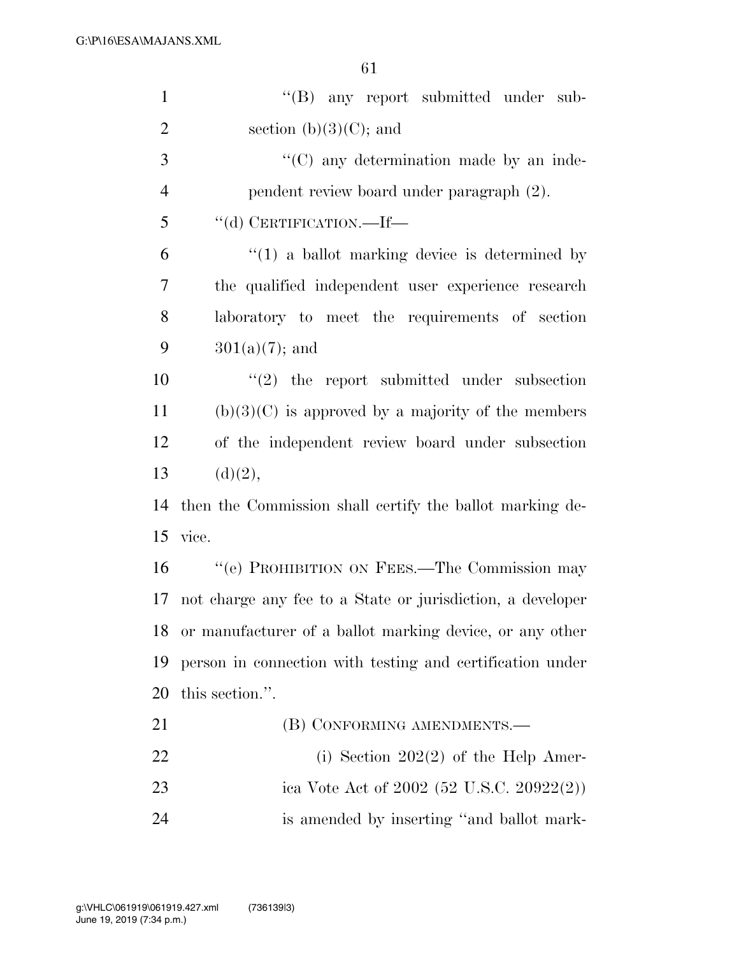| $\mathbf{1}$   | "(B) any report submitted under sub-                       |
|----------------|------------------------------------------------------------|
| $\overline{2}$ | section $(b)(3)(C)$ ; and                                  |
| 3              | "(C) any determination made by an inde-                    |
| $\overline{4}$ | pendent review board under paragraph (2).                  |
| 5              | "(d) CERTIFICATION.—If—                                    |
| 6              | $\lq(1)$ a ballot marking device is determined by          |
| $\overline{7}$ | the qualified independent user experience research         |
| 8              | laboratory to meet the requirements of section             |
| 9              | $301(a)(7)$ ; and                                          |
| 10             | $\lq(2)$ the report submitted under subsection             |
| 11             | $(b)(3)(C)$ is approved by a majority of the members       |
| 12             | of the independent review board under subsection           |
| 13             | (d)(2),                                                    |
| 14             | then the Commission shall certify the ballot marking de-   |
| 15             | vice.                                                      |
| 16             | "(e) PROHIBITION ON FEES.—The Commission may               |
| 17             | not charge any fee to a State or jurisdiction, a developer |
| 18             | or manufacturer of a ballot marking device, or any other   |
| 19             | person in connection with testing and certification under  |
| 20             | this section.".                                            |
| 21             | (B) CONFORMING AMENDMENTS.—                                |
| 22             | (i) Section $202(2)$ of the Help Amer-                     |
| 23             | ica Vote Act of 2002 (52 U.S.C. 20922(2))                  |
| 24             | is amended by inserting "and ballot mark-                  |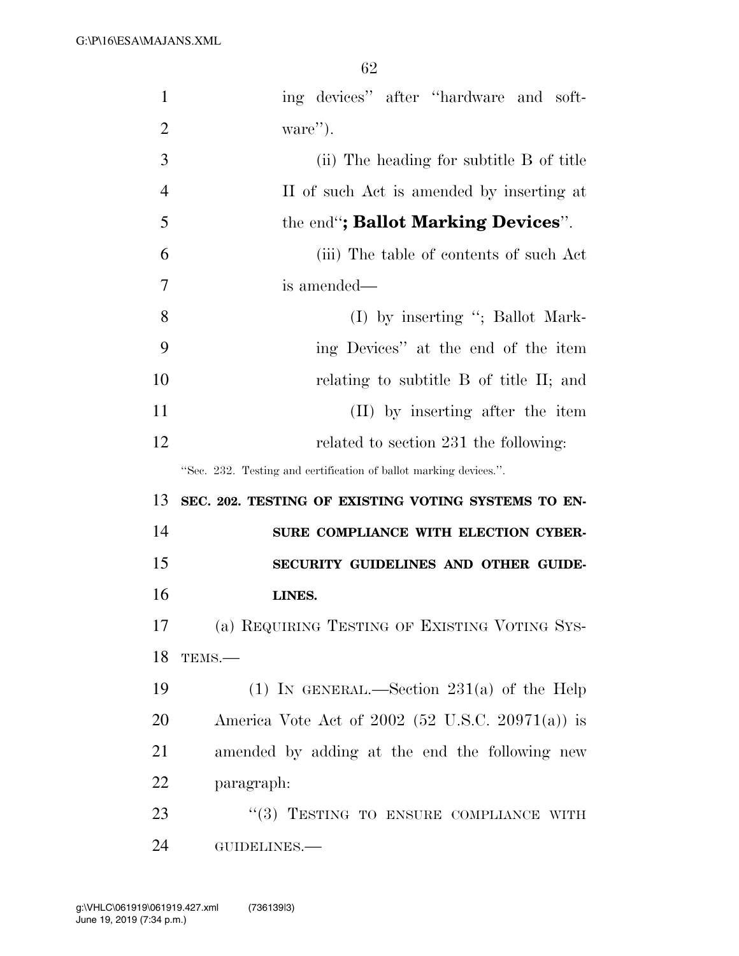| $\mathbf{1}$   | ing devices" after "hardware and soft-                            |
|----------------|-------------------------------------------------------------------|
| $\overline{2}$ | ware").                                                           |
| 3              | (ii) The heading for subtitle B of title                          |
| $\overline{4}$ | II of such Act is amended by inserting at                         |
| 5              | the end"; Ballot Marking Devices".                                |
| 6              | (iii) The table of contents of such Act                           |
| 7              | is amended—                                                       |
| 8              | $(I)$ by inserting "; Ballot Mark-                                |
| 9              | ing Devices" at the end of the item                               |
| 10             | relating to subtitle B of title II; and                           |
| 11             | (II) by inserting after the item                                  |
| 12             | related to section 231 the following:                             |
|                | "Sec. 232. Testing and certification of ballot marking devices.". |
| 13             | SEC. 202. TESTING OF EXISTING VOTING SYSTEMS TO EN-               |
|                |                                                                   |
| 14             | SURE COMPLIANCE WITH ELECTION CYBER-                              |
| 15             | SECURITY GUIDELINES AND OTHER GUIDE-                              |
| 16             | LINES.                                                            |
| 17             | (a) REQUIRING TESTING OF EXISTING VOTING SYS-                     |
| 18             | TEMS.-                                                            |
| 19             | (1) IN GENERAL.—Section $231(a)$ of the Help                      |
| 20             | America Vote Act of 2002 (52 U.S.C. 20971(a)) is                  |
| 21             | amended by adding at the end the following new                    |
| 22             | paragraph:                                                        |
| 23             | "(3) TESTING TO ENSURE COMPLIANCE WITH                            |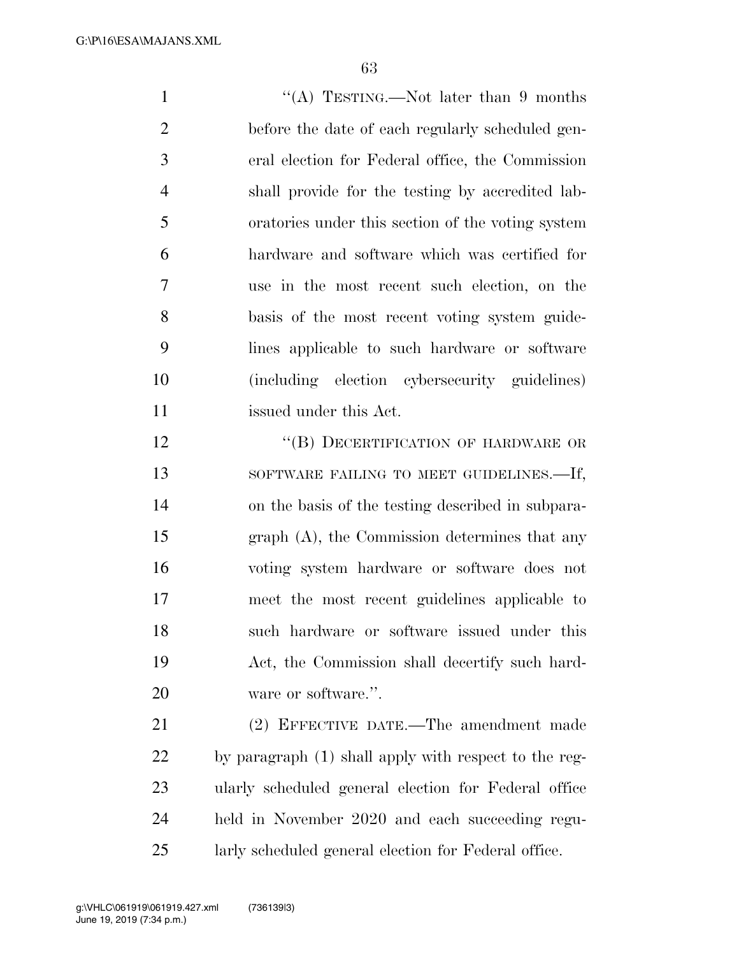G:\P\16\ESA\MAJANS.XML

1 ''(A) TESTING.—Not later than 9 months before the date of each regularly scheduled gen- eral election for Federal office, the Commission shall provide for the testing by accredited lab- oratories under this section of the voting system hardware and software which was certified for use in the most recent such election, on the basis of the most recent voting system guide- lines applicable to such hardware or software (including election cybersecurity guidelines) issued under this Act.

12 "(B) DECERTIFICATION OF HARDWARE OR 13 SOFTWARE FAILING TO MEET GUIDELINES.—If, on the basis of the testing described in subpara- graph (A), the Commission determines that any voting system hardware or software does not meet the most recent guidelines applicable to such hardware or software issued under this Act, the Commission shall decertify such hard-20 ware or software.".

 (2) EFFECTIVE DATE.—The amendment made by paragraph (1) shall apply with respect to the reg- ularly scheduled general election for Federal office held in November 2020 and each succeeding regu-larly scheduled general election for Federal office.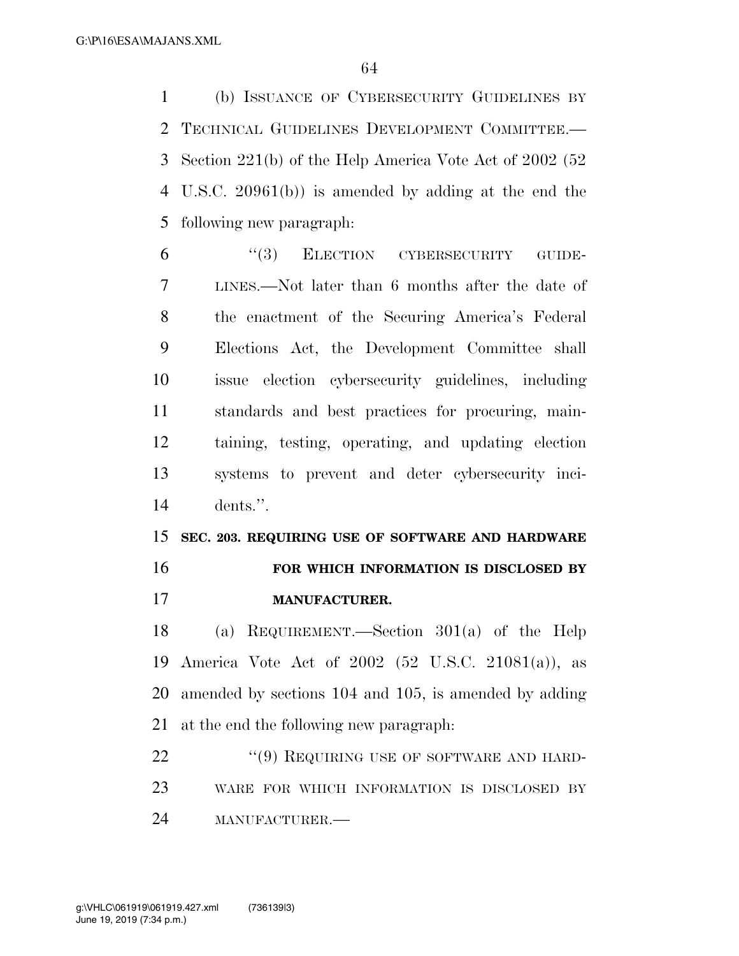(b) ISSUANCE OF CYBERSECURITY GUIDELINES BY TECHNICAL GUIDELINES DEVELOPMENT COMMITTEE.— Section 221(b) of the Help America Vote Act of 2002 (52 U.S.C. 20961(b)) is amended by adding at the end the following new paragraph:

 ''(3) ELECTION CYBERSECURITY GUIDE- LINES.—Not later than 6 months after the date of the enactment of the Securing America's Federal Elections Act, the Development Committee shall issue election cybersecurity guidelines, including standards and best practices for procuring, main- taining, testing, operating, and updating election systems to prevent and deter cybersecurity inci-dents.''.

 **SEC. 203. REQUIRING USE OF SOFTWARE AND HARDWARE FOR WHICH INFORMATION IS DISCLOSED BY** 

**MANUFACTURER.** 

 (a) REQUIREMENT.—Section 301(a) of the Help America Vote Act of 2002 (52 U.S.C. 21081(a)), as amended by sections 104 and 105, is amended by adding at the end the following new paragraph:

22 "(9) REQUIRING USE OF SOFTWARE AND HARD- WARE FOR WHICH INFORMATION IS DISCLOSED BY MANUFACTURER.—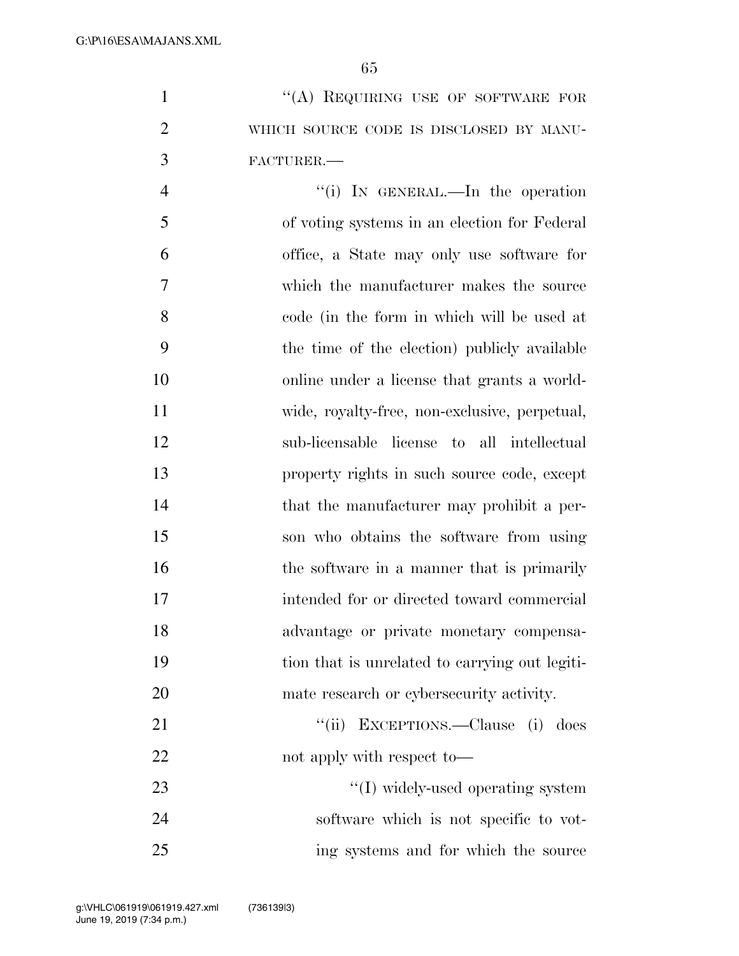1 "(A) REQUIRING USE OF SOFTWARE FOR WHICH SOURCE CODE IS DISCLOSED BY MANU-FACTURER.—

4 "(i) IN GENERAL.—In the operation of voting systems in an election for Federal office, a State may only use software for which the manufacturer makes the source code (in the form in which will be used at the time of the election) publicly available online under a license that grants a world- wide, royalty-free, non-exclusive, perpetual, sub-licensable license to all intellectual property rights in such source code, except 14 that the manufacturer may prohibit a per- son who obtains the software from using 16 the software in a manner that is primarily intended for or directed toward commercial advantage or private monetary compensa- tion that is unrelated to carrying out legiti- mate research or cybersecurity activity. 21 ''(ii) EXCEPTIONS.—Clause (i) does 22 not apply with respect to

23  $\frac{1}{2}$  and  $\frac{1}{2}$  in the multiple videly-used operating system software which is not specific to vot-ing systems and for which the source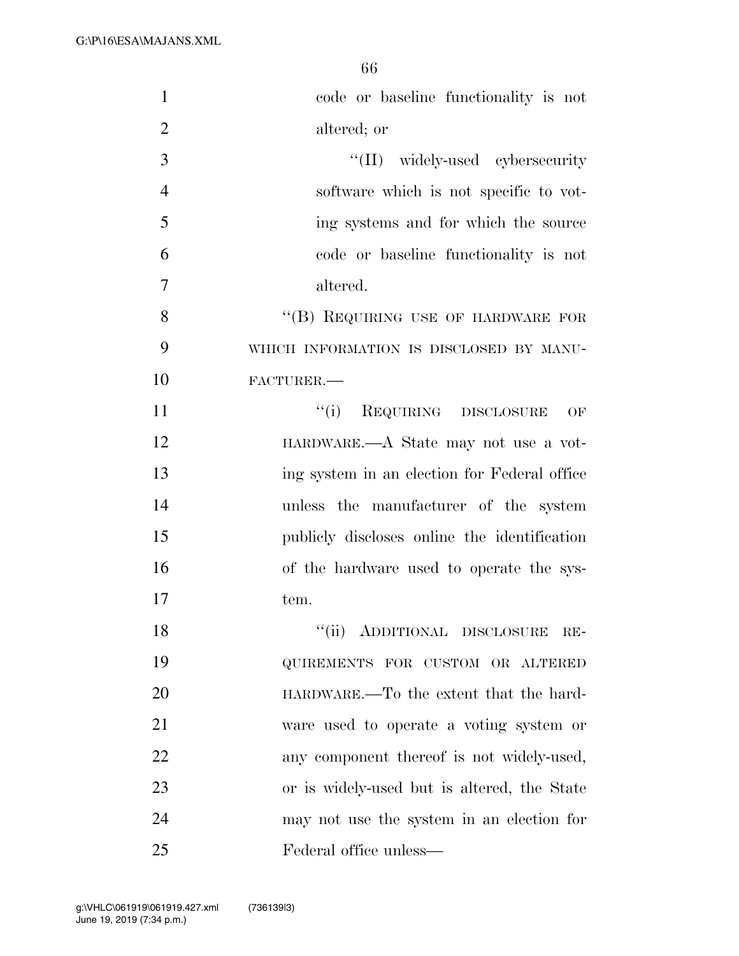| $\mathbf{1}$   | code or baseline functionality is not        |
|----------------|----------------------------------------------|
| $\overline{2}$ | altered; or                                  |
| 3              | "(II) widely-used cybersecurity              |
| $\overline{4}$ | software which is not specific to vot-       |
| 5              | ing systems and for which the source         |
| 6              | code or baseline functionality is not        |
| $\overline{7}$ | altered.                                     |
| 8              | "(B) REQUIRING USE OF HARDWARE FOR           |
| 9              | WHICH INFORMATION IS DISCLOSED BY MANU-      |
| 10             | FACTURER.                                    |
| 11             | "(i) REQUIRING DISCLOSURE<br>OF              |
| 12             | HARDWARE.—A State may not use a vot-         |
| 13             | ing system in an election for Federal office |
| 14             | unless the manufacturer of the system        |
| 15             | publicly discloses online the identification |
| 16             | of the hardware used to operate the sys-     |
| 17             | tem.                                         |
| 18             | ``(ii)<br>ADDITIONAL DISCLOSURE<br>RE-       |
| 19             | QUIREMENTS FOR CUSTOM OR ALTERED             |
| 20             | HARDWARE.—To the extent that the hard-       |
| 21             | ware used to operate a voting system or      |
| 22             | any component thereof is not widely-used,    |
| 23             | or is widely-used but is altered, the State  |
| 24             | may not use the system in an election for    |
| 25             | Federal office unless—                       |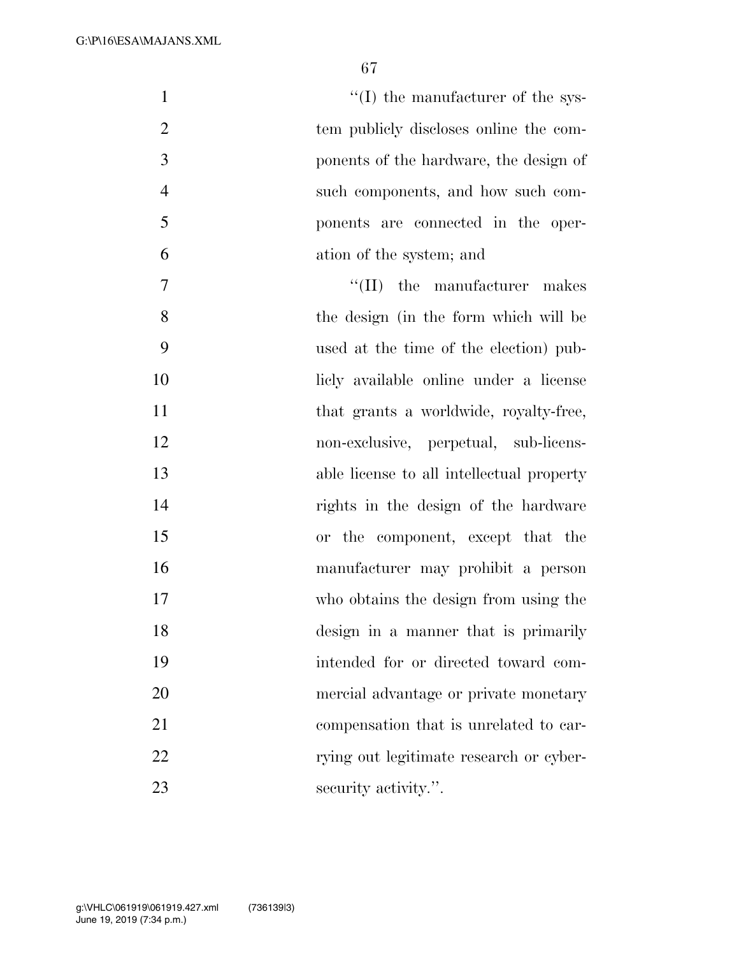$''(I)$  the manufacturer of the sys- tem publicly discloses online the com- ponents of the hardware, the design of such components, and how such com- ponents are connected in the oper- ation of the system; and  $\text{``(II)}$  the manufacturer makes the design (in the form which will be used at the time of the election) pub- licly available online under a license 11 that grants a worldwide, royalty-free, non-exclusive, perpetual, sub-licens- able license to all intellectual property rights in the design of the hardware or the component, except that the manufacturer may prohibit a person who obtains the design from using the

- mercial advantage or private monetary compensation that is unrelated to car-
- 22 rying out legitimate research or cyber-23 security activity.".

design in a manner that is primarily

intended for or directed toward com-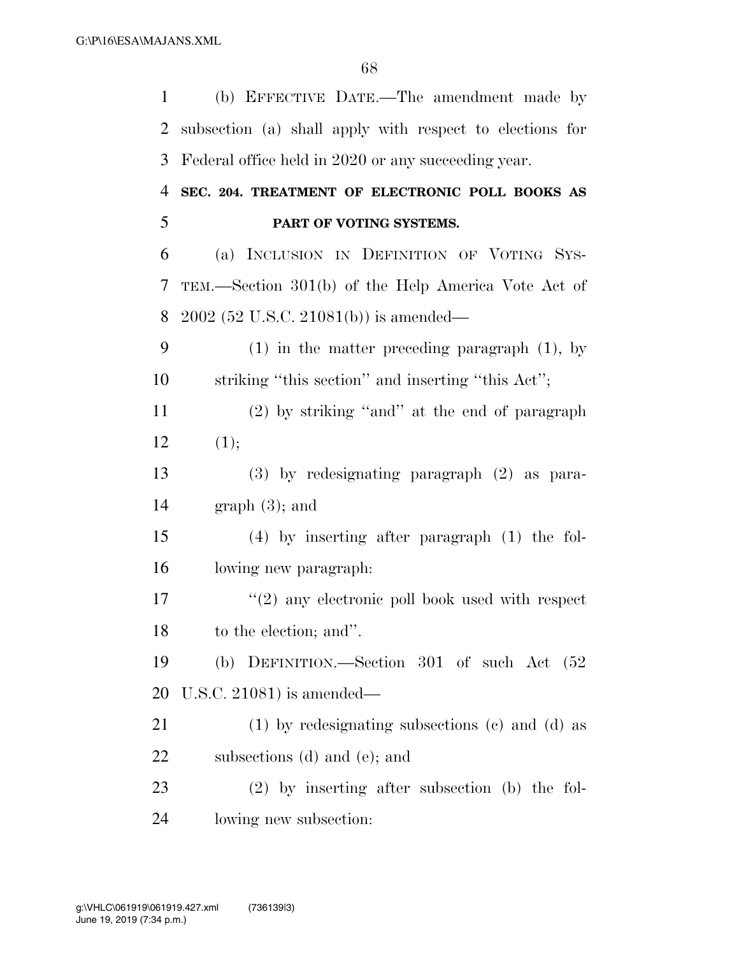| $\mathbf{1}$ | (b) EFFECTIVE DATE.—The amendment made by                |
|--------------|----------------------------------------------------------|
| 2            | subsection (a) shall apply with respect to elections for |
| 3            | Federal office held in 2020 or any succeeding year.      |
| 4            | SEC. 204. TREATMENT OF ELECTRONIC POLL BOOKS AS          |
| 5            | PART OF VOTING SYSTEMS.                                  |
| 6            | (a) INCLUSION IN DEFINITION OF VOTING SYS-               |
| 7            | TEM.—Section 301(b) of the Help America Vote Act of      |
| 8            | $2002$ (52 U.S.C. 21081(b)) is amended—                  |
| 9            | $(1)$ in the matter preceding paragraph $(1)$ , by       |
| 10           | striking "this section" and inserting "this Act";        |
| 11           | $(2)$ by striking "and" at the end of paragraph          |
| 12           | (1);                                                     |
| 13           | $(3)$ by redesignating paragraph $(2)$ as para-          |
| 14           | $graph(3)$ ; and                                         |
| 15           | $(4)$ by inserting after paragraph $(1)$ the fol-        |
| 16           | lowing new paragraph:                                    |
| 17           | $\lq(2)$ any electronic poll book used with respect      |
| 18           | to the election; and".                                   |
| 19           | (b) DEFINITION.—Section $301$ of such Act $(52)$         |
| 20           | U.S.C. 21081) is amended—                                |
| 21           | $(1)$ by redesignating subsections $(e)$ and $(d)$ as    |
| 22           | subsections (d) and (e); and                             |
| 23           | $(2)$ by inserting after subsection (b) the fol-         |
| 24           | lowing new subsection:                                   |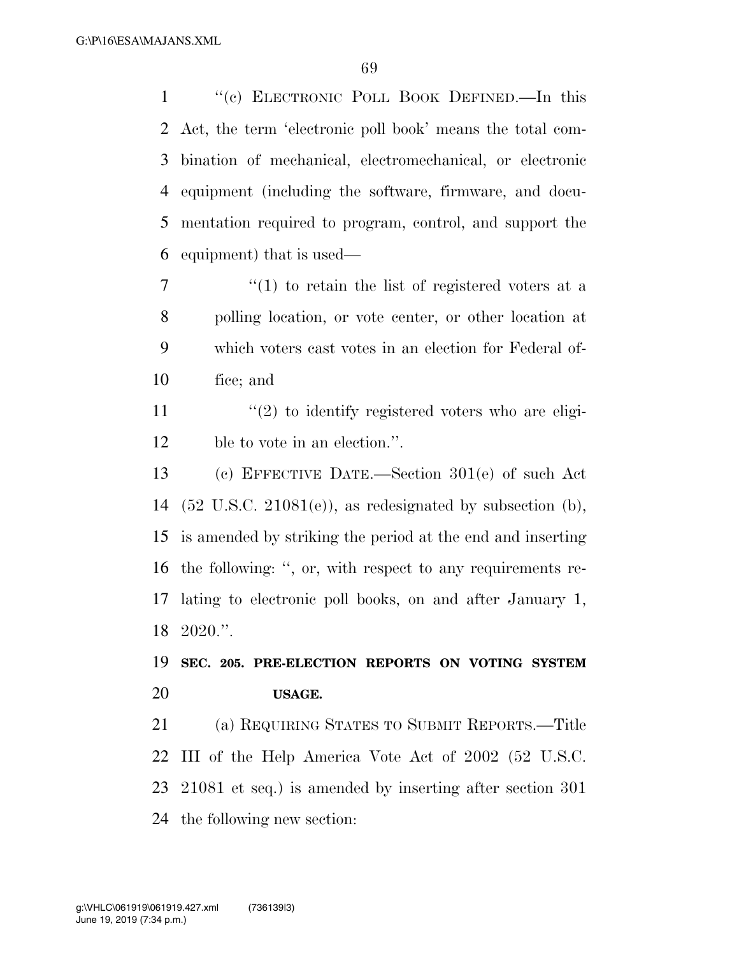''(c) ELECTRONIC POLL BOOK DEFINED.—In this Act, the term 'electronic poll book' means the total com- bination of mechanical, electromechanical, or electronic equipment (including the software, firmware, and docu- mentation required to program, control, and support the equipment) that is used—

7 ''(1) to retain the list of registered voters at a polling location, or vote center, or other location at which voters cast votes in an election for Federal of-fice; and

11  $\langle \cdot (2) \rangle$  to identify registered voters who are eligi-ble to vote in an election.''.

 (c) EFFECTIVE DATE.—Section 301(e) of such Act  $(52 \text{ U.S.C. } 21081(e))$ , as redesignated by subsection (b), is amended by striking the period at the end and inserting the following: '', or, with respect to any requirements re- lating to electronic poll books, on and after January 1, 2020.''.

### **SEC. 205. PRE-ELECTION REPORTS ON VOTING SYSTEM USAGE.**

 (a) REQUIRING STATES TO SUBMIT REPORTS.—Title III of the Help America Vote Act of 2002 (52 U.S.C. 21081 et seq.) is amended by inserting after section 301 the following new section: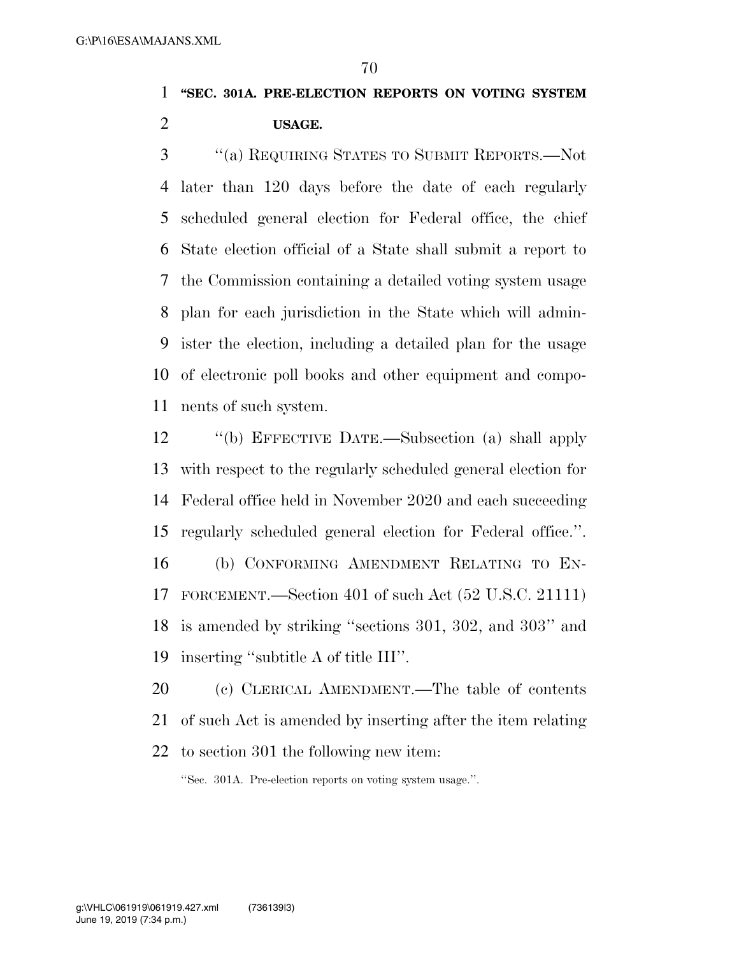**''SEC. 301A. PRE-ELECTION REPORTS ON VOTING SYSTEM USAGE.** 

 ''(a) REQUIRING STATES TO SUBMIT REPORTS.—Not later than 120 days before the date of each regularly scheduled general election for Federal office, the chief State election official of a State shall submit a report to the Commission containing a detailed voting system usage plan for each jurisdiction in the State which will admin- ister the election, including a detailed plan for the usage of electronic poll books and other equipment and compo-nents of such system.

 ''(b) EFFECTIVE DATE.—Subsection (a) shall apply with respect to the regularly scheduled general election for Federal office held in November 2020 and each succeeding regularly scheduled general election for Federal office.''. (b) CONFORMING AMENDMENT RELATING TO EN-FORCEMENT.—Section 401 of such Act (52 U.S.C. 21111)

 is amended by striking ''sections 301, 302, and 303'' and inserting ''subtitle A of title III''.

 (c) CLERICAL AMENDMENT.—The table of contents of such Act is amended by inserting after the item relating to section 301 the following new item:

''Sec. 301A. Pre-election reports on voting system usage.''.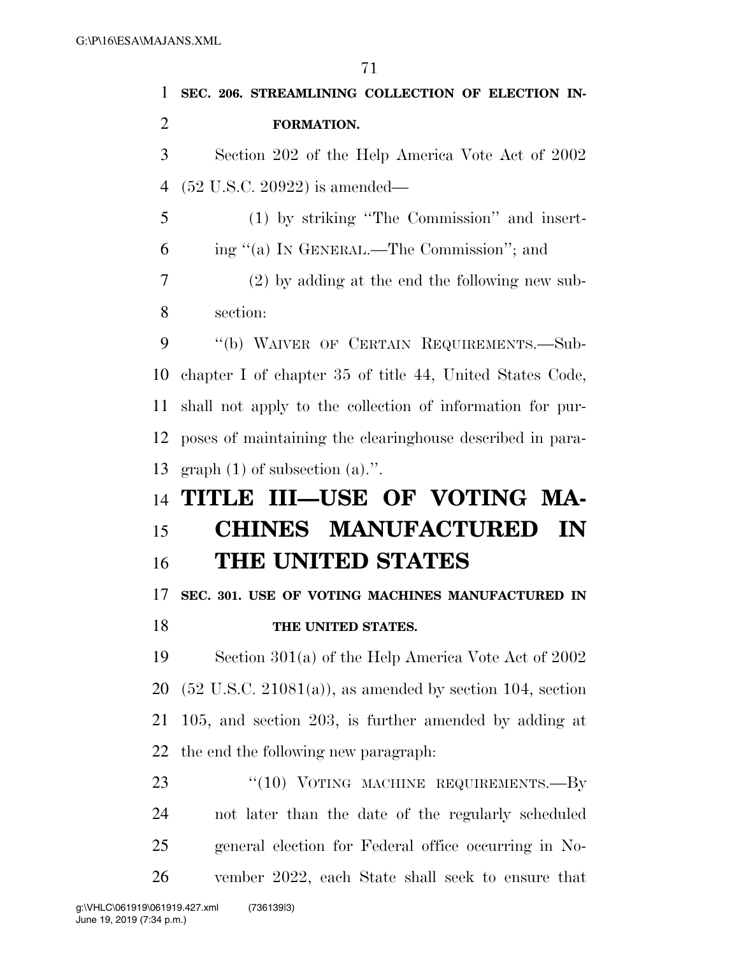| 1              | SEC. 206. STREAMLINING COLLECTION OF ELECTION IN-                    |
|----------------|----------------------------------------------------------------------|
| $\overline{2}$ | FORMATION.                                                           |
| 3              | Section 202 of the Help America Vote Act of 2002                     |
| 4              | $(52 \text{ U.S.C. } 20922)$ is amended—                             |
| 5              | (1) by striking "The Commission" and insert-                         |
| 6              | ing "(a) IN GENERAL.—The Commission"; and                            |
| 7              | $(2)$ by adding at the end the following new sub-                    |
| 8              | section:                                                             |
| 9              | "(b) WAIVER OF CERTAIN REQUIREMENTS.-Sub-                            |
| 10             | chapter I of chapter 35 of title 44, United States Code,             |
| 11             | shall not apply to the collection of information for pur-            |
| 12             | poses of maintaining the clearinghouse described in para-            |
| 13             | graph $(1)$ of subsection $(a)$ .".                                  |
|                |                                                                      |
| 14             | TITLE III-USE OF VOTING MA-                                          |
| 15             | <b>CHINES MANUFACTURED</b><br>IN                                     |
| 16             | <b>THE UNITED STATES</b>                                             |
| 17             | SEC. 301. USE OF VOTING MACHINES MANUFACTURED IN                     |
| 18             | THE UNITED STATES.                                                   |
| 19             | Section $301(a)$ of the Help America Vote Act of 2002                |
| 20             | $(52 \text{ U.S.C. } 21081(a))$ , as amended by section 104, section |
| 21             | $105$ , and section $203$ , is further amended by adding at          |
| 22             | the end the following new paragraph.                                 |
| 23             | " $(10)$ VOTING MACHINE REQUIREMENTS.—By                             |
| 24             | not later than the date of the regularly scheduled                   |
| 25             | general election for Federal office occurring in No-                 |